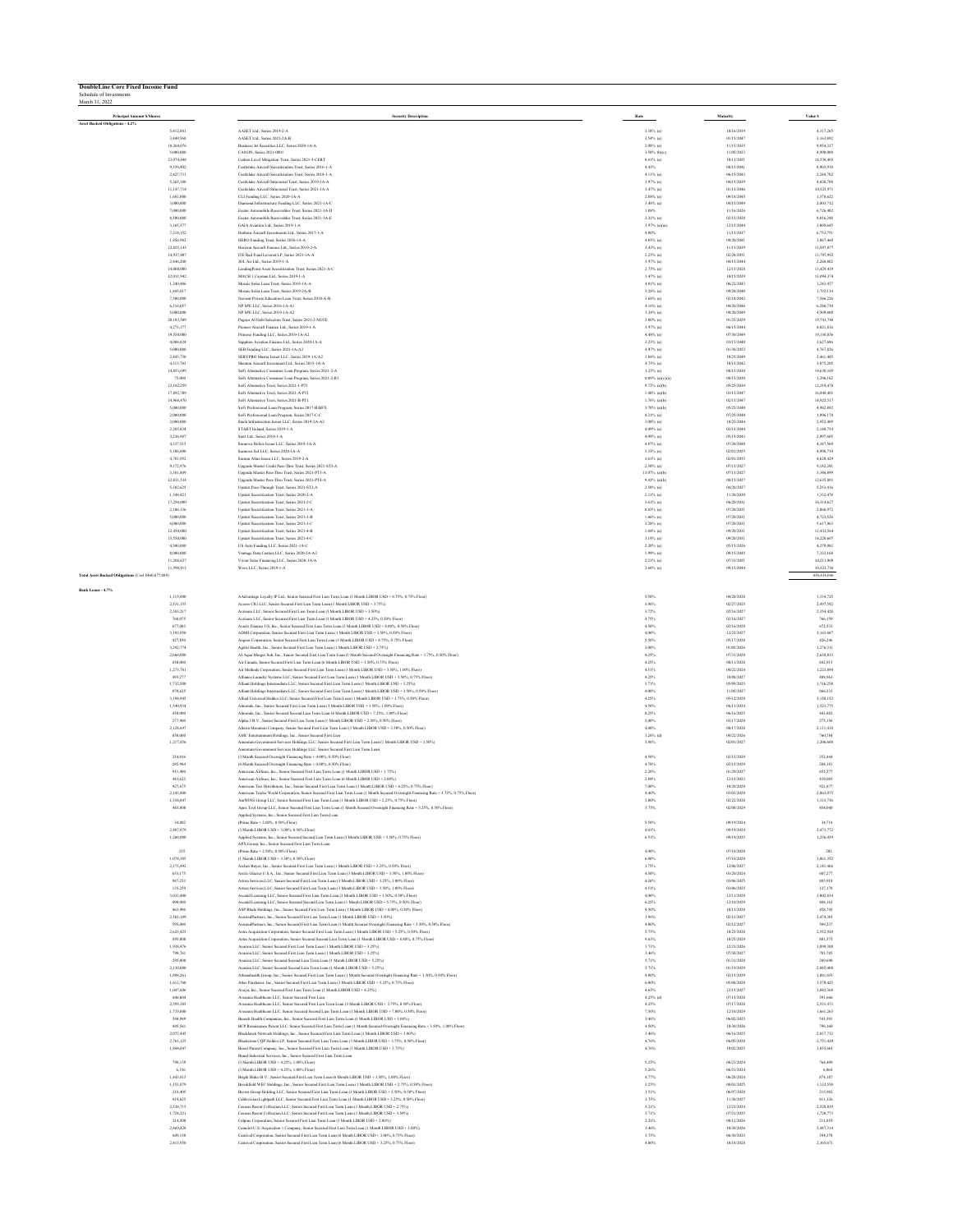| <b>DoubleLine Core Fixed Income Fund</b><br>Schedule of Investments<br>March 31, 2022 |                                                                                                                                                                                                                              |                 |                          |                    |
|---------------------------------------------------------------------------------------|------------------------------------------------------------------------------------------------------------------------------------------------------------------------------------------------------------------------------|-----------------|--------------------------|--------------------|
| <b>Principal Amount S/Shares</b>                                                      | <b>Security Description</b>                                                                                                                                                                                                  | Rate            | Maturity                 | Value S            |
| Asset Backed Obligations - 4.2%<br>\$412,881                                          | AASET Ltd., Series 2019-2-A                                                                                                                                                                                                  | $3.38%$ (a)     | 10/16/2039               | 4,317,265          |
| 3,449,568                                                                             | AASET Ltd., Series 2021-2A-B                                                                                                                                                                                                 | $3.54%$ (a)     | 01/15/2047               | 3,163,892          |
| 10,264,076                                                                            | Business Jet Securities LLC, Series 2020-1A-A                                                                                                                                                                                | $2.98\%$ (a)    | 11/15/2035               | 9,954,327          |
| 5,000,000                                                                             | CANON, Series 2021-0001                                                                                                                                                                                                      | 3.50% (b)(c)    | 11/05/2023               | 4,990,000          |
| 23,074,448                                                                            | Carbon Level Mitigation Trust, Series 2021-5-CERT                                                                                                                                                                            | $0.61%$ (a)     | 10/13/2051               | 18,538,403         |
| 9.359.402                                                                             | Castlelake Aircraft Securitization Trust, Series 2016-1-A                                                                                                                                                                    | 4.45%           | 08/15/2041               | 8,903,918          |
| 2,427.731                                                                             | Castlelake Aircraft Securitization Trust. Series 2018-1-A                                                                                                                                                                    | 4.13% (a)       | 06/15/2043               | 2.244.702          |
| 5,265,180                                                                             | Castlelake Aircraft Structured Trust. Series 2019-1A-A                                                                                                                                                                       | $3.97%$ (a)     | 04/15/2039               | 4,820,788          |
| 11,147,714                                                                            | Castlelake Aircraft Structured Trust, Series 2021-1A-A                                                                                                                                                                       | $3.47%$ (a)     | 01/15/2046               | 10,325,971         |
| 1,681,000                                                                             | CLI Funding LLC, Series 2020-1A-A                                                                                                                                                                                            | $2.08%$ (a)     | 09/18/2045               | 1,578,622          |
| 3,000,000                                                                             | Diamond Infrastructure Funding LLC, Series 2021-1A-C                                                                                                                                                                         | $3.48%$ (a)     | 04/15/2049               | 2,803,712          |
| 7,000,000                                                                             |                                                                                                                                                                                                                              | 1.08%           | 11/16/2026               | 6,726,402          |
| 8,500,000                                                                             | Exeter Automobile Receivables Trust, Series 2021-1A-D<br>Exeter Automobile Receivables Trust, Series 2021-1A-E                                                                                                               | $2.21%$ (a)     | 02/15/2028               | 8,016,248          |
| 3,165,377                                                                             | GAIA Aviation Ltd., Series 2019-1-A                                                                                                                                                                                          | $3.97%$ (a)(m)  | 12/15/2044               | 3,005,645          |
| 7.218.152                                                                             | Harbour Aircraft Investments Ltd., Series 2017-1-A                                                                                                                                                                           | 4.00%           | 11/15/2037               | 6.753.751          |
| 1,856,982                                                                             | HERO Funding Trust, Series 2016-1A-A                                                                                                                                                                                         | 4.05% (a)       | 09/20/2041               | 1,867,460          |
| 12,825,143                                                                            | Horizon Aircraft Finance Ltd., Series 2019-2-A                                                                                                                                                                               | 3.43% (a)       | 11/15/2039               | 11,897,077         |
| 14,937,407                                                                            | ITE Rail Fund Levered LP, Series 2021-1A-A                                                                                                                                                                                   | $2.25\%$ (a)    | 02/28/2051               | 13,797,992         |
| 2,446,200                                                                             | JOL Air Ltd., Series 2019-1-A                                                                                                                                                                                                | $3.97%$ (a)     | 04/15/2044               | 2,268,802          |
| 14,000,00                                                                             | LendingPoint Asset Securitization Trust, Series 2021-A-C                                                                                                                                                                     | $2.75%$ (a)     | 12/15/2028               | 13,429,419         |
| 12,011,942                                                                            | MACH 1 Cayman Ltd., Series 2019-1-A                                                                                                                                                                                          | $3.47%$ (a)     | 10/15/2039               | 11,094,374         |
| 1,240,486                                                                             | Mosaic Solar Loan Trust, Series 2018-1A-A                                                                                                                                                                                    | $4.01\%$ (a)    | 06/22/2043               | 1,243,477          |
| 1,845,017                                                                             | Mossie Selar Loan Trust, Series 2019-24-B                                                                                                                                                                                    | 3.28% (a)       | 09/20/2040               | 1.792.134          |
| 7,500,000                                                                             | Navient Private Education Loan Trust, Series 2018-A-B                                                                                                                                                                        | 3.68% (a)       | 02/18/2042               | 7.546.226          |
| 6,316,057                                                                             | NP SPE LLC, Series 2016-1A-A1                                                                                                                                                                                                | $4.16\%$ (a)    | 04/20/2046               | 6,286,730          |
| 5,000,000                                                                             | NP SPE LLC, Series 2019-1A-A2                                                                                                                                                                                                | $3.24%$ (a)     | 09/20/2049               | 4,509,800          |
| 20,183,509                                                                            | Pagaya AI Debt Selection Trust, Series 2021-2-NOTE                                                                                                                                                                           | $3.00\%$ (a)    | 01/25/2029               | 19,743,748         |
| 4,273,177                                                                             | Pioneer Aircraft Finance Ltd., Series 2019-1-A                                                                                                                                                                               | $3.97%$ (a)     | 06/15/2044               | 4,021,816          |
| 19,550,000                                                                            | Primose Funding LLC, Series 2019-1A-A2                                                                                                                                                                                       | $4.48%$ (a)     | 07/30/2049               | 19,130,856         |
| 4,004,024                                                                             | Sapphire Aviation Finance Ltd., Series 2020-1A-A                                                                                                                                                                             | $3.23%$ (a)     | 03/15/2040               | 3,627,686          |
| \$,000,000                                                                            | SEB Funding LLC, Series 2021-1A-A2                                                                                                                                                                                           | 4.97% (a)       | 01/30/2052               | 4.767.826          |
| 2,443,750                                                                             | SERVPRO Master Issuer LLC. Series 2019-1A-A2                                                                                                                                                                                 | $3.88\%$ (a)    | 10/25/2049               | 2,461,485          |
| 4,313,783                                                                             | Shenton Aircraft Investment Ltd., Series 2015-1A-A                                                                                                                                                                           | $4.75%$ (a)     | 10/15/2042               | 3,875,205          |
| 14,853,699                                                                            | SoFi Alternative Consumer Loan Program, Series 2021-2-A                                                                                                                                                                      | $1.25\%$ (a)    | 08/15/2030               | 14,630,165         |
| 75,000                                                                                | SoFi Alternative Consumer Loan Program, Series 2021-2-R1                                                                                                                                                                     | 0.09% (a)(c)(n) | 08/15/2030               | 3,296,162          |
| 12,102,259                                                                            | SoFi Alternative Trust, Series 2021-1-PTI                                                                                                                                                                                    | 9.72% (a)(b)    | 05/25/2030               | 12,318,478         |
| 17,892,705                                                                            | SoFi Alternative Trust, Series 2021-A-PT1                                                                                                                                                                                    | $1.48%$ (a)(b)  | 03/15/2047               | 16,848,40          |
| 14,968,470                                                                            | SoFi Alternative Trust, Series 2021-B-PT1                                                                                                                                                                                    | $1.76%$ (a)(b)  | 02/15/2047               | 14,922,517         |
| 5,000,000                                                                             | SoFi Professional Loan Program, Series 2017-B-BFX                                                                                                                                                                            | 3.70% (a)(b)    | 05/25/2040               | 4,982,892          |
| 2,000,000                                                                             | SoFi Professional Loan Program, Series 2017-C-C                                                                                                                                                                              | 4.21% (a)       | 07/25/2040               | 1,996,178          |
| 3,000,000                                                                             | Stack Infrastructure Issuer LLC. Series 2019-2A-A2                                                                                                                                                                           | $3.08%$ (a)     | 10/25/2044               | 2.952.409          |
| 2,285,834                                                                             | START belond Series 2019-1-A                                                                                                                                                                                                 | $4.09\%$ (a)    | 03/15/2044               | 2,140,754          |
| 3,236,987                                                                             | Start Ltd., Series 2018-1-A                                                                                                                                                                                                  | $4.09\%$ (a)    | 05/15/2043               | 2,997,605          |
| 4,337,515                                                                             | Sunnoya Helios Issuer LLC, Series 2018-1A-A                                                                                                                                                                                  | $4.87%$ (a)     | 07/20/2048               | 4347,566           |
| 5,188,090                                                                             | Sunnova Sol LLC, Series 2020-1A-A                                                                                                                                                                                            | $3.35\%$ (a)    | 02/01/2055               | 4,998,739          |
| 4,701,952                                                                             | Sunrun Atlas Issuer LLC, Series 2019-2-A                                                                                                                                                                                     | $3.61%$ (a)     | 02/01/2055               | 4,620,429          |
| 9,172,976                                                                             | Upgrade Master Credit Pass-Thru Trust, Series 2021-ST3-A                                                                                                                                                                     | $2.50\%$ (a)    | 07/15/2027               | 9,182,241          |
| 3,381,805                                                                             | Upgrade Master Pass-Thru Trust, Series 2021-PT3-A                                                                                                                                                                            | 13.07% (a)(b)   | 07/15/2027               | 3.346.899          |
| 12.831.534                                                                            | Uperade Master Pass-Thru Trust, Series 2021-PT4-A                                                                                                                                                                            | 9.43% (a)(b)    | 08/15/2027               | 12,635,801         |
| 5,382,625                                                                             | Upstart Pass-Through Trust, Scries 2021-ST2-A                                                                                                                                                                                | $2.50\%$ (a)    | 04/20/2027               | 5,253,416          |
| 1,348,421                                                                             | Upstart Securitization Trust, Series 2020-2-A                                                                                                                                                                                | $2.31%$ (a)     | 11/20/2030               | 1,332,478          |
| 17,250,000                                                                            | Upstart Securitization Trust, Series 2021-2-C                                                                                                                                                                                | $3.61%$ (a)     | 06/20/2031               | 16,314,627         |
| 2,106,136                                                                             | Unstart Securitization Trust, Series 2021-3-A                                                                                                                                                                                | $0.83\%$ (a)    | 07/20/2031               | 2,068,972          |
| 5,000,000                                                                             | Upstart Securitization Trust, Series 2021-3-B                                                                                                                                                                                | $1.66\%$ (a)    | 07/20/2031               | 4,723,526          |
| 6,000,000                                                                             | Upstart Securitization Trust, Series 2021-3-C                                                                                                                                                                                | $3.28%$ (a)     | 07/20/2031               | 5,617,963          |
| 12,450,000                                                                            | <b>Heaturt Securitization Trust Series 2021-4-B</b>                                                                                                                                                                          | 1.84% (a)       | 09/20/2031               | 11,432,564         |
| 15,550,000                                                                            | Upstart Securitization Trust, Series 2021-4-C                                                                                                                                                                                | 3.19% (a)       | 09/20/2031               | 14.220,607         |
| 4,500,000                                                                             | US Auto Funding LLC, Series 2021-1A-C                                                                                                                                                                                        | $2.20\%$ (a)    | 05/15/2026               | 4,279,082          |
| 8,000,000                                                                             | Vantage Data Centers LLC, Series 2020-2A-A2                                                                                                                                                                                  | $1.99%$ (a)     | 09/15/2045               | 7,332,168          |
| 11,288,627                                                                            | Vivint Solar Financing LLC, Series 2020-1A-A                                                                                                                                                                                 | 2.21% (a)       | 07/31/2051               | 10,211,909         |
| 11,590,913                                                                            | Wave LLC, Series 2019-1-A                                                                                                                                                                                                    | $3.60\%$ (a)    | 09/15/2044               | 10,323,736         |
| Total Asset Backed Obligations (Cost \$460,677,089)                                   |                                                                                                                                                                                                                              |                 |                          | 438,834,046        |
| Bank Loans - 4.7%<br>1,315,000                                                        | AAdvanture Loyalty IP Ltd., Senior Secured First Lien Term Loan (3 Month LIBOR USD + 4.75%, 0.75% Floor)                                                                                                                     | 5.50%           | 04/20/2028               | 1.334,725          |
| 2.531.155                                                                             | Access CIG LLC. Senior Secured First Lien Term Loan (1 Month LIBOR USD + 3.75%)                                                                                                                                              | 3.96%           | 02/27/2025               | 2.497.592          |
| 2,383,217                                                                             | Acristee LLC, Senior Secured First Lien Term Loan (3 Month LIBOR USD + 3.50%)                                                                                                                                                | 3.72%           | 02/16/2027               | 2,354,428          |
| 768,075                                                                               | Acristare LLC, Senior Secured First Lien Term Loan (3 Month LIBOR USD + 4.25%, 0.50% Floor)                                                                                                                                  | 4.75%           | 02/16/2027               | 766,159            |
| 677,083                                                                               | Acuris Finance US, Inc., Senior Secured First Lien Term Loan (3 Month LIBOR USD + 4.00%, 0.50% Floor)                                                                                                                        | 4.50%           | 02/16/2028               | 672,533            |
| 3,193,950                                                                             | ADMI Corporation, Senior Secured First Lien Term Loan (1 Month LIBOR USD + 3.50%, 0.50% Floor)                                                                                                                               | 4.00%           | 12/23/2027               | 3,163,687          |
| 427,850                                                                               | Aegion Corporation, Senior Secured First Lien Term Loan (3 Month LIBOR USD + 4.75%, 0.75% Floor)                                                                                                                             | 5.50%           | 05/17/2028               | 426,246            |
| 3,292,774                                                                             | Agiliti Health, Inc., Senior Secured First Lien Term Loan (1 Month LIBOR USD + 2.75%)                                                                                                                                        | 3.00%           | 01/05/2026               | 3,276,311          |
| 2,660,000                                                                             | AI Aqua Merger Sub, Inc., Senior Secured First Lien Term Loan (1 Month Secured Overnight Financing Rate + 3.75%, 0.50% Floor)                                                                                                | 4.25%           | 07/31/2028               | 2,638,813          |
| 850,000                                                                               | Air Canada, Senior Secured First Lien Term Loan (6 Month LIBOR USD + 3.50%, 0.75% Floor)                                                                                                                                     | 4.25%           | 08/11/2028               | 842,915            |
| 1,273,781                                                                             | Air Methods Corporation, Senior Secured First Lien Term Loan (3 Month LIBOR USD + 3.50%, 1.00% Floor)                                                                                                                        | 4.51%           | 04/22/2024               | 1,223,894          |
| 493,277                                                                               | Alliance Laundry Systems LLC, Senior Secured First Lien Term Loan (3 Month LIBOR USD + 3.50%, 0.75% Floor)                                                                                                                   | 4.25%           | 10/08/2027               | 488,963            |
| 1,732,500                                                                             | Alliant Holdings Intermediate LLC, Senior Secured First Lien Term Loun (1 Month LIBOR USD + 3.25%)                                                                                                                           | 3.71%           | 05/09/2025               | 1,716,258          |
| 870,625                                                                               | Alliant Holdings Intermediate LLC, Senior Secured First Lien Term Loan (1 Month LIBOR USD + 3.50%, 0.50% Floor)<br>Allied Universal Holdco LLC. Senior Secured First Lien Term Loan (1 Month LIBOR USD + 3.75%, 0.50% Fleor) | 4.00%           | 11/05/2027               | 866,333            |
| 3,194,945                                                                             | Almonde, Inc., Senior Secured First Lien Term Loan (3 Month LIBOR USD + 3.50%, 1.00% Floor)                                                                                                                                  | 4.25%           | 05/12/2028               | 3,150,152          |
| 1,540,934                                                                             |                                                                                                                                                                                                                              | 4.50%           | 06/13/2024               | 1,523,775          |
| 450,000                                                                               | Almoste, Inc., Senior Secured Second Lien Term Loan (6 Month J JROR USD + 7.25%, 1.00% Elect)                                                                                                                                | 8.25%           | 06/16/2025               | 443,882            |
| 277,900                                                                               | Alpha 3 B.V., Senior Secured First Lien Term Loan (1 Month LIBOR USD + 2.50% 0.50% Floor)                                                                                                                                    | 3,00%           | 03/17/2028               | 275,156            |
| 2,124,697                                                                             | Alterra Mountain Company, Senior Secured First Lien Term Loan (1 Month LIBOR USD + 3.50%, 0.50% Floor)                                                                                                                       | 4,00%           | 08/17/2028               | 2,111,418          |
| 850,000                                                                               | AMC Entertainment Holdings, Inc., Senior Secured First Lien                                                                                                                                                                  | $3.26%$ (d)     | 04/22/2026               | 760,784            |
| 1,217,856                                                                             | Amentum Government Services Holdings LLC, Senior Secured First Lien Term Loan (1 Month LIBOR USD + 3.50%)                                                                                                                    | 3.96%           | 02/01/2027               | 1,206,688          |
| 254,016                                                                               | Amentum Government Services Holdings LLC, Senior Secured First Lien Term Loan<br>(3 Month Secured Overnight Financing Rate + 4.00%, 0.50% Floor)                                                                             | 4.50%           | 02/15/2029               | 252,444            |
| 285,984                                                                               | (6 Month Secured Overnight Financing Rate + 4.00%, 0.50% Floor)                                                                                                                                                              | 4.78%           | 02/15/2029               | 284,181            |
| 911,400                                                                               | American Airlines, Inc., Senior Secured First Lien Term Loan (1 Month LIBOR USD + 1.75%)                                                                                                                                     | 2.20%           | 01/29/2027               | 855,577            |
| 443.623<br>927.675                                                                    | American Airlines, Inc., Senior Secured First Lien Term Loan (6 Month LIBOR USD + 2,00%)<br>Line Se<br>ecured First Lien Term Loan (3 Month LIBOR USD + 6.25%, 0.75% Floor                                                   | 2.84%<br>7.00%  | 12/15/2023<br>10/20/2028 | 439,003<br>921.877 |
| 2,143,800                                                                             | American Trailer World Corporation, Senior Secured First Lien Term Loan (1 Month Secured Overnight Financing Rate + 3.75%, 0.75% Floor)                                                                                      | 4.40%           | 03/03/2028               | 2,063,075          |
| 1,354,047                                                                             | AmWINS Group LLC, Senior Secured First Lien Term Loan (1 Month LIBOR USD + 2.25%, 0.75% Floor)                                                                                                                               | 3.00%           | 02/22/2028               | 1,333,736          |
| 465,000                                                                               | Apex Tool Group LLC, Senior Secured First Lien Term Loan (1 Month Secured Overnight Financing Rate + 5.25%, 0.50% Floor)                                                                                                     | 5.75%           | 02/08/2029               | 454,040            |
| 34,802                                                                                | Applied Systems, Inc., Senior Secured First Lien Term Loan<br>(Prime Rate + 2.00%, 0.50% Floor)                                                                                                                              | 5.50%           | 09/19/2024               | 34,718             |
| 2,487,079                                                                             | (3 Month LIBOR USD + 3.00%, 0.50% Floor)                                                                                                                                                                                     | 4.01%           | 09/19/2024               | 2,473,772          |
| 1,260,000                                                                             | Applied Systems, Inc., Senior Secured Second Lien Term Loan (3 Month LIBOR USD + 5.50%, 0.75% Floor)<br>APX Group, Inc., Senior Secured First Lien Term Loan                                                                 | 6.51%           | 09/19/2025               | 1,256,459          |
| 215                                                                                   | (Prime Rate + 2.50%, 0.50% Floor)                                                                                                                                                                                            | 4.00%           | 07/10/2028               | 202                |
| 1,074,385                                                                             | (1 Month LIBOR USD + 3.50%, 0.50% Floor)                                                                                                                                                                                     | 6.00%           | 07/10/2028               | 1,061,352          |
| 2,173,492                                                                             | Arches Bayer, Inc., Senior Secured First Lien Term Loan (1 Month LIBOR USD + 3.25%, 0.50% Floor)                                                                                                                             | 3.75%           | 12/06/2027               | 2,141,466          |
| 653,175                                                                               | Arctic Glacier U.S.A., Inc., Senior Secured First Lien Term Loan (3 Month LIBOR USD + 3.50%, 1.00% Floor)                                                                                                                    | 4.50%           | 03/20/2024               | 607,277            |
| 947,253                                                                               | Artera Services LLC, Senior Secured First Lien Term Loan (3 Month LIBOR USD + 3.25%, 1.00% Floor)                                                                                                                            | 4.26%           | 03/06/2025               | 885,918            |
| 135,259                                                                               | Artera Services LLC, Senior Secured First Lien Term Loan (3 Month LIBOR USD + 3.50%, 1.00% Floor)                                                                                                                            | 4.51%           | 03/06/2025               | 127,178            |
| 3.032.400                                                                             | Ascend Learning LLC, Senior Secured First Lien Term Loan (3 Month LIBOR USD + 3.50%, 0.50% Floor)                                                                                                                            | 4.00%           | 12/11/2028               | 3.002.834          |
| 490,000                                                                               | Ascend Learning LLC, Senior Secured Second Lien Term Loan (1 Month LIBOR USD + 5.75%, 0.50% Floor)                                                                                                                           | 6.25%           | 12/10/2029               | 488,163            |
| 463,906                                                                               | ASP Blade Holdings, Inc., Senior Secured First Lien Term Loan (1 Month LIBOR USD + 4.00%, 0.50% Floor)                                                                                                                       | 4.50%           | 10/13/2028               | 458,745            |
| 2,501,189                                                                             | AssuredPartners, Inc., Senior Secured First Lien Term Loan (1 Month LIBOR USD + 3.50%)                                                                                                                                       | 3.96%           | 02/12/2027               | 2,474,301          |
| 995,000                                                                               | AssuredPartners, Inc., Senior Secured First Lien Term Loan (1 Month Secured Overnight Financing Rate + 3.50%, 0.50% Floor)                                                                                                   | 4.00%           | 02/12/2027               | 589,237            |
| 2,623,425                                                                             | Astra Acquisition Corporation, Senior Secured First Lien Term Loan (1 Month LIBOR USD + 5.25%, 0.50% Floor)                                                                                                                  | 5.75%           | 10/25/2028               | 2,552,920          |
| 895,000                                                                               | Astra Acquisition Corporation, Senior Secured Second Lien Term Loan (1 Month LIBOR USD + 8.88%, 0.75% Floor)                                                                                                                 | 9.63%           | 10/25/2029               | 881,575            |
| 1,938,476                                                                             | Asurion LLC, Senior Secured First Lien Term Loan (1 Month LIBOR USD + 3.25%)                                                                                                                                                 | 3.71%           | 12/23/2026               | 1,899,300          |
| 798,761                                                                               | Asurion LLC, Senior Secured First Lien Term Loan (1 Month LIBOR USD + 3.25%)                                                                                                                                                 | 3.46%           | 07/30/2027               | 783,785            |
| 295,000                                                                               | Astrion LLC. Senior Secured Second Lien Term Loan (1 Month LIBOR USD + 5.25%)                                                                                                                                                | 5.71%           | 01/31/2028               | 289,690            |
| 2.130,000                                                                             | Astrion LLC, Senior Secured Second Lien Term Loan (1 Month LIBOR USD + 5.25%)                                                                                                                                                | 5.71%           | 01/19/2029               | 2.085.408          |
| 1,898,261                                                                             | Athenahealth Group, Inc., Senior Secured First Lien Term Loan (1 Month Secured Overnight Financing Rate + 3.50%, 0.50% Floor)                                                                                                | 4,00%           | 02/15/2029               | 1,881,651          |
| 1,612,760                                                                             | Atlas Purchaser, Inc., Senior Secured First Lien Term Loan (3 Month LIBOR USD + 5.25%, 0.75% Floor)                                                                                                                          | 6,00%           | 05/08/2028               | 1,570,425          |
| 1,047,606                                                                             | Avaya, Inc., Senior Secured First Lien Term Loan (1 Month LIBOR USD + 4.25%)                                                                                                                                                 | 4.65%           | 12/15/2027               | 1,042,368          |
| 606,604                                                                               | Aveanna Healthcare LLC, Senior Secured First Lien                                                                                                                                                                            | 4.25% (d)       | 07/15/2028               | \$91,666           |
| 2,595,385                                                                             | Aveanna Healthcare LLC, Senior Secured First Lien Term Loan (3 Month LIBOR USD + 3.75%, 0.50% Floor)                                                                                                                         | 4.25%           | 07/17/2028               | 2,531,473          |
| 1,735,000                                                                             | Aveanna Healthcare LLC, Senior Secured Second Lien Term Loan (1 Month LIBOR USD + 7.00%, 0.50% Floor)                                                                                                                        | 7.50%           | 12/10/2029               | 1,661,263          |
| \$44,989                                                                              | Bausch Health Companies, Inc., Senior Secured First Lien Term Loan (1 Month LIBOR USD + 3.00%)                                                                                                                               | 3.46%           | 06/02/2025               | 541,583            |
| 805, 561                                                                              | BCP Renaissance Parent LLC, Senior Secured First Lien Term Loan (1 Month Secured Overnight Financing Rate + 3.50%, 1.00% Floor)                                                                                              | 4.50%           | 10/30/2026               | 796,160            |
| 2,072,445                                                                             | Blackhawk Network Holdings, Inc., Senior Secured First Lien Term Loan (1 Month LIBOR USD + 3.00%)                                                                                                                            | 3.46%           | 06/16/2025               | 2,037,732          |
| 2,761,125                                                                             | Blackstone CQP Holdco LP, Senior Secured First Lien Term Loan (3 Month LIBOR USD + 3.75%, 0.50% Floor)                                                                                                                       | 4.76%           | 06/05/2028               | 2,751,420          |
| 1,844,047                                                                             | Boxer Parent Company, Inc., Senior Secured First Lien Term Loan (3 Month LIBOR USD + 3.75%)<br>Brand Industrial Services, Inc., Senior Secured First Lien Term Loan                                                          | 4.76%           | 10/02/2025               | 1,835,601          |
| 798,139                                                                               | (3 Month LIBOR USD + 4.25%, 1.00% Floor)                                                                                                                                                                                     | 5.25%           | 06/21/2024               | 764,409            |
| 6,356                                                                                 | (3 Month LIBOR USD + 4.25%, 1.00% Floor)                                                                                                                                                                                     | 5.26%           | 06/21/2024               | 6,064              |
| 1,443,815                                                                             | Bright Bidco B.V., Senior Secured First Lien Term Loan (6 Month LIBOR USD + 3.50%, 1.00% Floor)                                                                                                                              | 4.77%           | 06/28/2024               | 874,187            |
| 1.151.079                                                                             | Brookfield WEC Holdings, Inc., Senior Secured First Lien Term Loan (1 Month LIBOR USD + 2.75%, 0.50% Floor)                                                                                                                  | 3.25%           | 08/01/2025               | 1.132.558          |
| 218,405                                                                               | Brown Group Holding LLC, Senior Secured First Lien Term Loan (3 Month LIBOR USD + 2.50%, 0.50% Floor)                                                                                                                        | 3.51%           | 06/07/2028               | 215,902            |
| 819,625                                                                               | Cablevision Lightpath LLC, Senior Secured First Lien Term Loan (1 Month LIBOR USD + 3.25%, 0.50% Floor)                                                                                                                      | 3.75%           | 11/30/2027               | 811,326            |
| 2,538,715                                                                             | Caesars Resort Collection LLC, Senior Secured First Lien Term Loan (1 Month LIBOR USD + 2.75%)                                                                                                                               | 3.21%           | 12/23/2024               | 2,528,839          |
| 1,724,221                                                                             | Caesars Resort Collection LLC, Senior Secured First Lien Term Loan (1 Month LIBOR USD + 3.50%)                                                                                                                               | 3.71%           | 07/21/2025               | 1,720,773          |
| 214,500                                                                               | Calpine Corporation, Senior Secured First Lien Term Loan (1 Month LIBOR USD + 2.00%)                                                                                                                                         | 2.21%           | 08/12/2026               | 211,855            |
| 2,469,428                                                                             | Camelot U.S. Acquisition 1 Company, Senior Secured First Lien Term Loan (1 Month LIBOR USD + 3.00%)                                                                                                                          | 3.46%           | 10/30/2026               | 2,447,314          |
| 609,150                                                                               | Carnival Corporation, Senior Secured First Lien Term Loan (6 Month LIBOR USD + 3.00%, 0.75% Floor)                                                                                                                           | 3.75%           | 06/30/2025               | 594,378            |
| 2.413.950                                                                             | Carnival Corporation, Senior Secured First Lien Term Loan (6 Month LIBOR USD + 3.25%, 0.75% Floor)                                                                                                                           | 4.00%           | 10/18/2028               | 2.365.671          |
|                                                                                       |                                                                                                                                                                                                                              |                 |                          |                    |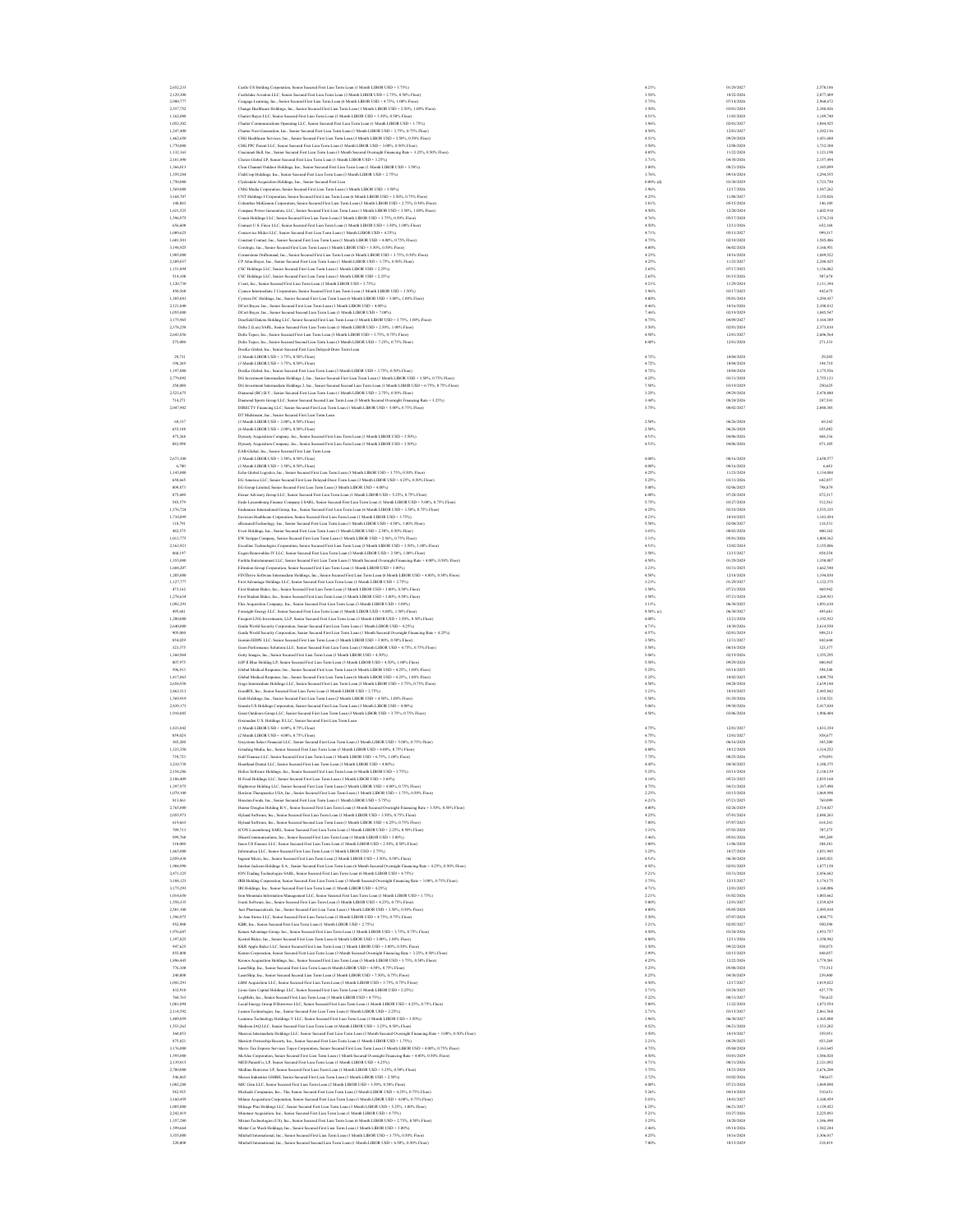| 2,652,233              |       | Castle US Holding Corporation, Senior Secured First Lien Term Loan (1 Month LIBOR USD + 3.75%)                                                                                                                                              | 4.21%          | 01/29/2027               | 2,570,186              |
|------------------------|-------|---------------------------------------------------------------------------------------------------------------------------------------------------------------------------------------------------------------------------------------------|----------------|--------------------------|------------------------|
| 2.129.300<br>2.980.777 |       | Castlelake Aviation LLC, Senior Secured First Lien Term Loan (3 Month LIBOR USD + 2.75%, 0.50% Floor)<br>Cengage Learning, Inc., Senior Secured First Lien Term Loan (6 Month LIBOR USD + 4.75%, 1.00% Floor)                               | 3.58%<br>5.75% | 10/22/2026<br>07/14/2026 | 2.077,409<br>2,960,672 |
| 2,357,752              |       | Change Healthcare Holdings, Inc., Senior Secured First Lien Term Loan (1 Month LIBOR USD + 2.50%, 1.00% Floor)                                                                                                                              | 3.50%          | 03/01/2024               | 2,348,026              |
| 1,162,088              |       | Chariot Buyer LLC, Senior Secured First Lien Term Loan (3 Month LIBOR USD + 3.50%, 0.50% Floor)                                                                                                                                             | 4.51%          | 11/03/2028               | 1,149,740              |
| 1,052,302              |       | Charter Communications Operating LLC, Senior Secured First Lien Term Loan (1 Month LIBOR USD + 1.75%)                                                                                                                                       | 1.96%          | 02/01/2027               | 1,044,925              |
| 1,247,400              |       | Charter Next Generation, Inc., Senior Secured First Lien Term Loan (1 Month LIBOR USD + 3.75%, 0.75% Floor)                                                                                                                                 | 4.50%          | 12/01/2027               | 1,242,136              |
| 1,462,650              |       | CHG Healthcare Services, Inc., Senior Secured First Lien Term Loan (3 Month LIBOR USD + 3.50%, 0.50% Floor)                                                                                                                                 | 4.51%          | 09/29/2028               | 1,451,680              |
| 1,770,000<br>1.132.163 |       | CHG PPC Parent LLC, Senior Secured First Lien Term Loan (1 Month LIBOR USD + 3.00%, 0.50% Floor)<br>Cincinnati Bell, Inc., Senior Secured First Lien Term Loan (3 Month Secured Overnight Financing Rate + 3.25%, 0.50% Floor)              | 3.50%<br>4.05% | 12/08/2028<br>11/22/2028 | 1,732,388<br>1.121.198 |
| 2.181.490              |       | Clarios Global LP, Senior Secured First Lien Term Loan (1 Month LIBOR USD + 3.25%)                                                                                                                                                          | 3.71%          | 04/30/2026               | 2.157,494              |
| 1,366,013              |       | Clear Channel Outdoor Holdings, Inc., Senior Secured First Lien Term Loan (1 Month LIBOR USD + 3.50%)                                                                                                                                       | 3.80%          | 08/21/2026               | 1,345,099              |
| 1,359,284              |       | ClubCorp Holdings, Inc., Senior Secured First Lien Term Loan (3 Month LIBOR USD + 2.75%)                                                                                                                                                    | 3.76%          | 09/18/2024               | 1,294,555              |
| 1,750,000              |       | Clydesdale Acquisition Holdings, Inc., Senior Secured First Lien                                                                                                                                                                            | $0.00\%$ (d)   | 03/30/2029               | 1,723,750              |
| 1,569,088              |       | CMG Media Corporation, Senior Secured First Lien Term Loan (1 Month LIBOR USD + 3.50%)                                                                                                                                                      | 3.96%          | 12/17/2026               | 1,547,262              |
| 3,168,707<br>148,083   |       | CNT Holdings I Corporation, Senior Secured First Lien Term Loan (6 Month LIBOR USD + 3.50%, 0.75% Floor)<br>Columbus McKinnon Corporation, Senior Secured First Lien Term Loan (3 Month LIBOR USD + 2.75%, 0.50% Floor)                     | 4.25%<br>3.81% | 11/08/2027<br>05/15/2028 | 3,155,826<br>146,109   |
| 1,621,525              |       | Compass Power Generation, LLC, Senior Secured First Lien Term Loan (1 Month LIBOR USD + 3.50%, 1.00% Floor)                                                                                                                                 | 4.50%          | 12/20/2024               | 1,602,918              |
| 1,596,975              |       | Conair Holdings LLC, Senior Secured First Lien Term Loan (3 Month LIBOR USD + 3.75%, 0.50% Floor)                                                                                                                                           | 4.76%          | 05/17/2028               | 1,574,218              |
| 656,600                |       | Connect U.S. Finco LLC, Senior Secured First Lien Term Loan (1 Month LIBOR USD + 3.50%, 1.00% Floor)                                                                                                                                        | 4.50%          | 12/11/2026               | 652.168                |
| 1,009,625              |       | Conservice Mideo LLC, Senior Secured First Lien Term Loan (1 Month LIBOR USD + 4.25%)                                                                                                                                                       | 4.71%          | 05/13/2027               | 999,317                |
| 1,601,501              |       | Constant Contact, Inc., Senior Secured First Lien Term Loan (1 Month LIBOR USD + 4.00%, 0.75% Floor)                                                                                                                                        | 4.75%          | 02/10/2028               | 1,585,486              |
| 3,198,925<br>1,905,000 |       | Corclogic, Inc., Senior Secured First Lien Term Loan (1 Month LIBOR USD + 3.50%, 0.50% Floor)<br>te OnDemand. Inc., Senior Secured First Lien Term Loan (6 Month LIBOR USD + 3.75%, 0.50% Floor)                                            | 4.00%<br>4.25% | 06/02/2028<br>10/16/2028 | 3,168,951<br>1,889,522 |
| 2,309,037              |       | CP Atlas Buyer, Inc., Senior Secured First Lien Term Loan (1 Month LIBOR USD + 3.75%, 0.50% Floor)                                                                                                                                          | 4.25%          | 11/23/2027               | 2,248,425              |
| 1,151,894              |       | CSC Holdings LLC, Senior Secured First Lien Term Loan (1 Month LIBOR USD + 2.25%)                                                                                                                                                           | 2.65%          | 07/17/2025               | 1,136,062              |
| 514,100                |       | CSC Holdings LLC. Senior Secured First Lien Term Loan (1 Month LIBOR USD + 2.25%)                                                                                                                                                           | 2.65%          | 01/15/2026               | 507,674                |
| 1.120.730              |       | Cvent, Inc., Senior Secured First Lien Term Loan (1 Month LIBOR USD + 3.75%)                                                                                                                                                                | 4.21%          | 11/29/2024               | 1,111,394              |
| 450,560                |       | Cyanco Intermediate 2 Corporation, Senior Secured First Lien Term Loan (1 Month LIBOR USD + 3.50%)                                                                                                                                          | 3.96%          | 03/17/2025               | 442,675                |
| 1,305,041              |       | Cystera DC Holdings, Inc., Senior Secured First Lien Term Loan (6 Month LIBOR USD + 3.00%, 1.00% Floor)                                                                                                                                     | 4.00%          | 05/01/2024               | 1,294,437              |
| 2,121,040<br>1,055,000 |       | DCert Buyer, Inc., Senior Secured First Lien Term Loan (1 Month LIBOR USD + 4.00%)<br>DCert Buyer, Inc., Senior Secured Second Lien Term Loan (1 Month LIBOR USD + 7.00%)                                                                   | 4.46%<br>7.46% | 10/16/2026<br>02/19/2029 | 2,108,812<br>1,045,547 |
| 3,175,965              |       | Deerfield Dakota Holding LLC, Senior Secured First Lien Term Loan (1 Month LIBOR USD + 3.75%, 1.00% Floor)                                                                                                                                  | 4.75%          | 04/09/2027               | 3,164,389              |
| 2,378,258              |       | Delta 2 (Lux) SARL, Senior Secured First Lien Term Loan (1 Month LIBOR USD + 2.50%, 1.00% Floor)                                                                                                                                            | 3.50%          | 02/01/2024               | 2,373,810              |
| 2,643,856              |       | Delta Topco, Inc., Senior Secured First Lien Term Loan (3 Month LIBOR USD + 3.75%, 0.75% Floor)                                                                                                                                             | 4.50%          | 12/01/2027               | 2,606,564              |
| 275,000                |       | Delta Topeo, Inc., Senior Secured Second Lien Term Loan (3 Month LIBOR USD + 7,25%, 0.75% Floor)                                                                                                                                            | 8,00%          | 12/01/2028               | 271,333                |
|                        |       | DexKo Global, Inc., Senior Secured First Lien Delayed-Draw Term Loan                                                                                                                                                                        |                |                          |                        |
| 29,731                 |       | (1 Month LIBOR USD + 3.75%, 0.50% Floor                                                                                                                                                                                                     | 4.72%          | 10/04/2028               | 29,205                 |
| 198,269<br>1,197,000   |       | (3 Month LIBOR USD + 3.75%, 0.50% Floor)<br>DexKo Global, Inc., Senior Secured First Lien Term Loan (3 Month LIBOR USD + 3.75%, 0.50% Floor)                                                                                                | 4.72%<br>4.72% | 10/04/2028<br>10/04/2028 | 194,710<br>1,175,556   |
| 2,779,092              |       | DG Investment Intermediate Holdings 2, Inc., Senior Secured First Lien Term Loan (1 Month LIBOR USD + 3.50%, 0.75% Floor)                                                                                                                   | 4.25%          | 03/31/2028               | 2,755,123              |
| 250,000                |       | DG Investment Intermediate Holdinas 2, Inc., Senior Secured Second Lien Term Loan (1 Month LIBOR USD + 6.75%, 0.75% Floor)                                                                                                                  | 7.50%          | 03/19/2029               | 250,625                |
| 2,523,675              |       | Diamond (BC) B.V., Senior Secured First Lien Term Loan (1 Month LIBOR USD + 2.75%, 0.50% Floor)                                                                                                                                             | 3.25%          | 09/29/2028               | 2,478,880              |
| 714.271                |       | Diamond Sports Group LLC, Senior Secured Second Lien Term Loan (3 Month Secured Overnight Financing Rate + 3.25%)                                                                                                                           | 3,44%          | 08/24/2026               | 247,541                |
| 2.047.902              |       | DIRECTV Financing LLC, Senior Secured First Lien Term Loan (1 Month LIBOR USD + 5.00%, 0.75% Floor)                                                                                                                                         | 5.75%          | 08/02/2027               | 2.048.301              |
| 69,337                 |       | DT Midstream, Inc., Senior Secured First Lien Term Loan<br>(3 Month LIBOR USD + 2.00%, 0.50% Floor                                                                                                                                          | 2.50%          | 06/26/2028               | 69,342                 |
| 655,188                |       | (6 Month LIBOR USD + 2.00%, 0.50% Floor)                                                                                                                                                                                                    | 2.50%          | 06/26/2028               | 655,082                |
| 475,268                |       | Dynasty Acquisition Company, Inc., Senior Secured First Lien Term Loun (3 Month LIBOR USD + 3.50%)                                                                                                                                          | 4.51%          | 04/06/2026               | 468,336                |
| 883,998                |       | Dynasty Acquisition Company, Inc., Senior Secured First Lien Term Loan (3 Month LIBOR USD + 3.50%)                                                                                                                                          | 4.51%          | 04/06/2026               | 871,105                |
|                        |       | EAB Global, Inc., Senior Secured First Lien Term Loan                                                                                                                                                                                       |                |                          |                        |
| 2,673,300              |       | (1 Month LIBOR USD + 3.50%, 0.50% Floor)                                                                                                                                                                                                    | 4.00%          | 08/16/2028               | 2650.577               |
|                        | 6,700 | (3 Month LIBOR LISD + 3 50% 0 50% Elect                                                                                                                                                                                                     | 4.00%          | 08/16/2028               | 6,643                  |
| 1,145,000<br>650,665   |       | Echo Global Logistics, Inc., Senior Secured First Lien Term Loan (3 Month LIBOR USD + 3.75%, 0.50% Floor)<br>EG America LLC, Senior Secured First Lien Delayed-Draw Term Loan (3 Month LIBOR USD + 4.25%, 0.50% Floor)                      | 4.25%<br>5.25% | 11/23/2028<br>03/31/2026 | 1,134,088<br>642,857   |
| 809,873                |       | EG Group Limited, Senior Secured First Lien Term Loan (3 Month LIBOR USD + 4.00%)                                                                                                                                                           | 5.00%          | 02/06/2025               | 798,87                 |
| 875,600                |       | Eisner Advisory Group LLC, Senior Secured First Lien Term Loan (1 Month LIBOR USD + 5.25%, 0.75% Floor)                                                                                                                                     | 6.00%          | 07/28/2028               | 872,317                |
| 545,579                |       | Endo Luxembourg Finance Company I SARL, Senior Secured First Lien Term Loan (1 Month LIBOR USD + 5.00%, 0.75% Flore)                                                                                                                        | 5.75%          | 03/27/2028               | 512,561                |
| 1,576,724              |       | Endurance International Group, Inc., Senior Secured First Lien Term Loan (6 Month LIBOR USD + 3.50%, 0.75% Flore)                                                                                                                           | 4.25%          | 02/10/2028               | 1,535,335              |
| 1.710,899              |       | Envision Healthcare Corporation, Senior Secured First Lien Term Loan (1 Month LIBOR USD + 3.75%)                                                                                                                                            | 4.21%          | 10/10/2025               | 1.143.454              |
| 118,791                |       | eResearchTechnology, Inc., Senior Secured First Lien Term Loan (1 Month LIBOR USD + 4.50%, 1.00% Floor).                                                                                                                                    | 5.50%          | 02/04/2027<br>08/03/2028 | 118,531                |
| 482,575<br>1,013,775   |       | Everi Holdings, Inc., Senior Secured First Lien Term Loan (3 Month LIBOR USD + 2.50%, 0.50% Floor)<br>EW Scripps Company, Senior Secured First Lien Term Loan (1 Month LIBOR USD + 2.56%, 0.75% Floor)                                      | 3.01%<br>3.31% | 05/01/2026               | 480,162<br>1,004,362   |
| 2,163,921              |       | Excelitus Technologies Corporation, Senior Secured First Lien Term Loan (3 Month LIBOR USD + 3.50%, 1.00% Floor)                                                                                                                            | 4.51%          | 12/02/2024               | 2,155,806              |
| 860,197                |       | Exgen Renewables IV LLC, Senior Secured First Lien Term Loan (3 Month LIBOR USD + 2.50%, 1.00% Floor)                                                                                                                                       | 3.50%          | 12/15/2027               | 854,554                |
| 1,355,000              |       | Fertitta Entertainment LLC, Senior Secured First Lien Term Loan (1 Month Secured Overnight Financing Rate + 4.00%, 0.50% Floor)                                                                                                             | 4.50%          | 01/29/2029               | 1,350,007              |
| 1,684,207              |       | Filtration Group Corporation, Senior Secured First Lien Term Loan (1 Month LIBOR USD + 3.00%)                                                                                                                                               | 3.21%          | 03/31/2025               | 1,662,540              |
| 1,205,000              |       | FINThrive Software Intermediate Holdings, Inc., Senior Secured First Lien Term Loan (6 Month LIBOR USD + 4.00%, 0.50% Floor)                                                                                                                | 4.50%          | 12/18/2028               | 1,194,830              |
| 1.127.777<br>473,162   |       | First Advantage Holdings LLC, Senior Secured First Lien Term Loan (1 Month LIBOR USD + 2.75%)<br>First Student Bideo, Inc., Senior Secured First Lien Term Loan (3 Month LIBOR USD + 3.00%, 0.50% Floor)                                    | 3.21%<br>3.50% | 01/29/2027<br>07/21/2028 | 1.122.375<br>469,942   |
| 1,278,634              |       | First Student Bideo, Inc., Senior Secured First Lien Term Loan (3 Month LIBOR USD + 3.00%, 0.50% Floor)                                                                                                                                     | 3.50%          | 07/21/2028               | 1,269,933              |
| 1,092,293              |       | Flex Acquisition Company, Inc., Senior Secured First Lien Term Loan (3 Month LIBOR USD + 3.00%                                                                                                                                              | 3.13%          | 06/30/2025               | 1,091,610              |
| 495,681                |       | Foresight Energy LLC, Senior Secured First Lien Term Loan (1 Month LIBOR USD + 8.00%, 1.50% Floor)                                                                                                                                          | 9.50% (c)      | 06/30/2027               | 495,681                |
| 1,200,000              |       | Freeport LNG Investments, LLP, Senior Secured First Lien Term Loan (3 Month LIBOR USD + 3.50%, 0.50% Floor)                                                                                                                                 | 4.00%          | 12/21/2028               | 1,192,932              |
| 2,640,000              |       | Garda World Security Corporation, Senior Secured First Lien Term Loan (1 Month LIBOR USD + 4.25%)                                                                                                                                           | 4.71%          | 10/30/2026               | 2,614,550              |
| 905,000<br>854.029     |       | Garda World Security Corporation, Senior Secured First Lien Term Loan (1 Month Secured Overnight Financing Rate + 4.25%)<br>Gemini HDPE LLC, Senior Secured First Lien Term Loan (3 Month LIBOR USD + 3.00%, 0.50% Floor)                   | 4.57%<br>3.50% | 02/01/2029<br>12/31/2027 | 898,213<br>842,644     |
| 323.375                |       | see Solutions LLC, Senior Secured First Lien Term Loan (3 Month LIBOR USD + 4.75%, 0.75% Floor)<br>Geon Perfort                                                                                                                             | 5.50%          | 08/18/2028               | 323, 377               |
| 1,360,964              |       | Getty Images, Inc., Senior Secured First Lien Term Loan (3 Month LIBOR USD + 4.50%)                                                                                                                                                         | 5.06%          | 02/19/2026               | 1,355,295              |
| 807,975                |       | GIP II Blue Holding LP, Senior Secured First Lien Term Loan (3 Month LIBOR USD + 4.50%, 1.00% Floor)                                                                                                                                        | 5.50%          | 09/29/2028               | 806,965                |
| 596,913                |       | Global Medical Response, Inc., Senior Secured First Lien Term Loan (6 Month LIBOR USD + 4.25%, 1.00% Floor                                                                                                                                  | 5.25%          | 03/14/2025               | 594,248                |
| 1,417,063              |       | Global Medical Response, Inc., Senior Secured First Lien Term Loan (6 Month LIBOR USD + 4.25%, 1.00% Floor)                                                                                                                                 | 5.25%          | 10/02/2025               | 1,409,758              |
| 2,654,938<br>2,462,513 |       | Gogo Intermediate Holdings LLC, Senior Secured First Lien Term Loan (3 Month LIBOR USD + 3.75%, 0.75% Floor)                                                                                                                                | 4.50%          | 04/28/2028<br>10/10/2025 | 2,639,180<br>2,445,842 |
| 1,569,919              |       | GeodRX, Inc., Senior Secured First Lien Term Loan (1 Month LIBOR USD + 2.75%)<br>Grab Holdings, Inc., Senior Secured First Lien Term Loan (2 Month LIBOR USD + 4.50%, 1.00% Floor)                                                          | 3.21%<br>5.50% | 01/29/2026               | 1,538,521              |
| 2.439.173              |       | Granite US Holdinas Corporation, Senior Secured First Lien Term Loan (3 Month LIBOR USD + 4.00%)                                                                                                                                            | 5.06%          | 09/30/2026               | 2.417.830              |
| 1,910,885              |       | Great Outdoors Group LLC, Senior Secured First Lien Term Loan (3 Month LIBOR USD + 3.75%, 0.75% Floor)                                                                                                                                      | 4.50%          | 03/06/2028               | 1,906,404              |
|                        |       | Greeneden U.S. Holdings II LLC, Senior Secured First Lien Term Loan                                                                                                                                                                         |                |                          |                        |
| 1,833,842              |       | (1 Month LIBOR USD + 4.00%, 0.75% Floor)                                                                                                                                                                                                    | 4.75%          | 12/01/2027               | 1,833,354              |
| 859,024                |       | (2 Month LIBOR USD + 4.00%, 0.75% Floor)                                                                                                                                                                                                    | 4.75%          | 12/01/2027               | 858,677                |
| 385,200<br>1,323,350   |       | Greystone Select Financial LLC, Senior Secured First Lien Term Loan (3 Month LIBOR USD + 5.00%, 0.75% Floor)<br>Grinding Media, Inc., Senior Secured First Lien Term Loan (3 Month LIBOR USD + 4.00%, 0.75% Floor)                          | 5.75%<br>4.80% | 06/16/2028<br>10/12/2028 | 385,200<br>1,314,252   |
| 739,723                |       | Gulf Finance LLC, Senior Secured First Lien Term Loan (1 Month LIBOR USD + 6.75%, 1.00% Floor)                                                                                                                                              | 7.75%          | 08/25/2026               | 679,091                |
| 3.210.738              |       | Heartland Dental LLC. Senior Secured First Lien Term Loan (1 Month LIBOR USD + 4.00%)                                                                                                                                                       | 4.45%          | 04/30/2025               | 3,188,375              |
| 2.154.286              |       | Helios Software Holdings, Inc., Senior Secured First Lien Term Loan (6 Month LIBOR USD + 3.75%)                                                                                                                                             | 5.25%          | 03/13/2028               | 2.138.139              |
| 2,106,409              |       | H-Food Holdings LLC, Senior Secured First Lien Term Loan (1 Month LIBOR USD + 3.69%)                                                                                                                                                        | 4.14%          | 05/23/2025               | 2,035,160              |
| 1.397,975              |       | Hightower Holding LLC, Senior Secured First Lien Term Loan (3 Month LIBOR USD + 4.00%, 0.75% Floor                                                                                                                                          | 4.75%          | 04/21/2028               | 1,387,490              |
| 1,079,100<br>813,861   |       | Horizon Therapeutics USA, Inc., Senior Secured First Lien Term Loan (1 Month LIBOR USD + 1.75%, 0.50% Floor)                                                                                                                                | 2.25%<br>6.21% | 03/15/2028<br>07/21/2025 | 1,069,998<br>769,095   |
| 2,765,000              |       | ston Foods, Inc., Senior Secured First Lien Term Loan (1 Month LIBOR USD + 5.75%)<br>Hunter Douglas Holding B.V., Senior Secured First Lien Term Loan (3 Month Secured Overnight Financing Rate + 3.50%, 0.50% Floor)                       | 4.00%          | 02/26/2029               | 2,714,027              |
| 2,055,973              |       | Hyland Software, Inc., Senior Secured First Lien Term Loan (1 Month LIBOR USD + 3.50%, 0.75% Floor)                                                                                                                                         | 4.25%          | 07/01/2024               | 2,048,263              |
| 619,663                |       | Hyland Software, Inc., Senior Secured Second Lien Term Loan (J. Month J. IBOR 1350 + 6.25%), 0.75% Elecci                                                                                                                                   | 7,00%          | 07/07/2025               | 614.241                |
| 709,713                |       | ICON Luxembourg SARL, Senior Secured First Lien Term Loan (3 Month LIBOR USD + 2.25%, 0.50% Floor)                                                                                                                                          | 3.31%          | 07/03/2028               | 707,275                |
| 999,768                |       | IHeartCommunications, Inc., Senior Secured First Lien Term Loan (1 Month LIBOR USD + 3.00%)                                                                                                                                                 | 3,46%          | 05/01/2026               | 995.205                |
| 310,000<br>1,865,000   |       | Incos US Finance LLC, Senior Secured First Lien Term Loan (1 Month LIBOR USD + 2.50%, 0.50% Floor)                                                                                                                                          | 3.00%<br>3.25% | 11/06/2028<br>10/27/2028 | 304,381<br>1,851,94    |
| 2,059,438              |       | Informatica LLC, Senior Secured First Lien Term Loan (1 Month LIBOR USD + 2.75%)<br>Ingram Micro, Inc., Senior Secured First Lien Term Loan (3 Month LIBOR USD + 3.50%, 0.50% Floor)                                                        | 4.51%          | 06/30/2028               | 2,045,021              |
| 1,904,990              |       |                                                                                                                                                                                                                                             | 4.92%          | 02/01/2029               | 1,877,158              |
| 2,471,325              |       | Intelsat Jackson Holdings S.A., Senior Secured First Lien Term Loan (6 Month Secured Overnight Financing Rate + 4.25%, 0.50% Floor                                                                                                          |                | 03/31/2028               | 2,456,682              |
| 3.188.123              |       | JON Trading Technologies SARL, Senior Secured First Lien Term Loan (6 Month LIBOR USD + 4.75%)                                                                                                                                              | 5.21%          |                          |                        |
|                        |       | IRB Holding Corporation, Senior Secured First Lien Term Loan (3 Month Secured Overnight Financing Rate + 3.00%, 0.75% Floor)                                                                                                                | 3.75%          | 12/15/2027               | 3.174.175              |
| 3.175.293              |       | IRI Holdings, Inc., Senior Secured First Lien Term Loan (1 Month LIBOR USD + 4.25%)                                                                                                                                                         | 4.71%          | 12/01/2025               | 3,168,006              |
| 1.014.650              |       | Iron Mountain Information Management LLC, Senior Secured First Lien Term Loan (1 Month LIBOR USD + 1.75%)                                                                                                                                   | 2.21%          | 01/02/2026               | 1.003.662              |
| 1,558,335              |       | Ivanti Software, Inc., Senior Secured First Lien Term Loan (3 Month LIBOR USD + 4.25%, 0.75% FI                                                                                                                                             | 5.00%          | 12/01/2027               | 1,539,829              |
| 2,501,100<br>1,596,975 |       | Jazz Pharmaceuticals, Inc., Senior Secured First Lien Term Loan (1 Month LIBOR USD + 3.50%, 0.50% Floor)                                                                                                                                    | 4.00%<br>5.50% | 05/05/2028<br>07/07/2028 | 2,495,010<br>1,404,771 |
| 952,980                |       | Jo-Ann Stores LLC, Senior Secured First Lien Term Loan (1 Month LIBOR USD + 4.75%, 0.75% Floor)<br>KBR, Inc., Senior Secured First Lien Term Loan (1 Month LIBOR USD + 2.75%)                                                               | 3.21%          | 02/05/2027               | 950,598                |
| 1,976,607              |       | Kenan Advantage Group, Inc., Senior Secured First Lien Term Loan (1 Month LIBOR USD + 3.75%, 0.75% Floor)                                                                                                                                   | 4.50%          | 03/24/2026               | 1,953,757              |
| 1,397,825              |       | Kestrel Bidco, Inc., Senior Secured First Lien Term Loan (6 Month LIBOR USD + 3.00%, 1.00% Floor)                                                                                                                                           | 4.00%          | 12/11/2026               | 1,350,942              |
| 947,625                |       | KKR Apple Bidco LLC, Senior Secured First Lien Term Loan (1 Month LIBOR USD + 3.00%, 0.50% Floor)                                                                                                                                           | 3.50%          | 09/22/2028               | 938,073                |
| 855,000                |       | Kraton Corporation, Senior Secured First Lien Term Loan (3 Month Secured Overnight Financing Rate + 3.25%, 0.50% Floor)                                                                                                                     | 3.99%          | 03/15/2029               | 848, 057               |
| 1,896,445<br>776.100   |       | Kronos Acquisition Holdings, Inc., Senior Secured First Lien Term Loan (3 Month LIBOR USD + 3.75%, 0.50% Floor)                                                                                                                             | 4.25%          | 12/22/2026<br>05/08/2028 | 1,779,501              |
| 240,000                |       | LaserShip, Inc., Senior Secured First Lien Term Loan (6 Month LIBOR USD + 4.50%, 0.75% Flor                                                                                                                                                 | 5.25%<br>8.25% | 04/30/2029               | 773,512<br>239,400     |
| 1,043,291              |       | LaserShip, Inc., Senior Secured Second Lien Term Loan (3 Month LIBOR USD + 7.50%, 0.75% Floor)<br>LBM Acquisition LLC, Senior Secured First Lien Term Loan (3 Month LIBOR USD + 3.75%, 0.75% Floor)                                         | 4.50%          | 12/17/2027               | 1,019,822              |
| 432,918                |       | Lions Gate Capital Holdings LLC, Senior Secured First Lien Term Loan (1 Month LIBOR USD + 2.25%)                                                                                                                                            | 2.71%          | 03/24/2025               | 427,779                |
| 768,763                |       | LogMeln, Inc., Senior Secured First Lien Term Loan (1 Month LIBOR USD + 4.75%)                                                                                                                                                              | 5.22%          | 08/31/2027               | 756,632                |
| 1.081.094              |       | Lucid Energy Group II Borrower LLC, Senior Secured First Lien Term Loan (1 Month LIBOR USD + 4.25%, 0.75% Floor)                                                                                                                            | 5.00%          | 11/22/2028               | 1.073.554              |
| 2.114.592              |       | Lumen Technologies, Inc., Senior Secured First Lien Term Loan (1 Month LIBOR USD + 2.25%)                                                                                                                                                   | 2.71%          | 03/15/2027               | 2.061.568              |
| 1,409,859              |       | nus Technology Holdings V LLC, Senior Secured First Lien Term Loan (1 Month LIBOR USD + 3.50%                                                                                                                                               | 3.96%          | 06/30/2027               | 1,365,808              |
| 1,553,263<br>360,853   |       | Madison IAQ LLC, Senior Secured First Lien Term Loan (6 Month LIBOR USD + 3.25%, 0.50% Floor)                                                                                                                                               | 4.52%<br>3.50% | 06/21/2028<br>10/19/2027 | 1,533,202<br>359,95    |
| 875,821                |       | Maravai Intermediate Holdings LLC, Senior Secured First Lien Term Loan (3 Month Secured Overnight Financing Rate + 3.00%, 0.50% Floor)<br>Marriott Ownership Resorts, Inc., Senior Secured First Lien Term Loan (1 Month LIBOR USD + 1.75%) | 2.21%          | 08/29/2025               | 853,269                |
| 3,176,000              |       | Mavis Tire Express Services Topco Corporation, Senior Secured First Lien Term Loan (3 Month LIBOR USD + 4.00%, 0.75% Floor)                                                                                                                 | 4.75%          | 05/04/2028               | 3,163,645              |
| 1,595,000              |       | McAfee Corporation, Senior Secured First Lien Term Loan (1 Month Secured Overnight Financing Rate + 4.00%, 0.50% Floor)                                                                                                                     | 4.50%          | 03/01/2029               | 1,586,028              |
| 2.139.815              |       | MED ParentCo, LP. Senior Secured First Lien Term Loan (1 Month LIBOR USD + 4.25%)                                                                                                                                                           | 4.71%          | 08/31/2026               | 2.121.092              |
| 2.700,000              |       | Medline Borrower LP, Senior Secured First Lien Term Loan (1 Month LIBOR USD + 3.25%, 0.50% Floor)                                                                                                                                           | 3.75%          | 10/23/2028               | 2,676,200              |
| 546,865<br>1,082,288   |       | Messer Industries GMBH, Senior Secured First Lien Term Loan (3 Month LIBOR USD + 2.50%)<br>MIC Glen LLC, Senior Secured First Lien Term Loan (2 Month LIBOR USD + 3.50%, 0.50% Floor                                                        | 2.72%<br>4.00% | 03/02/2026<br>07/21/2028 | 540,637<br>1,069,890   |
| 542,925                |       | Michaels Companies, Inc., The, Senior Secured First Lien Term Loan (3 Month LIBOR USD + 4.25%, 0.75% Floor)                                                                                                                                 | 5.26%          | 04/14/2028               | 510,651                |
| 3,160,459              |       | Milano Acquisition Corporation, Senior Secured First Lien Term Loan (3 Month LIBOR USD + 4.00%, 0.75% Floor)                                                                                                                                | 5.01%          | 10/01/2027               | 3,160,459              |
| 1,085,000              |       | Mileage Plus Holdings LLC, Senior Secured First Lien Term Loan (3 Month LIBOR USD + 5.25%, 1.00% Floor)                                                                                                                                     | 6.25%          | 06/21/2027               | 1,129,452              |
| 2,242,419              |       | Minotaur Acquisition, Inc., Senior Secured First Lien Term Loan (1 Month LIBOR USD + 4.75%)                                                                                                                                                 | 5.21%          | 03/27/2026               | 2,225,893              |
| 1,357,280              |       | Mirion Technologies (US), Inc., Senior Secured First Lien Term Loan (6 Month LIBOR USD + 2.75%, 0.50% Floor)                                                                                                                                | 3.25%          | 10/20/2028               | 1,346,490              |
| 1,599,664<br>3,355,000 |       | Mister Car Wash Holdings, Inc., Senior Secured First Lien Term Loan (1 Month LIBOR USD + 3.00%)<br>Mitchell International, Inc., Senior Secured First Lien Term Loan (3 Month LIBOR USD + 3.75%, 0.50% Floor)                               | 3,46%<br>4.25% | 05/14/2026<br>10/16/2028 | 1.582.244<br>3,306,017 |
| 220,000                |       | Mitchell International, Inc., Senior Secured Second Lien Term Loan (1 Month LIBOR USD + 6.50%, 0.50% Floor)                                                                                                                                 | 7.00%          | 10/15/2029               | 218,419                |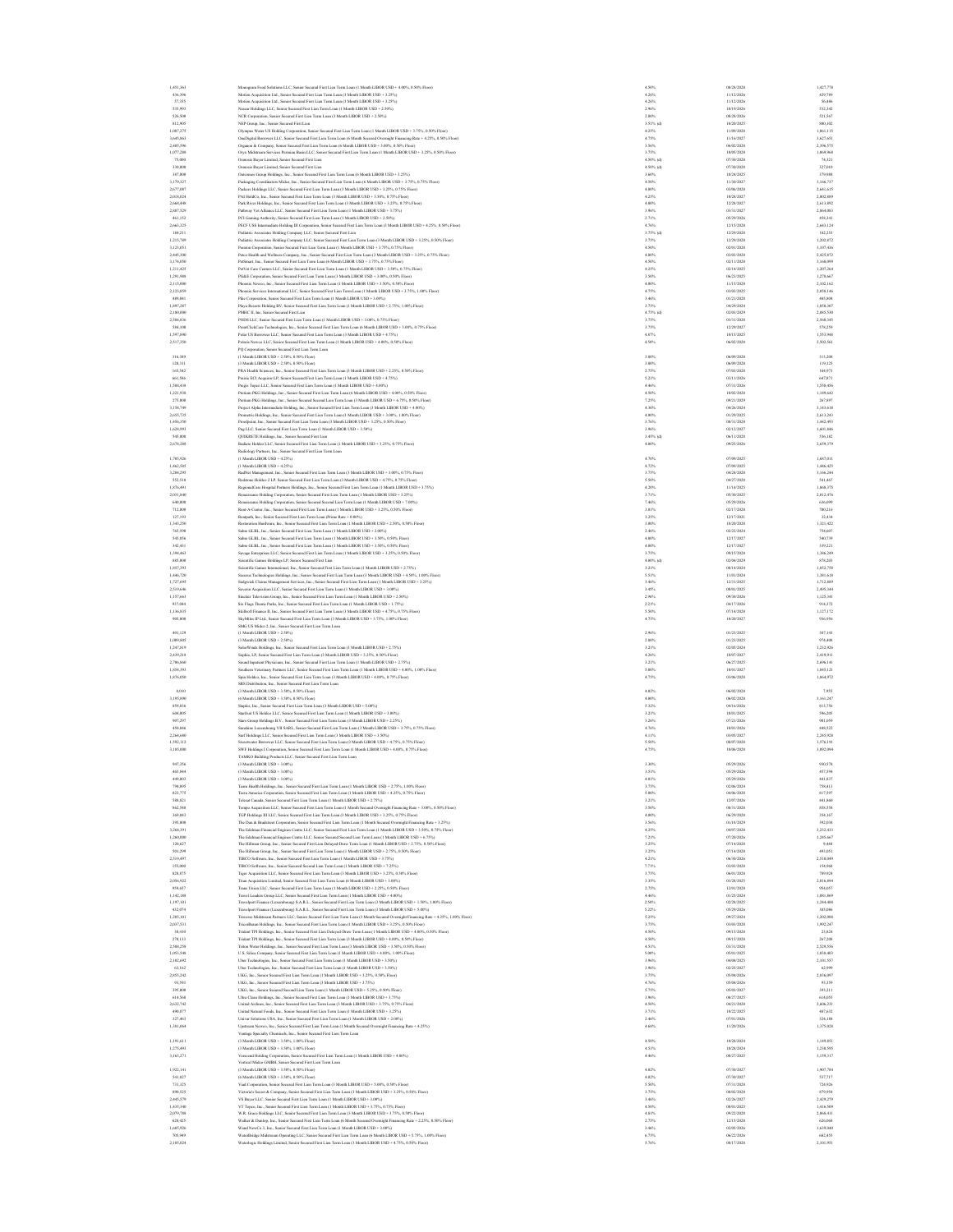| 1,451,363              | Monogram Food Solutions LLC, Senior Secured First Lien Term Loan (1 Month LIBOR USD + 4.00%, 0.50% Floor)                                                                                                                                        | 4.50%<br>08/28/2028                            |
|------------------------|--------------------------------------------------------------------------------------------------------------------------------------------------------------------------------------------------------------------------------------------------|------------------------------------------------|
| 436,396                | Motion Acquisition Ltd., Senior Secured First Lien Term Loan (3 Month LIBOR USD + 3.25%)                                                                                                                                                         | 4.26%<br>11/12/2026                            |
| 57,355                 | Motion Acquisition Ltd., Senior Secured First Lien Term Loan (3 Month LIBOR USD + 3.25%)                                                                                                                                                         | 11/12/2026<br>4.26%                            |
| 535.993                | Naucar Holdings LLC: Senior Secured First Lien Term Loan (1 Month LIBOR USD + 2.50%).                                                                                                                                                            | 2.96%<br>10/19/2026                            |
| 526,500                | NCR Corporation. Senior Secured First Lien Term Loan (3 Month LIBOR USD + 2.50%)                                                                                                                                                                 | 2,80%<br>08/28/2026                            |
| 812.905                | NEP Group, Inc., Senior Secured First Lien                                                                                                                                                                                                       | $3.51%$ (d)<br>10/20/2025                      |
| 1,087,275              | Olympus Water US Holding Corporation, Senior Secured First Lien Term Loan (1 Month LIBOR USD + 3.75%, 0.50% Floor)                                                                                                                               | 4.25%<br>11/09/2028                            |
| 3,645,863              | OneDigital Borrower LLC, Senior Secured First Lien Term Loan (6 Month Secured Overnight Financing Rate + 4.25%, 0.50% Floor)                                                                                                                     | 4.75%<br>11/16/2027                            |
| 2,405,596              | Organon & Company, Senior Secured First Lien Term Loan (6 Month LIBOR USD + 3.00%, 0.50% Floor)                                                                                                                                                  | 3.56%<br>06/02/2028                            |
| 1,077,288              | Oryx Midstream Services Permian Basin LLC, Senior Secured First Lien Term Loan (1 Month LIBOR USD + 3.25%, 0.50% Floor)                                                                                                                          | 10/05/2028<br>3.75%                            |
| 75,000                 | Osmosis Buyer Limited, Senior Secured First Lien                                                                                                                                                                                                 | 4.50% (d)<br>07/30/2028                        |
| 330,000                | Osmosis Buyer Limited, Senior Secured First Lien                                                                                                                                                                                                 | 4.50% (d)<br>07/30/2028                        |
| 387,000                | Outcomes Group Holdings, Inc., Senior Secured First Lien Term Loan (6 Month LIBOR USD + 3.25%)                                                                                                                                                   | 3,60%<br>10/24/2025                            |
| 3,179,327              | Packaging Coordinators Midco, Inc., Senior Secured First Lien Term Loan (6 Month LIBOR USD + 3.75%, 0.75% Floor)                                                                                                                                 | 4.50%<br>11/30/2027                            |
| 2,677,087              | Packers Holdings LLC, Senior Secured First Lien Term Loan (3 Month LIBOR USD + 3.25%, 0.75% Floor)                                                                                                                                               | 4.00%<br>03/06/2028                            |
| 2,018,024              | PAI HoldCo, Inc., Senior Secured First Lien Term Loan (3 Month LIBOR USD + 3.50%, 0.75% Floor)                                                                                                                                                   | 4.25%<br>10/28/2027                            |
| 2,668,448              | Park River Holdings, Inc., Senior Secured First Lien Term Loan (3 Month LIBOR USD + 3.25%, 0.75% Floor)                                                                                                                                          | 12/28/2027<br>4.00%                            |
| 2,887,529              | Pathway Vet Alliance LLC, Senior Secured First Lien Term Loan (1 Month LIBOR USD + 3.75%)                                                                                                                                                        | 03/31/2027<br>3.96%                            |
| 461,152                | PCI Gaming Authority, Senior Secured First Lien Term Loan (1 Month LIBOR USD + 2.50%)                                                                                                                                                            | 05/29/2026<br>2.71%                            |
| 2,663,325              | PECF USS Intermediate Holding III Corporation, Senior Secured First Lien Term Loan (3 Month LIBOR USD + 4.25%, 0.50% Floor)                                                                                                                      | 12/15/2028<br>4.76%                            |
| 184,211<br>1,215,789   | Pediatric Associates Holding Company LLC, Senior Secured First Lien                                                                                                                                                                              | 3.75% (d)<br>12/29/2028<br>3.75%<br>12/29/2028 |
| 3.123.051              | Pediatric Associates Holding Company LLC, Senior Secured First Lien Term Loan (3 Month LIBOR USD + 3.25%, 0.50% Floor)<br>Peraton Cornoration, Senior Secured First Lien Term Loan (1 Month LIBOR USD + 3.75%, 0.75% Floor)                      | 4.50%<br>02/01/2028                            |
| 2,445,300              | Peteo Health and Wellness Company, Inc., Senior Secured First Lien Term Loan (3 Month LIBOR USD + 3.25%, 0.75% Floor)                                                                                                                            | 03/03/2028<br>4.00%                            |
|                        |                                                                                                                                                                                                                                                  |                                                |
| 3,174,050<br>1,211,425 | PetSmart, Inc., Senior Secured First Lien Term Loan (6 Month LIBOR USD + 3.75%, 0.75% Floor)                                                                                                                                                     | 4.50%<br>02/11/2028<br>4.25%<br>02/14/2025     |
|                        | PelVet Care Centers LLC, Senior Secured First Lien Term Loan (1 Month LIBOR USD + 3.50%, 0.75% Floor)<br>PG&E Corroration, Senior Secured First Lien Term Loan (3 Month LIBOR USD + 3.00%, 0.50% Floor)                                          |                                                |
| 1,291,988              |                                                                                                                                                                                                                                                  | 06/23/2025<br>3.50%                            |
| 2,115,000              | Phoenix Newco, Inc., Senior Secured First Lien Term Loan (1 Month LIBOR USD + 3.50%, 0.50% Floor)                                                                                                                                                | 11/15/2028<br>4.00%                            |
| 2.123,859<br>489.041   | Phoenix Services International LLC. Senior Secured First Lien Term Loan (1 Month LIBOR USD + 3.75%, 1.00% Floor)<br>Pike Corporation, Senior Secured First Lien Term Loan (1 Month LIBOR USD + 3.00%)                                            | 4.75%<br>03/03/2025<br>3.46%<br>01/21/2028     |
| 1,897,287              |                                                                                                                                                                                                                                                  | 04/29/2024<br>3.75%                            |
| 2,180,000              | Playa Resorts Holding BV, Senior Secured First Lien Term Loan (1 Month LIBOR USD + 2.75%, 1.00% Floor)<br>PMHC II, Inc, Senior Secured First Lien                                                                                                | 4.75% (d)<br>02/03/2029                        |
| 2,584,836              | PODS LLC, Senior Secured First Lien Term Loan (1 Month LIBOR USD + 3.00%, 0.75% Floor)                                                                                                                                                           | 3.75%<br>03/31/2028                            |
| \$84,100               | PointClickCare Technologies, Inc., Senior Secured First Lien Term Loan (6 Month LIBOR USD + 3.00%, 0.75% Floor)                                                                                                                                  | 3.75%<br>12/29/2027                            |
| 1,597,890              | Polar US Borrower LLC, Senior Secured First Lien Term Loan (3 Month LIBOR USD + 4.75%)                                                                                                                                                           | 10/15/2025<br>4.87%                            |
| 2,517,350              | Polaris Newco LLC, Senior Secured First Lien Term Loan (1 Month LIBOR USD + 4.00%, 0.50% Floor)                                                                                                                                                  | 4.50%<br>06/02/2028                            |
|                        | PO Corporation, Senior Secured First Lien Term Loan                                                                                                                                                                                              |                                                |
| 316,389                | (1 Month LIBOR USD + 2.50%, 0.50% Floor)                                                                                                                                                                                                         | 3,00%<br>06/09/2028                            |
| 120,311                | (3 Month LIBOR USD + 2.50%, 0.50% Floor)                                                                                                                                                                                                         | 06/09/2028<br>3,00%                            |
| 165,542                | PRA Health Sciences, Inc., Senior Secured First Lien Term Loan (3 Month LIBOR USD + 2.25%, 0.50% Floor)                                                                                                                                          | 07/03/2028<br>2.75%                            |
| 661,586                | Prairie ECI Acquiror LP, Senior Secured First Lien Term Loan (1 Month LIBOR USD + 4.75%)                                                                                                                                                         | 5.21%<br>03/11/2026                            |
| 1,588,438              | Presis Topeo LLC. Senior Secured First Lien Term Loan (1 Month LIBOR USD + 4.00%)                                                                                                                                                                | 4.46%<br>07/31/2026                            |
| 1,221,938              | um PKG Holdings, Inc., Senior Secured First Lien Term Loan (6 Month LIBOR USD + 4.00%, 0.50% Floor                                                                                                                                               | 4.50%<br>10/02/2028                            |
| 275,000                | Pretium PKG Holdings, Inc., Senior Secured Second Lien Term Loan (3 Month LIBOR USD + 6.75%, 0.50% Floor)                                                                                                                                        | 09/21/2029<br>7.25%                            |
| 3,158,749              | Project Alpha Intermediate Holding, Inc., Senior Secured First Lien Term Loan (3 Month LIBOR USD + 4.00%)                                                                                                                                        | 4.30%<br>04/26/2024                            |
| 2,655,735              | Prometric Holdings, Inc., Senior Secured First Lien Term Loan (1 Month LIBOR USD + 3.00%, 1.00% Floor)                                                                                                                                           | 4.00%<br>01/29/2025                            |
| 1,456,350              | Proofpoint, Inc., Senior Secured First Lien Term Loan (3 Month LIBOR USD + 3.25%, 0.50% Floor)                                                                                                                                                   | 3.76%<br>08/31/2028                            |
| 1,628,993              | Pug LLC, Senior Secured First Lien Term Loan (1 Month LIBOR USD + 3.50%)                                                                                                                                                                         | 02/12/2027<br>3.96%                            |
| \$45,000               | QUIKRETE Holdings, Inc., Senior Secured First Lien                                                                                                                                                                                               | $3.45%$ (d)<br>06/11/2028                      |
| 2,678,288              | Radiate Holdco LLC, Senior Secured First Lien Term Loan (1 Month LIBOR USD + 3.25%, 0.75% Floor)                                                                                                                                                 | 09/25/2026<br>4.00%                            |
|                        | Radiology Partners, Inc., Senior Secured First Lien Term Loan                                                                                                                                                                                    |                                                |
| 1,705,926              | (1 Month LIBOR USD + 4.25%)                                                                                                                                                                                                                      | 07/09/2025<br>4.70%                            |
| 1,462,585              | (1 Month LIBOR USD + 4.25%)                                                                                                                                                                                                                      | 07/09/2025<br>4.72%                            |
| 3.204.295              | RadNet Management, Inc., Senior Secured First Lien Term Loan (3 Month LIBOR USD + 3.00%, 0.75% Floor)                                                                                                                                            | 3.75%<br>04/24/2028                            |
| \$52,518               | Redstone Holdeo 2 LP, Senior Secured First Lien Term Loan (3 Month LIBOR USD + 4.75%, 0.75% Floor)                                                                                                                                               | 5.50%<br>04/27/2028                            |
| 1,876,491              | RegionalCare Hospital Partners Holdings, Inc., Senior Secured First Lien Term Loan (1 Month LIBOR USD + 3.75%)                                                                                                                                   | 11/14/2025<br>4.20%                            |
| 2,031,840              | Re<br>sance Holding Corporation, Senior Secured First Lien Term Loan (1 Month LIBOR USD + 3.25%)                                                                                                                                                 | 3.71%<br>05/30/2025                            |
| 640,000                | sance Holding Corporation, Senior Secured Second Lien Term Loan (1 Month LIBOR USD + 7.00%)                                                                                                                                                      | 7.46%<br>05/29/2026                            |
| 712,800                | Rent-A-Center, Inc., Senior Secured First Lien Term Loan (1 Month LIBOR USD + 3.25%, 0.50% Floor)                                                                                                                                                | 3.81%<br>02/17/2028                            |
| 127,193                | Rentpath, Inc., Senior Secured First Lien Term Loan (Prime Rate + 0.00%)                                                                                                                                                                         | 12/17/2021<br>3.25%                            |
| 1,343,250              | Restoration Hardware, Inc., Senior Secured First Lien Term Loan (1 Month LIBOR USD + 2.50%, 0.50% Floor)                                                                                                                                         | 10/20/2028<br>3.00%                            |
| 765,590                | Sabre GLBL, Inc., Senior Secured First Lien Term Loan (1 Month LIBOR USD + 2.00%)                                                                                                                                                                | 2.46%<br>02/22/2024                            |
| 545.856                | Sabre GLBL, Inc., Senior Secured First Lien Term Loan (1 Month LIBOR USD + 3.50% 0.50% Floor)                                                                                                                                                    | 4.00%<br>12/17/2027                            |
| 342.431                | Sabre GLBL, Inc., Senior Secured First Lien Term Loun (1 Month LIBOR USD + 3.50%, 0.50% Floor)                                                                                                                                                   | 4.00%<br>12/17/2027                            |
| 1,394,463              | Savage Enterprises LLC, Senior Secured First Lien Term Loan (1 Month LIBOR USD + 3.25%, 0.50% Floor)                                                                                                                                             | 3.75%<br>09/15/2028                            |
| 885,000                | Scientific Games Holdings LP, Senior Secured First Lien                                                                                                                                                                                          | $4.00\%$ (d)<br>02/04/2029                     |
| 1,857,393              | Scientific Games International, Inc., Senior Secured First Lien Term Loan (1 Month LIBOR USD + 2.75%)                                                                                                                                            | 08/14/2024<br>3.21%                            |
| 1,446,720              | Securus Technologies Holdings, Inc., Senior Secured First Lien Term Loan (3 Month LIBOR USD + 4.50%, 1.00% Floor)                                                                                                                                | 11/01/2024<br>5.51%                            |
| 1,727,695              | Sedgwick Claims Management Services, Inc., Senior Secured First Lien Term Loan (1 Month LIBOR USD + 3.25%)                                                                                                                                       | 12/31/2025<br>3.46%                            |
|                        | Severin Acquisition LLC, Senior Secured First Lien Term Loan (1 Month LIBOR USD + 3.00%)                                                                                                                                                         |                                                |
| 2,519,646              |                                                                                                                                                                                                                                                  | 3.45%<br>08/01/2025                            |
| 1.157,663              | Sinclair Television Group, Inc., Senior Secured First Lien Term Loan (1 Month LIBOR USD + 2.50%)                                                                                                                                                 | 2.96%<br>09/30/2026                            |
| 937.044                | Six Flags Theme Parks, Inc., Senior Secured First Lien Term Loan (1 Month LIBOR USD + 1.75%)                                                                                                                                                     | 2.21%<br>04/17/2026                            |
| 1,136,835              | Skillsoft Finance II, Inc., Senior Secured First Lien Term Loan (3 Month LIBOR USD + 4.75%, 0.75% Floor)                                                                                                                                         | 07/14/2028<br>5.50%                            |
| 905,000                | SkyMiles IP Ltd., Senior Secured First Lien Term Loan (3 Month LIBOR USD + 3.75%, 1.00% Floor)                                                                                                                                                   | 4.75%<br>10/20/2027                            |
|                        | SMG US Midco 2, Inc., Senior Secured First Lien Term Loan                                                                                                                                                                                        |                                                |
| 401,129                | (1 Month LIBOR USD + 2.50%)                                                                                                                                                                                                                      | 2.96%<br>01/23/2025                            |
| 1,009,805              | (3 Month LIBOR USD + 2.50%)                                                                                                                                                                                                                      | 01/23/2025<br>2.80%                            |
| 1,247,819              | SolarWinds Holdings, Inc., Senior Secured First Lien Term Loan (1 Month LIBOR USD + 2.75%)                                                                                                                                                       | 02/05/2024<br>3.21%                            |
| 2,439,218              | Sophia, LP, Senior Secured First Lien Term Loan (3 Month LIBOR USD + 3.25%, 0.50% Floor)                                                                                                                                                         | 4.26%<br>10/07/2027                            |
| 2.706,860              | Sound Inputient Physicians, Inc., Senior Secured First Lien Term Loan (1 Month LIBOR USD + 2.75%)                                                                                                                                                | 3.21%<br>06/27/2025                            |
| 1,854,393              | Southern Veterinary Partners LLC, Senior Secured First Lien Term Loan (1 Month LIBOR USD + 4.00%, 1.00% Floor)                                                                                                                                   | 10/01/2027<br>5,00%                            |
| 1,876,050              | Spin Holdco, Inc., Senior Secured First Lien Term Loan (3 Month LIBOR USD + 4.00%, 0.75% Floor)                                                                                                                                                  | 4.75%<br>03/06/2028                            |
|                        | SRS Distribution, Inc., Senior Secured First Lien Term Loan                                                                                                                                                                                      |                                                |
| 8,010                  | (3 Month LIBOR USD + 3.50%, 0.50% Floor)                                                                                                                                                                                                         | 4.02%<br>06/02/2028                            |
| 3,195,890              | (6 Month LIBOR USD + 3.50%, 0.50% Floor)                                                                                                                                                                                                         | 06/02/2028<br>4.00%                            |
| 859,036                | Staples, Inc., Senior Secured First Lien Term Loan (3 Month LIBOR USD + 5.00%)                                                                                                                                                                   | 5.32%<br>04/16/2026                            |
| 604,005<br>907.297     | Starfruit US Holdco LLC. Senior Secured First Lien Term Loan (1 Month LIBOR USD + 3.00%)<br>Stars Group Holdinas B.V., Senior Secured First Lien Term Loan (3 Month LIBOR USD + 2.25%)                                                           | 3.21%<br>10/01/2025<br>3.26%<br>07/21/2026     |
| 450,846                |                                                                                                                                                                                                                                                  | 10/01/2026                                     |
| 2,264,680              | Sunshine Luxembourg VII SARL, Senior Secured First Lien Term Loan (3 Month LIBOR USD + 3.75%, 0.75% Floor<br>Surf Holdings LLC, Senior Secured First Lien Term Loan (3 Month LIBOR USD + 3.50%)                                                  | 4.76%<br>4.11%<br>03/05/2027                   |
| 1,592,112              |                                                                                                                                                                                                                                                  | 08/07/2028<br>5.50%                            |
| 3,185,000              | Sweetwater Borrower LLC, Senior Secured First Lien Term Loan (3 Month LIBOR USD + 4.75%, 0.75% Floor)                                                                                                                                            | 10/06/2028<br>4.75%                            |
|                        | SWF Holdings I Corporation, Senior Secured First Lien Term Loan (1 Month LIBOR USD + 4.00%, 0.75% Floor)<br>TAMKO Building Products LLC, Senior Secured First Lien Term Loan                                                                     |                                                |
| 947,356                | (3 Month LIBOR USD + 3.00%)                                                                                                                                                                                                                      | 05/29/2026<br>3.30%                            |
| 465.844                | (3 Month LIBOR USD + 3.00%)                                                                                                                                                                                                                      | 3.51%<br>05/29/2026                            |
|                        | 3 Month LIBOR USD + 3 (                                                                                                                                                                                                                          |                                                |
| 794.895                | Team Health Holdings, Inc., Senior Secured First Lien Term Loan (1 Month LIBOR USD + 2.75%, 1.00% Floor)                                                                                                                                         | 3.75%<br>02/06/2024                            |
| 823,775                | Tecta America Corporation, Senior Secured First Lien Term Loan (1 Month LIBOR USD + 4.25%, 0.75% Floor)                                                                                                                                          | 5,00%<br>04/06/2028                            |
| \$88,821               | Telesat Canada, Senior Secured First Lien Term Loan (1 Month LIBOR USD + 2.75%)                                                                                                                                                                  | 12/07/2026<br>3.21%                            |
| 862,548                | Tempo Acquisition LLC, Senior Secured First Lien Term Loan (1 Month Secured Overnight Fina<br>cing Rate + 3.00%, 0.50% Floor)                                                                                                                    | 3.50%<br>08/31/2028                            |
| 369,043                | TGP Holdings III LLC, Senior Secured First Lien Term Loan (3 Month LIBOR USD + 3.25%, 0.75% Floor)                                                                                                                                               | 4.00%<br>06/29/2028                            |
| 395,000                | The Dan & Bradstreet Corporation, Senior Secured First Lien Term Loan (1 Month Secured Overnight Financing Rate + 3.25%)                                                                                                                         | 01/18/2029<br>3.56%                            |
| 3,264,391              | The Edelman Financial Engines Centre LLC, Senior Secured First Lien Term Loan (1 Month LIBOR USD + 3.50%, 0.75% Floor)                                                                                                                           | 04/07/2028<br>4.25%                            |
| 1,260,000              | The Edelman Financial Engines Centre LLC. Senior Secured Second Lien Term Loan (1 Month LIBOR USD + 6.75%).                                                                                                                                      | 7.21%<br>07/20/2026                            |
| 120,627                | The Hillman Group, Inc., Senior Secured First Lien Delayed-Draw Term Loan (1 Month LIBOR USD + 2.75%, 0.50% Floor)                                                                                                                               | 3.25%<br>07/14/2028                            |
| 501,259                | The Hillman Group, Inc., Senior Secured First Lien Term Loan (1 Month LIBOR USD + 2.75%, 0.50% Floor)                                                                                                                                            | 07/14/2028<br>3.25%                            |
| 2,519,497              | TIBCO Software, Inc., Senior Secured First Lien Term Loan (1 Month LIBOR USD + 3.75%)                                                                                                                                                            | 4.21%<br>06/30/2026                            |
| 155,000                | TIBCO Software, Inc., Senior Secured Second Lien Term Loan (1 Month LIBOR USD + 7.25%)                                                                                                                                                           | 7.71%<br>03/03/2028                            |
| 820,875                | Tiger Acquisition LLC, Senior Secured First Lien Term Loan (3 Month LIBOR USD + 3.25%, 0.50% Floor)                                                                                                                                              | 3.75%<br>06/01/2028                            |
| 2,056,922              | Titan Acquisition Limited, Senior Secured First Lien Term Loan (6 Month LIBOR USD + 3.00%)                                                                                                                                                       | 03/28/2025<br>3.35%                            |
| 959,657<br>1.142.188   | Trans Union LLC, Senior Secured First Lien Term Loan (1 Month LIBOR USD + 2.25%, 0.50% Floor)<br>Trevel Leaders Group LLC. Senior Secured First Lien Term Loan (1 Month LIBOR USD + 4 00%).                                                      | 2.75%<br>12/01/2028<br>4.46%<br>01/25/2024     |
| 1.197.101              | Travelport Finance (Luxembourg) S.A.R.L., Senior Secured First Lien Term Loan (3 Month LIBOR USD + 1.50%, 1.00% Floor)                                                                                                                           | 2.50%<br>02/28/2025                            |
| 432.074                |                                                                                                                                                                                                                                                  | 05/29/2026                                     |
| 1,205,101              | Travelport Finance (Luxembourg) S.A.R.L., Senior Secured First Lien Term Loan (3 Month LIBOR USD + 5.00%)                                                                                                                                        | 5.22%<br>09/27/2024<br>5.25%                   |
| 2,037,531              | Traverse Midstream Partners LLC, Senior Secured First Lien Term Loan (3 Month Secured Overnight Financing Rate + 4.25%, 1.00% Floor)<br>TricorBraun Holdings, Inc., Senior Secured First Lien Term Loan (1 Month LIBOR USD + 3.25%, 0.50% Floor) | 3.75%<br>03/03/2028                            |
| 38,410                 | Trident TPI Holdings, Inc., Senior Secured First Lien Delayed-Draw Term Loan (1 Month LIBOR USD + 4.00%, 0.50% Floor)                                                                                                                            | 4.50%<br>09/15/2028                            |
| 270,133                | Trident TPI Holdings, Inc., Senior Secured First Lien Term Loan (3 Month LIBOR USD + 4.00%, 0.50% Floor)                                                                                                                                         | 4.50%<br>09/15/2028                            |
| 2,588,258              | Triton Water Holdings, Inc., Senior Secured First Lien Term Loan (3 Month LIBOR USD + 3.50%, 0.50% Floor)                                                                                                                                        | 03/31/2028<br>4.51%                            |
| 1,053,548              | U.S. Silica Company, Senior Secured First Lien Term Loan (1 Month LIBOR USD + 4.00%, 1.00% Floor)                                                                                                                                                | 05/01/2025<br>5.00%                            |
| 2.102.692              | Uber Technologies, Inc., Senior Secured First Lien Term Loan (1 Month LIBOR USD + 3.50%)                                                                                                                                                         | 3.96%<br>04/04/2025                            |
| 63,162                 | Uber Technologies, Inc., Senior Secured First Lien Term Loan (1 Month LIBOR USD + 3.50%)                                                                                                                                                         | 3.96%<br>02/25/2027                            |
| 2,855,242              | UKG, Inc., Senior Secured First Lien Term Loun (1 Month LIBOR USD + 3.25%, 0.50% Floor)                                                                                                                                                          | 3.75%<br>05/04/2026                            |
| 93,593                 | UKG, Inc., Senior Secured First Lien Term Loan (3 Month LIBOR USD + 3.75%)                                                                                                                                                                       | 4.76%<br>05/04/2026                            |
| 395,000                | UKG, Inc., Senior Secured Second Lien Term Loan (1 Month LIBOR USD + 5.25%, 0.50% Floor)                                                                                                                                                         | 5.75%<br>05/03/2027                            |
| 614,568                | Ultra Clean Holdings, Inc., Senior Secured First Lien Term Loan (1 Month LIBOR USD + 3.75%)                                                                                                                                                      | 08/27/2025<br>3.96%                            |
| 2,632,742              | United Airlines, Inc., Senior Secured First Lien Term Loan (3 Month LIBOR USD + 3.75%, 0.75% Floor)                                                                                                                                              | 4.50%<br>04/21/2028                            |
| 490,877                | United Natural Foods, Inc., Senior Secured First Lien Term Loan (1 Month LIBOR USD + 3.25%)                                                                                                                                                      | 10/22/2025<br>3.71%                            |
| 327,463                | Univar Solutions USA, Inc., Senior Secured First Lien Term Loan (1 Month LIBOR USD + 2,00%)                                                                                                                                                      | 2.46%<br>07/01/2026                            |
| 1.381.064              | Upstream Newco, Inc., Senior Secured First Lien Term Loan (1 Month Secured Overnight Financing Rate + 4.25%)                                                                                                                                     | 4,68%<br>11/20/2026                            |
|                        | Vantage Specialty Chemicals, Inc., Senior Secured First Lien Term Loan                                                                                                                                                                           |                                                |
| 1,191,611              | (3 Month LIBOR USD + 3.50%, 1.00% Floor)                                                                                                                                                                                                         | 4.50%<br>10/28/2024                            |
| 1,275,493              | (3 Month LIBOR USD + 3.50%, 1.00% Floor)                                                                                                                                                                                                         | 10/28/2024<br>4.51%                            |
| 3,163,271              | Verscend Holding Corporation, Senior Secured First Lien Term Loan (1 Month LIBOR USD + 4.00%)                                                                                                                                                    | 08/27/2025<br>4.46%                            |
|                        | Vertical Mideo GMBH, Senior Secured First Lien Term Loan                                                                                                                                                                                         |                                                |
| 1,922,141              | (3 Month LIBOR USD + 3.50%, 0.50% Floor)                                                                                                                                                                                                         | 07/30/2027<br>4.02%                            |
| \$41,827               | (6 Month LIBOR USD + 3.50%, 0.50% Floor)                                                                                                                                                                                                         | 4.02%<br>07/30/2027                            |
| 731.325                | Viad Corporation, Senior Secured First Lien Term Loan (3 Month LIBOR USD + 5.00%, 0.50% Floor).                                                                                                                                                  | 5.50%<br>07/31/2028                            |
| 890.525                | Victoria's Secret & Company, Senior Secured First Lien Term Loan (3 Month LIBOR USD + 3.25%, 0.50% Floor)                                                                                                                                        | 3.75%<br>08/02/2028                            |
| 2,445,579              | VS Buyer LLC, Senior Secured First Lien Term Loan (1 Month LIBOR USD + 3.00%)                                                                                                                                                                    | 3.46%<br>02/26/2027                            |
| 1,435,340              | VT Topco, Inc., Senior Secured First Lien Term Loan (1 Month LIBOR USD + 3.75%, 0.75% Floor)                                                                                                                                                     | 4.50%<br>08/01/2025                            |
| 2,079,788              | W.R. Grace Holdings LLC, Senior Secured First Lien Term Loan (3 Month LIBOR USD + 3.75%, 0.50% Floor)                                                                                                                                            | 09/22/2028<br>4.81%                            |
| 628,425                | Walker & Danlop, Inc., Senior Secured First Lien Term Loan (6 Month Secured Overnight Financing Rate + 2.25%, 0.50% Floor)                                                                                                                       | 12/15/2028<br>2.75%                            |
| 1,685,926<br>705,949   | Wand NewCo 3, Inc., Senior Secured First Lien Term Loan (1 Month LIBOR USD + 3.00%)<br>WaterBridge Midstream Operating LLC, Senior Secured First Lien Term Loan (6 Month LIBOR USD + 5.75%, 1.00% Floor)                                         | 02/05/2026<br>3.46%<br>6.75%<br>06/22/2026     |
| 2.105.024              | Waterlogic Holdings Limited, Senior Secured First Lien Term Loan (3 Month LIBOR USD + 4.75%, 0.50% Floor                                                                                                                                         | 5.76%<br>08/17/2028                            |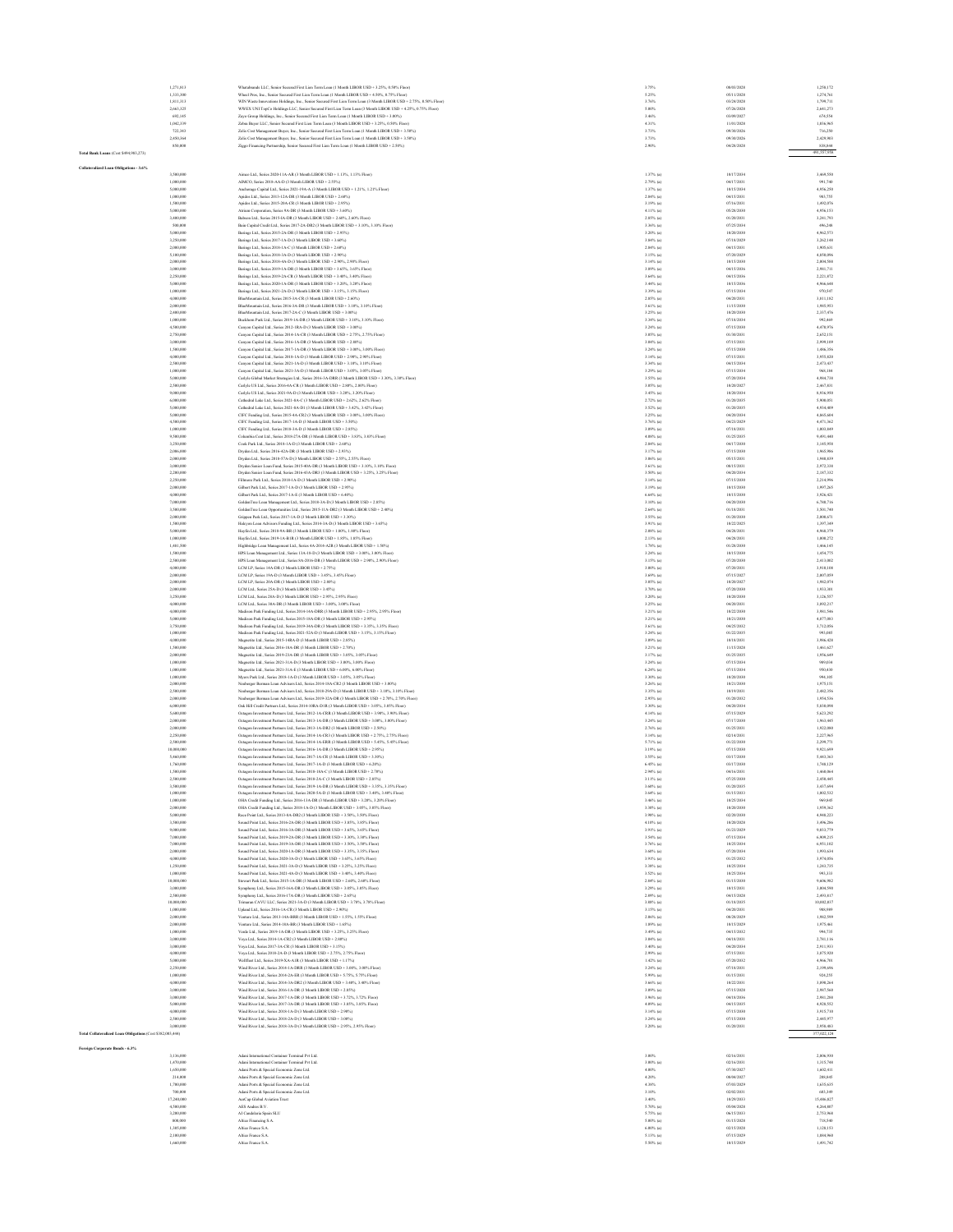|                                                            | 1.271.813                | Whatabrands LLC. Senior Secured First Lien Term Loan (1 Month LIBOR USD + 3.25%, 0.50% Floor)                                                                                                       | 3.75%                       | 08/03/2028               | 1.258,172              |
|------------------------------------------------------------|--------------------------|-----------------------------------------------------------------------------------------------------------------------------------------------------------------------------------------------------|-----------------------------|--------------------------|------------------------|
|                                                            | 1,333,300                | Wheel Pros, Inc., Senior Secured First Lien Term Loan (1 Month LIBOR USD + 4.50%, 0.75% Floor)                                                                                                      | 5.25%                       | 05/11/2028               | 1,274,761              |
|                                                            | 1,811,313                | WIN West-In<br>stions Holdings, Inc., Senior Secured First Lien Term Loan (3 Month LIBOR USD + 2.75%, 0.50% Floor)                                                                                  | 3.76%                       | 03/24/2028               | 1,799,711              |
|                                                            | 2,663,325                | WWEX UNI TopCo Holdings LLC, Senior Secured First Lien Term Loan (3 Month LIBOR USD + 4.25%, 0.75% Floor)                                                                                           | 5.00%                       | 07/26/2028               | 2,641,273              |
|                                                            | 692,145                  | Zayo Group Holdings, Inc., Senior Secured First Lien Term Loan (1 Month LIBOR USD + 3.00%)                                                                                                          | 3.46%                       | 03/09/2027               | 674,554                |
|                                                            | 1,042,339<br>722,343     | Zebra Bayer LLC, Senior Secured First Lien Term Loan (3 Month LIBOR USD + 3.25%, 0.50% Floor)<br>Zelis Cost Management Bayer, Inc., Senior Secured First Lien Term Loan (1 Month LIBOR USD + 3.50%) | 4.31%<br>3.73%              | 11/01/2028<br>09/30/2026 | 1,036,965<br>716,250   |
|                                                            | 2.450.364                | Zelis Cost Management Bayer, Inc., Senior Secured First Lien Term Loan (1 Month LIBOR USD + 3.50%)                                                                                                  | 3.73%                       | 09/30/2026               | 2,429,903              |
|                                                            | 850,000                  | Ziggo Financing Partnership, Senior Secured First Lien Term Loan (1 Month LIBOR USD + 2.50%)                                                                                                        | 2,90%                       | 04/28/2028               | 838,844                |
| Total Bank Loans (Cost \$494,983,273)                      |                          |                                                                                                                                                                                                     |                             |                          | 491,557,958            |
|                                                            |                          |                                                                                                                                                                                                     |                             |                          |                        |
| Collateralized Loan Obligations - 3.6%                     |                          |                                                                                                                                                                                                     |                             |                          |                        |
|                                                            | 3,500,000                | Aimco Ltd., Series 2020-11A-AR (3 Month LIBOR USD + 1.13%, 1.13% Floor)                                                                                                                             | 1.37% (a)                   | 10/17/2034               | 3,469,550              |
|                                                            | 1,000,000<br>5,000,000   | AIMCO, Series 2018-AA-D (3 Month LIBOR USD + 2.55%)<br>Anchorage Capital Ltd., Series 2021-19A-A (3 Month LIBOR USD + 1.21%, 1.21% Floor)                                                           | $2.79%$ (a)<br>$1.37%$ (a)  | 04/17/2031<br>10/15/2034 | 991,740<br>4,956,250   |
|                                                            | 1,000,000                | Aridos Ltd., Series 2013-12A-DR (3 Month LIBOR USD + 2.60%)                                                                                                                                         | 2.84% (a)                   | 04/15/2031               | 983,755                |
|                                                            | 1,500,000                | Aridos Ltd., Series 2015-20A-CR (3 Month LIBOR USD + 2.95%)                                                                                                                                         | 3.19% (a)                   | 07/16/2031               | 1,492,076              |
|                                                            | \$,000,000               | Atrium Corporation, Series 9A-DR (3 Month LIBOR USD + 3.60%)                                                                                                                                        | 4.11% (a)                   | 05/28/2030               | 4,956,153              |
|                                                            | 3,400,000                | Babson Ltd., Series 2015-IA-DR (3 Month LIBOR USD + 2.60%, 2.60% Floor)                                                                                                                             | 2.85% (a)                   | 01/20/2031               | 3,241,793              |
|                                                            | 500,000                  | Bain Capital Credit Ltd., Series 2017-2A-DR2 (3 Month LIBOR USD + 3.10%, 3.10% Floor)                                                                                                               | 3.36% (a)                   | 07/25/2034               | 496,248                |
|                                                            | 5,000,000<br>3,250,000   | Barings Ltd., Series 2015-2A-DR (3 Month LIBOR USD + 2.95%)<br>Barings Ltd., Series 2017-1A-D (3 Month LIBOR USD + 3.60%)                                                                           | $3.20\%$ (a)<br>$3.84%$ (a) | 10/20/2030<br>07/18/2029 | 4,962,573<br>3,262,148 |
|                                                            | 2,000,000                | Barines Ltd., Series 2018-1A-C (3 Month LIBOR USD + 2.60%)                                                                                                                                          | $2.84\%$ (a)                | 04/15/2031               | 1,905,631              |
|                                                            | 5,100,000                | Barines Ltd., Series 2018-3A-D (3 Month LIBOR USD + 2.90%)                                                                                                                                          | $3.15%$ (a)                 | 07/20/2029               | 4,850,096              |
|                                                            | 2,000,000                | Barines Ltd., Series 2018-4A-D (3 Month LIBOR USD + 2.90%, 2.90% Floor)                                                                                                                             | 3.14% (a)                   | 10/15/2030               | 2.004.588              |
|                                                            | 3,000,000                | Ravinos Ltd., Sevies 2019-14-DR (3 Month LIROR USD + 3.65% 3.65% Floor)                                                                                                                             | 3.89% (a)                   | 04/15/2036               | 2.981.711              |
|                                                            | 2.250,000                | Barings Ltd., Scries 2019-2A-CR (3 Month LIBOR USD + 3.40%, 3.40% Floor)                                                                                                                            | $3.64%$ (a)                 | 04/15/2036               | 2,221,872              |
|                                                            | 5,000,000                | ings Ltd., Series 2020-1A-DR (3 Month LIBOR USD + 3.20%, 3.20% Floor                                                                                                                                | 3.44% (a)                   | 10/15/2036               | 4,966,648              |
|                                                            | 1,000,000                | Barings Ltd., Series 2021-2A-D (3 Month LIBOR USD + 3.15%, 3.15% Floor)                                                                                                                             | 3.39% (a)                   | 07/15/2034               | 970,547<br>3,811,182   |
|                                                            | 4,000,000<br>2,000,000   | BlueMountain Ltd., Series 2015-3A-CR (3 Month LIBOR USD + 2.60%)<br>BlueMountain Ltd., Series 2016-3A-DR (3 Month LIBOR USD + 3.10%, 3.10% Floor)                                                   | $2.85%$ (a)<br>$3.61%$ (a)  | 04/20/2031<br>11/15/2030 | 1,985,953              |
|                                                            | 2,400,000                | BlueMountain Ltd., Series 2017-2A-C (3 Month LIBOR USD + 3.00%)                                                                                                                                     | $3.25\%$ (a)                | 10/20/2030               | 2,337,476              |
|                                                            | 1,000,000                | Buckhorn Park Ltd., Series 2019-1A-DR (3 Month LIBOR USD + 3.10%, 3.10% Floor)                                                                                                                      | 3.34% (a)                   | 07/18/2034               | 992,469                |
|                                                            | 4,500,000                | Canyon Capital Ltd., Series 2012-1RA-D (3 Month LIBOR USD + 3.00%)                                                                                                                                  | $3.24%$ (a)                 | 07/15/2030               | 4,470,976              |
|                                                            | 2,750,000                | Canyon Capital Ltd., Series 2014-1A-CR (3 Month LIBOR USD + 2.75%, 2.75% Floor)                                                                                                                     | 3.05% (a)                   | 01/30/2031               | 2,652,151              |
|                                                            | 3,000,000                | Canyon Capital Ltd., Series 2016-1A-DR (3 Month LIBOR USD + 2.80%)                                                                                                                                  | 3.04% (a)                   | 07/15/2031               | 2,999,109              |
|                                                            | 1,500,000<br>4,000,000   | Canyon Capital Ltd., Series 2017-1A-DR (3 Month LIBOR USD + 3.00%, 3.00% Floor)<br>Canyon Capital Ltd., Series 2018-1A-D (3 Month LIBOR USD + 2.90%, 2.90% Floor)                                   | $3.24%$ (a)<br>$3.14%$ (a)  | 07/15/2030<br>07/15/2031 | 1,486,356<br>3,955,820 |
|                                                            | 2,500,000                | Canyon Capital Ltd., Series 2021-1A-D (3 Month LIBOR USD + 3.10%, 3.10% Floor)                                                                                                                      | $3.34\%$ (a)                | 04/15/2034               | 2,473,437              |
|                                                            | 1,000,000                | Canyon Capital Ltd., Series 2021-3A-D (3 Month LIBOR USD + 3.05%, 3.05% Floor)                                                                                                                      | $3.29%$ (a)                 | 07/15/2034               | 968,184                |
|                                                            | \$,000,000               | Carlyle Global Market Strategies Ltd., Series 2016-3A-DRR (3 Month LIBOR USD + 3.30%, 3.30% Floor)                                                                                                  | 3.55% (a)                   | 07/20/2034               | 4.984.738              |
|                                                            | 2.500,000                | Carlyle US Ltd., Series 2016-4A-CR (3 Month LIBOR USD + 2.80%, 2.80% Floor)                                                                                                                         | $3.05%$ (a)                 | 10/20/2027               | 2,467,831              |
|                                                            | 9,000,000                | Carlyle US Ltd., Series 2021-9A-D (3 Month LIBOR USD + 3.20%, 3.20% Floor)                                                                                                                          | 3.45% (a)                   | 10/20/2034               | 8,936,950              |
|                                                            | 6,000,000<br>5,000,000   | Cathedral Lake Ltd., Series 2021-8A-C (3 Month LIBOR USD + 2.62%, 2.62% Floor)                                                                                                                      | $2.72%$ (a)                 | 01/20/2035               | 5,900,051              |
|                                                            | 5,000,000                | Cathedral Lake Ltd., Series 2021-8A-D1 (3 Month LIBOR USD + 3.42%, 3.42% Floor)<br>CIFC Fanding Ltd., Series 2015-4A-CR2 (3 Month LIBOR USD + 3.00%, 3.00% Floor)                                   | 3.52% (a)<br>$3.25%$ (a)    | 01/20/2035<br>04/20/2034 | 4,934,409<br>4,865,604 |
|                                                            | 4,500,000                | CIFC Funding Ltd., Series 2017-1A-D (3 Month LIBOR USD + 3.50%)                                                                                                                                     | $3.76%$ (a)                 | 04/23/2029               | 4,471,362              |
|                                                            | 1,000,000                | CIFC Funding Ltd., Series 2018-3A-D (3 Month LIBOR USD + 2.85%)                                                                                                                                     | $3.09%$ (a)                 | 07/18/2031               | 1,003,849              |
|                                                            | 9,500,000                | Columbia Cent Ltd., Series 2018-27A-DR (3 Month LIBOR USD + 3.83%, 3.83% Floor)                                                                                                                     | $4.08%$ (a)                 | 01/25/2035               | 9,491,440              |
|                                                            | 3.250,000                | Cook Park Ltd., Scries 2018-1A-D (3 Month LIBOR USD + 2.60%)                                                                                                                                        | 2.84% (a)                   | 04/17/2030               | 3.145.958              |
|                                                            | 2,006,000                | Dryden Ltd., Series 2016-42A-DR (3 Month LIBOR USD + 2.93%)                                                                                                                                         | 3.17% (a)                   | 07/15/2030               | 1,965,986              |
|                                                            | 2,000,000                | Dryden Ltd., Series 2018-57A-D (3 Month LIBOR USD + 2.55%, 2.55% Floor)                                                                                                                             | 3.06% (a)                   | 05/15/2031               | 1,940,839              |
|                                                            | 3,000,000                | Dryden Senior Loan Fund, Series 2015-40A-DR (3 Month LIBOR USD + 3.10%, 3.10% Floor)                                                                                                                | 3.61% (a)                   | 08/15/2031               | 2,972,338              |
|                                                            | 2,200,000<br>2,250,000   | Dryden Senior Loan Fund, Series 2016-43A-DR3 (3 Month LIBOR USD + 3.25%, 3.25% Floor)<br>see Park Ltd., Series 2018-1A-D (3 Month LIBOR USD + 2.90%)                                                | 3.50% (a)<br>$3.14%$ (a)    | 04/20/2034<br>07/15/2030 | 2,187,332<br>2,214,996 |
|                                                            | 2,000,000                | Gilbert Park Ltd., Series 2017-1A-D (3 Month LIBOR USD + 2.95%)                                                                                                                                     | $3.19%$ (a)                 | 10/15/2030               | 1,997,265              |
|                                                            | 4,000,000                | Gilbert Park Ltd., Series 2017-1A-E (3 Month LIBOR USD + 6.40%)                                                                                                                                     | $6.64%$ (a)                 | 10/15/2030               | 3,926,421              |
|                                                            | 7,000,000                | GoldenTree Loan Management Ltd., Series 2018-3A-D (3 Month LIBOR USD + 2.85%)                                                                                                                       | 3.10% (a)                   | 04/20/2030               | 6,780,716              |
|                                                            | 3,500,000                | GoldenTree Loan Opportunities Ltd., Series 2015-11A-DR2 (3 Month LIBOR USD + 2.40%)                                                                                                                 | $2.64%$ (a)                 | 01/18/2031               | 3.501.740              |
|                                                            | 2,000,000                | Grippen Park Ltd., Series 2017-1A-D (3 Month LIBOR USD + 3.30%)                                                                                                                                     | $3.55%$ (a)                 | 01/20/2030               | 2,000,671              |
|                                                            | 1,500,000                | Halcyon Loan Advisors Funding Ltd., Series 2014-3A-D (3 Month LIBOR USD + 3.65%)                                                                                                                    | 3.91% (a)                   | 10/22/2025               | 1,397,349              |
|                                                            | 5,000,000<br>1,000,000   | Hayfin Ltd., Series 2018-9A-BR (3 Month LIBOR USD + 1.80%, 1.80% Floor)<br>Hayfin Ltd., Series 2019-1A-BIR (3 Month LIBOR USD + 1.85%, 1.85% Floor)                                                 | $2.08\%$ (a)<br>$2.13%$ (a) | 04/28/2031<br>04/28/2031 | 4,968,379<br>1,000,272 |
|                                                            | 1,481,500                | Highbridge Loan Management Ltd., Series 4A-2014-A2R (3 Month LIBOR USD + 1.50%)                                                                                                                     | $1.78%$ (a)                 | 01/28/2030               | 1,466,145              |
|                                                            | 1,500,000                | HPS Loan Management Ltd., Series 13A-18-D (3 Month LIBOR USD + 3.00%, 3.00% Floor)                                                                                                                  | $3.24%$ (a)                 | 10/15/2030               | 1,454,775              |
|                                                            | 2.500,000                | HPS Loan Management Ltd., Series 8A-2016-DR (3 Month LIBOR USD + 2.90%, 2.90% Floor)                                                                                                                | 3.15% (a)                   | 07/20/2030               | 2,413,002              |
|                                                            | 4,000,000                | LCM LP, Series 14A-DR (3 Month LIBOR USD + 2.75%)                                                                                                                                                   | 3.00% (a)                   | 07/20/2031               | 3,910,108              |
|                                                            | 2,000,000                | LCM LP, Series 19A-D (3 Month LIBOR USD + 3.45%, 3.45% Floor)                                                                                                                                       | $3.69%$ (a)                 | 07/15/2027               | 2.007.059              |
|                                                            | 2,000,000<br>2,000,000   | LCM LP, Series 20A-DR (3 Month LIBOR USD + 2.80%)                                                                                                                                                   | 3.05% (a)                   | 10/20/2027<br>07/20/2030 | 1,982,074<br>1,933,301 |
|                                                            | 3,250,000                | LCM Ltd., Series 25A-D (3 Month LIBOR USD + 3.45%)<br>LCM Ltd., Series 28A-D (3 Month LIBOR USD + 2.95%, 2.95% Floor)                                                                               | 3.70% (a)<br>3.20% (a)      | 10/20/2030               | 3,126,557              |
|                                                            | 4,000,000                | LCM Ltd., Series 30A-DR (3 Month LIBOR USD + 3.00%, 3.00% Floor)                                                                                                                                    | $3.25%$ (a)                 | 04/20/2031               | 3,892,217              |
|                                                            | 4,000,000                | Madison Park Funding Ltd., Series 2014-14A-DRR (3 Month LIBOR USD + 2.95%, 2.95% Floor)                                                                                                             | $3.21%$ (a)                 | 10/22/2030               | 3,981,546              |
|                                                            | 5,000,000                | Madison Park Funding Ltd., Series 2015-18A-DR (3 Month LIBOR USD + 2.95%)                                                                                                                           | $3.21%$ (a)                 | 10/21/2030               | 4,877,083              |
|                                                            | 3,750,000                | Madison Park Funding Ltd., Series 2019-34A-DR (3 Month LIBOR USD + 3.35%, 3.35% Floor)                                                                                                              | 3.61% (a)                   | 04/25/2032               | 3.712.056              |
|                                                            | 1,000,000                | Madison Park Funding Ltd., Series 2021-52A-D (3 Month LIBOR USD + 3.15%, 3.15% Floor)                                                                                                               | 3.24% (a)                   | 01/22/2035               | 993,085                |
|                                                            | 4.000,000<br>1,500,000   | Magnetite Ltd., Series 2015-14RA-D (3 Month LIBOR USD + 2.85%)<br>Magnetite Ltd., Series 2016-18A-DR (3 Month LIBOR USD + 2.70%                                                                     | $3.09%$ (a)<br>3.21% (a)    | 10/18/2031<br>11/15/2028 | 3,986,428<br>1,461,627 |
|                                                            | 2,000,000                | Magnetite Ltd., Series 2019-23A-DR (3 Month LIBOR USD + 3.05%, 3.05% Floor)                                                                                                                         | $3.17%$ (a)                 | 01/25/2035               | 1,956,649              |
|                                                            | 1,000,000                | Magnetite Ltd., Series 2021-31A-D (3 Month LIBOR USD + 3.00%, 3.00% Floor)                                                                                                                          | $3.24%$ (a)                 | 07/15/2034               | 989,034                |
|                                                            | 1,000,000                | Magnetite Ltd., Series 2021-31A-E (3 Month LIBOR USD + 6.00%, 6.00% Floor)                                                                                                                          | $6.24\%$ (a)                | 07/15/2034               | 950,430                |
|                                                            | 1,000,000                | Myers Park Ltd., Series 2018-1A-D (3 Month LIBOR USD + 3.05%, 3.05% Floor)                                                                                                                          | 3.30% (a)                   | 10/20/2030               | 994,105                |
|                                                            | 2,000,000                | Neuberger Berman Loan Advisers Ltd., Series 2014-18A-CR2 (3 Month LIBOR USD + 3 00%).                                                                                                               | 3.26% (a)                   | 10/21/2030               | 1.975.151              |
|                                                            | 2.500,000                | Neuberser Berman Loan Advisers Ltd., Series 2018-29A-D (3 Month LIBOR USD + 3.10%, 3.10% Floor)                                                                                                     | 3.35% (a)                   | 10/19/2031               | 2.482.356              |
|                                                            | 2,000,000<br>6,000,000   | Berman Loan Advisers Ltd., Series 2019-32A-DR (3 Month LIBOR USD + 2.70%, 2.70% Floor)<br>Oak Hill Credit Partners Ltd., Series 2014-10RA-D1R (3 Month LIBOR USD + 3.05%, 3.05% Floor)              | $2.95%$ (a)<br>3.30% (a)    | 01/20/2032<br>04/20/2034 | 1,954,536<br>5,830,098 |
|                                                            | 5,600,000                | Octagon Investment Partners Ltd., Series 2012-1A-CRR (3 Month LIBOR USD + 3.90%, 3.90% Floor)                                                                                                       | $4.14%$ (a)                 | 07/15/2025               | 5,623,292              |
|                                                            | 2,000,000                | Octagon Investment Partners Ltd., Series 2013-1A-DR (3 Month LIBOR USD + 3.00%, 3.00% Floor)                                                                                                        | $3.24%$ (a)                 | 07/17/2030               | 1,963,445              |
|                                                            | 2,000,000                | Octaron Investment Partners Ltd., Series 2013-1A-DR2 (3 Month LIBOR USD + 2.50%)                                                                                                                    | $2.76%$ (a)                 | 01/25/2031               | 1,922,080              |
|                                                            | 2,250,000                | Octagon Investment Partners Ltd., Series 2014-1A-CR3 (3 Month LIBOR USD + 2.75%, 2.75% Floor)                                                                                                       | $3.14%$ (a)                 | 02/14/2031               | 2,227,965              |
|                                                            | 2.500,000                | Octagon Investment Partners Ltd., Series 2014-1A-ERR (3 Month LIBOR USD + 5.45%, 5.45% Floor)                                                                                                       | 5.71% (a)                   | 01/22/2030               | 2,299,771              |
|                                                            | 10,000,000<br>\$,460,000 | Octaron Investment Partners Ltd., Series 2016-1A-DR (3 Month LIBOR USD + 2.95%)<br>Octagon Investment Partners Ltd., Series 2017-1A-CR (3 Month LIBOR USD + 3.30%)                                  | 3.19% (a)<br>3.55% (a)      | 07/15/2030<br>03/17/2030 | 9.921,699<br>5,443,363 |
|                                                            | 1,760,000                |                                                                                                                                                                                                     |                             | 03/17/2030               |                        |
|                                                            | 1,500,000                | Octagon Investment Partners Ltd., Series 2017-1A-D (3 Month LIBOR USD + 6.20%)<br>Octagon Investment Partners Ltd., Series 2018-18A-C (3 Month LIBOR USD + 2.70%)                                   | 6.45% (a)<br>$2.94%$ (a)    | 04/16/2031               | 1,748,129<br>1,460,064 |
|                                                            | 2,500,000                | Octagon Investment Partners Ltd., Series 2018-2A-C (3 Month LIBOR USD + 2.85%)                                                                                                                      | $3.11%$ (a)                 | 07/25/2030               | 2,450,445              |
|                                                            | 3,500,000                | Octagon Investment Partners Ltd., Series 2019-1A-DR (3 Month LIBOR USD + 3.35%, 3.35% Floor)                                                                                                        | 3.60% (a)                   | 01/20/2035               | 3,437,694              |
|                                                            | 1,000,000                | Octagon Investment Partners Ltd., Series 2020-5A-D (3 Month LIBOR USD + 3.40%, 3.40% Floor)                                                                                                         | $3.64%$ (a)                 | 01/15/2033               | 1,002,532              |
|                                                            | 1,000,000                | OHA Credit Funding Ltd., Series 2016-13A-DR (3 Month LIBOR USD + 3.20%, 3.20% Floor)                                                                                                                | $3.46%$ (a)                 | 10/25/2034               | 969,845                |
|                                                            | 2,000,000<br>\$,000,000  | OHA Credit Funding Ltd., Series 2018-1A-D (3 Month LIBOR USD + 3.05%, 3.05% Floor)<br>Race Point Ltd., Series 2013;8.6;DR2 (3 Month LIBOR USD + 3 50% 3 50% Eloye)                                  | 3.30% (a)<br>3.98% (a)      | 10/20/2030<br>02/20/2030 | 1,959,362<br>4.948.223 |
|                                                            | 3,500,000                | Sound Point Ltd., Series 2016-2A-DR (3 Month LIBOR USD + 3.85%, 3.85% Floor)                                                                                                                        | $4.10\%$ (a)                | 10/20/2028               | 3,496,286              |
|                                                            | 9,000,000                | Sound Point Ltd., Series 2016-3A-DR (3 Month LIBOR USD + 3.65%, 3.65% Floor)                                                                                                                        | 3.91% (a)                   | 01/23/2029               | 9,033,779              |
|                                                            | 7,000,000                | Sound Point Ltd., Series 2019-2A-DR (3 Month LIBOR USD + 3.30%, 3.30% Floor)                                                                                                                        | 3.54% (a)                   | 07/15/2034               | 6,909,215              |
|                                                            | 7,000,000                | Sound Point Ltd., Series 2019-3A-DR (3 Month LIBOR USD + 3.50%, 3.50% Floor)                                                                                                                        | $3.76%$ (a)                 | 10/25/2034               | 6,951,102              |
|                                                            | 2,000,000                | Sound Point Ltd., Series 2020-1A-DR (3 Month LIBOR USD + 3.35%, 3.35% Floor)                                                                                                                        | $3.60\%$ (a)                | 07/20/2034               | 1,993,634              |
|                                                            | 4,000,000                | Sound Point Ltd., Series 2020-3A-D (3 Month LIBOR USD + 3.65%, 3.65% Floor)                                                                                                                         | $3.91%$ (a)                 | 01/25/2032               | 3,974,056              |
|                                                            | 1,250,000<br>1,000,000   | Sound Point Ltd., Series 2021-3.6-D (3 Month LIROR USD + 3.25% 3.25% Floor).                                                                                                                        | 3.38% (a)<br>3.52% (a)      | 10/25/2034<br>10/25/2034 | 1,243,735<br>993,333   |
|                                                            | 10,000,000               | Sound Point Ltd., Series 2021-4A-D (3 Month LIBOR USD + 3.40%, 3.40% Floor)<br>Stewart Park Ltd., Series 2015-1A-DR (3 Month LIBOR USD + 2.60%, 2.60% Floor                                         | $2.84%$ (a)                 | 01/15/2030               | 9,606,982              |
|                                                            | 3,000,000                | Symphony Ltd., Series 2015-16A-DR (3 Month LIBOR USD + 3.05%, 3.05% Floor)                                                                                                                          | $3.29%$ (a)                 | 10/15/2031               | 3,004,590              |
|                                                            | 2,500,000                | Symphony Ltd., Series 2016-17A-DR (3 Month LIBOR USD + 2.65%)                                                                                                                                       | 2.89% (a)                   | 04/15/2028               | 2,493,817              |
|                                                            | 10,000,000               | Trimaran CAVU LLC, Series 2021-3A-D (3 Month LIBOR USD + 3.78%, 3.78% Floor)                                                                                                                        | $3.88\%$ (a)                | 01/18/2035               | 10,002,037             |
|                                                            | 1,000,000                | Upland Ltd., Series 2016-1A-CR (3 Month LIBOR USD + 2.90%)                                                                                                                                          | $3.15%$ (a)                 | 04/20/2031               | 988,989                |
|                                                            | 2,000,000                | Venture Ltd., Series 2013-14A-BRR (3 Month LIBOR USD + 1.55%, 1.55% Floor)                                                                                                                          | $2.06%$ (a)                 | 08/28/2029               | 1,982,599              |
|                                                            | 2,000,000                | Venture Ltd., Series 2014-184-BR (3 Month LIBOR USD + 1.65%).<br>Venle Ltd., Series 2019-14-DR (3 Month LIBOR USD + 3 25% 3 25% Floor).                                                             | 1.89% (a)                   | 10/15/2029               | 1.975.461              |
|                                                            | 1,000,000<br>3,000,000   | Voya Ltd., Series 2014; Lt.(2R2 (3 Month LIBOR LISD + 2 80%)                                                                                                                                        | 3.49% (a)<br>3.04% (a)      | 04/15/2032<br>04/18/2031 | 994,735<br>2.781.116   |
|                                                            | 3,000,000                | Voya Ltd., Series 2017-3A-CR (3 Month LIBOR USD + 3.15%)                                                                                                                                            | $3.40\%$ (a)                | 04/20/2034               | 2,911,933              |
|                                                            | 4,000,000                | Voya Ltd., Series 2018-2A-D (3 Month LIBOR USD + 2.75%, 2.75% Floor)                                                                                                                                | 2.99% (a)                   | 07/15/2031               | 3,875,920              |
|                                                            | 5,000,000                | Wellfleet Ltd., Series 2019-XA-A1R (3 Month LIBOR USD + 1.17%)                                                                                                                                      | $1.42%$ (a)                 | 07/20/2032               | 4,966,701              |
|                                                            | 2,250,000                | Wind River Ltd., Series 2014-1A-DRR (3 Month LIBOR USD + 3.00%, 3.00% Floor)                                                                                                                        | $3.24%$ (a)                 | 07/18/2031               | 2,199,696              |
|                                                            | 1,000,000                | Wind River Ltd., Series 2014-2A-ER (3 Month LIBOR USD + 5.75%, 5.75% Floor)                                                                                                                         | 5.99% (a)                   | 01/15/2031               | 924,255                |
|                                                            | 4,000,000                | Wind River Ltd., Series 2014-3A-DR2 (3 Month LIBOR USD + 3.40%, 3.40% Floor)                                                                                                                        | $3.66%$ (a)                 | 10/22/2031               | 3,890,264              |
|                                                            | 3,000,000<br>3,000,000   | Wind River Ltd., Series 2016-1A-DR (3 Month LIBOR USD + 2.85%)<br>Wind River Ltd., Series 2017-1A-DR (3 Month LIBOR USD + 3.72%, 3.72% Floor)                                                       | 3.09% (a)<br>3.96% (a)      | 07/15/2028<br>04/18/2036 | 2.987.560<br>2.981.288 |
|                                                            | 5,000,000                | Wind River Ltd., Series 2017-3A-DR (3 Month LIBOR USD + 3.85%, 3.85% Floor)                                                                                                                         | $4.09\%$ (a)                | 04/15/2035               | 4,928,552              |
|                                                            | 4,000,000                | Wind River Ltd., Series 2018-1A-D (3 Month LIBOR USD + 2.90%)                                                                                                                                       | $3.14%$ (a)                 | 07/15/2030               | 3,915,710              |
|                                                            | 2,500,000                | Wind River Ltd., Series 2018-2A-D (3 Month LIBOR USD + 3.00%)                                                                                                                                       | $3.24%$ (a)                 | 07/15/2030               | 2,445,977              |
|                                                            | 3,000,000                | Wind River Ltd., Series 2018-3A-D (3 Month LIBOR USD + 2.95%, 2.95% Floor)                                                                                                                          | 3.20% (a)                   | 01/20/2031               | 2,958,483              |
| Fotal Collateralized Loan Obligations (Cost \$382,003,444) |                          |                                                                                                                                                                                                     |                             |                          | 377,022,124            |
|                                                            |                          |                                                                                                                                                                                                     |                             |                          |                        |
| Foreign Corporate Bonds - 6.3%                             | 3.136,000                | Adami International Container Terminal Pvt Ltd.                                                                                                                                                     | 3,00%                       | 02/16/2031               | 2.806,930              |
|                                                            | 1,470,000                | Adani International Container Terminal Pvt Ltd.                                                                                                                                                     | 3.00% (a)                   | 02/16/2031               | 1,315,748              |
|                                                            | 1,650,000                | Adani Ports & Special Economic Zone Ltd.                                                                                                                                                            | 4.00%                       | 07/30/2027               | 1,602,411              |
|                                                            | 214,000                  | Adani Ports & Special Economic Zone Ltd.                                                                                                                                                            | 4.20%                       | 08/04/2027               | 208,845                |
|                                                            | 1,700,000                | Adani Ports & Special Economic Zone Ltd.                                                                                                                                                            | 4.38%                       | 07/03/2029               | 1,635,635              |
|                                                            | 700,000                  | Adani Ports & Special Economic Zone Ltd.                                                                                                                                                            | 3.10%                       | 02/02/2031               | 603,349                |
|                                                            | 17,240,000               | AerCap Global Aviation Trust                                                                                                                                                                        | 3.40%                       | 10/29/2033               | 15,486,827             |
|                                                            | 4,500,000<br>3,200,000   | AES Andres B.V.<br>AI Candelaria Spain SLU                                                                                                                                                          | 5.70% (a)<br>5.75% (a)      | 05/04/2028<br>06/15/2033 | 4.264.807<br>2.753,968 |
|                                                            | 800,000                  | Altice Financing S.A.                                                                                                                                                                               | 5.00% (a)                   | 01/15/2028               | 718,540                |
|                                                            | 1,305,000                | Altice France S.A.                                                                                                                                                                                  | $6.00\%$ (a)                | 02/15/2028               | 1,128,153              |
|                                                            | 2,100,000                | Altice France S.A.                                                                                                                                                                                  | $5.13\%$ (a)                | 07/15/2029               | 1,884,960              |
|                                                            | 1,660.00                 | Altice France S./                                                                                                                                                                                   | 5.50% (a                    | 10/15/2029               | 1,491,742              |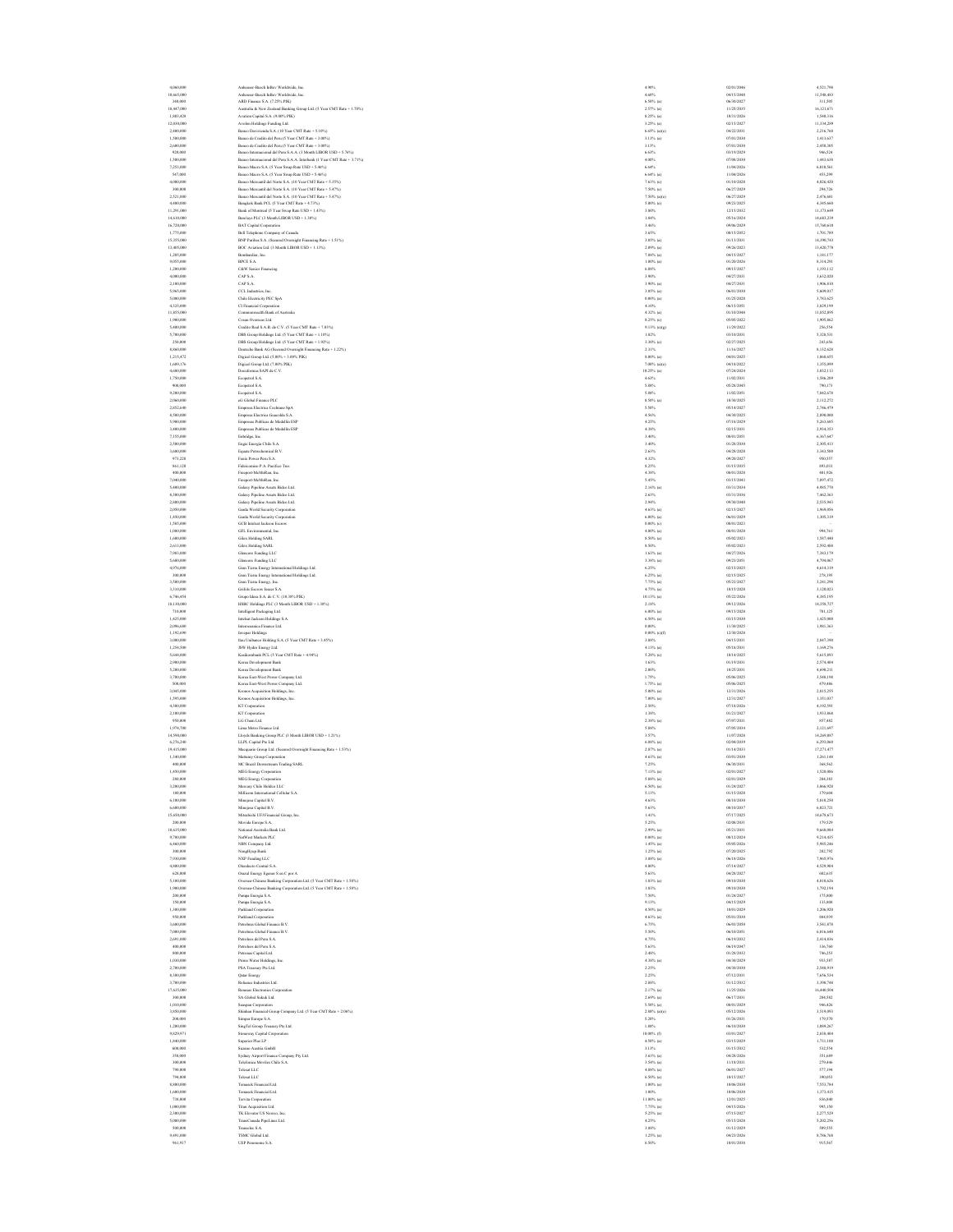| 18 1 12 2 1 2 1                                                                                                                 |
|---------------------------------------------------------------------------------------------------------------------------------|
|                                                                                                                                 |
|                                                                                                                                 |
|                                                                                                                                 |
|                                                                                                                                 |
|                                                                                                                                 |
|                                                                                                                                 |
| "另一来,卫来钱钱给王铭,钱玉,我玉先怎么去,先钱玉怎么一,我玉玉先玉一,先怎么去,怎么                                                                                    |
|                                                                                                                                 |
|                                                                                                                                 |
|                                                                                                                                 |
|                                                                                                                                 |
|                                                                                                                                 |
|                                                                                                                                 |
|                                                                                                                                 |
|                                                                                                                                 |
|                                                                                                                                 |
|                                                                                                                                 |
|                                                                                                                                 |
|                                                                                                                                 |
|                                                                                                                                 |
|                                                                                                                                 |
|                                                                                                                                 |
|                                                                                                                                 |
|                                                                                                                                 |
|                                                                                                                                 |
|                                                                                                                                 |
|                                                                                                                                 |
|                                                                                                                                 |
|                                                                                                                                 |
|                                                                                                                                 |
|                                                                                                                                 |
|                                                                                                                                 |
|                                                                                                                                 |
|                                                                                                                                 |
|                                                                                                                                 |
|                                                                                                                                 |
| s,4<br>8,3<br>$\ddot{\phantom{a}}$                                                                                              |
|                                                                                                                                 |
|                                                                                                                                 |
|                                                                                                                                 |
|                                                                                                                                 |
|                                                                                                                                 |
|                                                                                                                                 |
|                                                                                                                                 |
|                                                                                                                                 |
|                                                                                                                                 |
|                                                                                                                                 |
|                                                                                                                                 |
|                                                                                                                                 |
|                                                                                                                                 |
|                                                                                                                                 |
|                                                                                                                                 |
|                                                                                                                                 |
|                                                                                                                                 |
|                                                                                                                                 |
|                                                                                                                                 |
|                                                                                                                                 |
|                                                                                                                                 |
|                                                                                                                                 |
|                                                                                                                                 |
|                                                                                                                                 |
|                                                                                                                                 |
|                                                                                                                                 |
|                                                                                                                                 |
|                                                                                                                                 |
|                                                                                                                                 |
|                                                                                                                                 |
|                                                                                                                                 |
| - 2 3 4 5 - 2 3 3 4 5 1 2 1 2 1 3 1 2 3 4 5 4 5 4 5 3 1 3 1 4 4 5 1 9 1 9 1 4 5 1 4 5 1 1 1 1 1 1 1 1 1 1 1 1<br>$450$<br>$280$ |
| 3<br>ı                                                                                                                          |
|                                                                                                                                 |
|                                                                                                                                 |
|                                                                                                                                 |
|                                                                                                                                 |
|                                                                                                                                 |
|                                                                                                                                 |
|                                                                                                                                 |
|                                                                                                                                 |
|                                                                                                                                 |
|                                                                                                                                 |
|                                                                                                                                 |
| ı                                                                                                                               |
|                                                                                                                                 |
|                                                                                                                                 |
|                                                                                                                                 |
|                                                                                                                                 |
| $\overline{a}$                                                                                                                  |
|                                                                                                                                 |
|                                                                                                                                 |
|                                                                                                                                 |
|                                                                                                                                 |
|                                                                                                                                 |
|                                                                                                                                 |
|                                                                                                                                 |
| $\begin{array}{c}\n1 \\ 2 \\ 3\n\end{array}$                                                                                    |
| I                                                                                                                               |
|                                                                                                                                 |
|                                                                                                                                 |
|                                                                                                                                 |
|                                                                                                                                 |
|                                                                                                                                 |
| $\mathbf{1}$                                                                                                                    |
|                                                                                                                                 |
|                                                                                                                                 |
|                                                                                                                                 |
|                                                                                                                                 |

 4,060,000 Anheuser-Busch InBev Worldwide, Inc. 4.90% 02/01/2046 4,521,798 10,665,000 Anheuser-Busch InBev Worldwide, Inc. 4.60% 04/15/2048 11,548,483 340,000 ARD Finance S.A. (7.25% PIK) 6.50% (a) 06/30/2027 311,505 18,447,000 Australia & New Zealand Banking Group Ltd. (5 Year CMT Rate + 1.70%) 2.57% (a) 11/25/2035 16,121,671 1,803,428 Avation Capital S.A. (9.00% PIK) 8.25% (a) 10/31/2026 1,540,316 12,030,000 Avolon Holdings Funding Ltd. 3.25% (a) 02/15/2027 11,334,289 2,400,000 Banco Davivienda S.A. (10 Year CMT Rate + 5.10%) 6.65% (a)(e) 04/22/2031 2,216,760 1,500,000 Banco de Credito del Peru (5 Year CMT Rate + 3.00%) 3.13% (a) 07/01/2030 1,413,637 2,600,000 Banco de Credito del Peru (5 Year CMT Rate + 3.00%) 3.13% 07/01/2030 2,450,305 920,000 Banco Internacional del Peru S.A.A. (3 Month LIBOR USD + 5.76%) 6.63% 03/19/2029 946,524 1,500,000 Banco Internacional del Peru S.A.A. Interbank (1 Year CMT Rate + 3.71%) 4.00% 07/08/2030 1,443,638 7,253,000 Banco Macro S.A. (5 Year Swap Rate USD + 5.46%) 6.64% 11/04/2026 6,010,561 547,000 Banco Macro S.A. (5 Year Swap Rate USD + 5.46%) 6.64% (a) 11/04/2026 453,299 4,000,000 Banco Mercantil del Norte S.A. (10 Year CMT Rate + 5.35%) 7.63% (e) 01/10/2028 4,026,420 300,000 Banco Mercantil del Norte S.A. (10 Year CMT Rate + 5.47%) 7.50% (e) 06/27/2029 294,726 2,521,000 Banco Mercantil del Norte S.A. (10 Year CMT Rate + 5.47%) 7.50% (a)(e) 06/27/2029 2,476,681 4,400,000 Bangkok Bank PCL (5 Year CMT Rate + 4.73%) 5.00% (e) 09/23/2025 4,345,660 11,291,000 Bank of Montreal (5 Year Swap Rate USD + 1.43%) 3.80% 12/15/2032 11,173,649 14,610,000 Barclays PLC (3 Month LIBOR USD + 1.38%) 1.84% 05/16/2024 14,683,239 16,720,000 BAT Capital Corporation 3.46% 09/06/2029 15,760,610 1,775,000 Bell Telephone Company of Canada 3.65% 08/15/2052 1,701,789 15,355,000 BNP Paribas S.A. (Secured Overnight Financing Rate + 1.51%) 3.05% (a) 01/13/2031 14,390,743 13,405,000 BOC Aviation Ltd. (3 Month LIBOR USD + 1.13%) 2.09% (a) 09/26/2023 13,420,778 1,205,000 Bombardier, Inc. 7.88% (a) 04/15/2027 1,181,177 9,055,000 BPCE S.A. 1.00% (a) 01/20/2026 8,314,291 1,200,000 C&W Senior Financing 6.88% 09/15/2027 1,193,112 4,000,000 CAP S.A. 3.90% 04/27/2031 3,632,020 2,100,000 CAP S.A. 3.90% (a) 04/27/2031 1,906,810 5,965,000 CCL Industries, Inc. 3.05% (a) 06/01/2030 5,609,017 5,000,000 Chile Electricity PEC SpA 0.00% (a) 01/25/2028 3,783,625 4,325,000 CI Financial Corporation 4.10% 06/15/2051 3,829,199 11,855,000 Commonwealth Bank of Australia 4.32% (a) 01/10/2048 11,852,895 1,900,000 Cosan Overseas Ltd. 8.25% (e) 05/05/2022 1,905,862 5,400,000 Credito Real S.A.B. de C.V. (5 Year CMT Rate + 7.03%) 9.13% (e)(g) 11/29/2022 256,554 5,700,000 DBS Group Holdings Ltd. (5 Year CMT Rate + 1.10%) 1.82% 03/10/2031 5,328,531 250,000 DBS Group Holdings Ltd. (5 Year CMT Rate + 1.92%) 3.30% (e) 02/27/2025 243,656 8,860,000 Deutsche Bank AG (Secured Overnight Financing Rate + 1.22%) 2.31% 11/16/2027 8,132,628 1,215,472 Digicel Group Ltd. (5.00% + 3.00% PIK) 8.00% (a) 04/01/2025 1,068,655 1,689,176 Digicel Group Ltd. (7.00% PIK) 7.00% (a)(e) 04/18/2022 1,355,099 4,600,000 Docuformas SAPI de C.V. 10.25% (a) 07/24/2024 3,032,113 1,750,000 Ecopetrol S.A. 4.63% 11/02/2031 1,586,209 900,000 Ecopetrol S.A. 5.88% 05/28/2045 790,173 9,200,000 Ecopetrol S.A. 5.88% 11/02/2051 7,842,678 2,060,000 eG Global Finance PLC 8.50% (a) 10/30/2025 2,112,272 2,852,640 Empresa Electrica Cochrane SpA 5.50% 05/14/2027 2,746,479 8,500,000 Empresa Electrica Guacolda S.A. 4.56% 04/30/2025 2,890,000 5,900,000 Empresas Publicas de Medellin ESP 4.25% 07/18/2029 5,263,685 3,400,000 Empresas Publicas de Medellin ESP 4.38% 02/15/2031 2,934,353 7,155,000 Enbridge, Inc. 3.40% 08/01/2051 6,367,647 2,500,000 Engie Energia Chile S.A. 3.40% 01/28/2030 2,305,413 3,600,000 Equate Petrochemical B.V. 2.63% 04/28/2028 3,343,500 973,228 Fenix Power Peru S.A. 4.32% 09/20/2027 950,557 861,120 Fideicomiso P.A. Pacifico Tres 8.25% 01/15/2035 893,033 400,000 Freeport-McMoRan, Inc. 4.38% 08/01/2028 401,926 7,040,000 Freeport-McMoRan, Inc. 5.45% 03/15/2043 7,897,472 5,400,000 Galaxy Pipeline Assets Bidco Ltd. 2.16% (a) 03/31/2034 4,985,770 8,300,000 Galaxy Pipeline Assets Bidco Ltd. 2.63% 03/31/2036 7,462,363 2,800,000 Galaxy Pipeline Assets Bidco Ltd. 2.94% 09/30/2040 2,535,943 2,050,000 Garda World Security Corporation 4.63% (a) 02/15/2027 1,969,056 1,450,000 Garda World Security Corporation 6.00% (a) 06/01/2029 1,305,319 1,585,000 GCB Intelsat Jackson Escrow 0.00% (c) 08/01/2023 – 1,080,000 GFL Environmental, Inc. 4.00% (a) 08/01/2028 994,761 1,600,000 Gilex Holding SARL 8.50% (a) 05/02/2023 1,587,440 2,613,000 Gilex Holding SARL 8.50% 05/02/2023 2,592,488 7,983,000 Glencore Funding LLC 1.63% (a) 04/27/2026 7,383,179 5,680,000 Glencore Funding LLC 3.38% (a) 09/23/2051 4,794,067 4,976,000 Gran Tierra Energy International Holdings Ltd. 6.25% 02/15/2025 4,614,319 300,000 Gran Tierra Energy International Holdings Ltd. 6.25% (a) 02/15/2025 278,195 3,500,000 Gran Tierra Energy, Inc. 7.75% (a) 05/23/2027 3,241,298 3,310,000 Grifols Escrow Issuer S.A. 4.75% (a) 10/15/2028 3,120,023 6,746,454 Grupo Idesa S.A. de C.V. (10.38% PIK) 10.13% (a) 05/22/2026 4,385,195 18,130,000 HSBC Holdings PLC (3 Month LIBOR USD + 1.38%) 2.18% 09/12/2026 18,358,727 710,000 Intelligent Packaging Ltd. 6.00% (a) 09/15/2028 701,125 1,425,000 Intelsat Jackson Holdings S.A. 6.50% (a) 03/15/2030 1,425,000 2,096,680 Interoceanica Finance Ltd. 0.00% 11/30/2025 1,981,363 1,192,690 Invepar Holdings 0.00% (c)(f) 12/30/2028 – 3,000,000 Itau Unibanco Holding S.A. (5 Year CMT Rate + 3.45%) 3.88% 04/15/2031 2,847,390 1,254,500 JSW Hydro Energy Ltd. 4.13% (a) 05/18/2031 1,169,276 5,644,000 Kasikornbank PCL (5 Year CMT Rate + 4.94%) 5.28% (e) 10/14/2025 5,615,893 2,900,000 Korea Development Bank 1.63% 01/19/2031 2,574,404 5,200,000 Korea Development Bank 2.00% 10/25/2031 4,690,211 3,700,000 Korea East-West Power Company Ltd. 1.75% 05/06/2025 3,548,198 500,000 Korea East-West Power Company Ltd. 1.75% (a) 05/06/2025 479,486 3,045,000 Kronos Acquisition Holdings, Inc. 5.00% (a) 12/31/2026 2,815,255 1,595,000 Kronos Acquisition Holdings, Inc. 7.00% (a) 12/31/2027 1,351,037 4,300,000 KT Corporation 2.50% 07/18/2026 4,192,591 2,100,000 KT Corporation 1.38% 01/21/2027 1,933,868 950,000 LG Chem Ltd. 2.38% (a) 07/07/2031 857,482 1,974,700 Lima Metro Finance Ltd. 5.88% 07/05/2034 2,121,697 14,590,000 Lloyds Banking Group PLC (3 Month LIBOR USD + 1.21%) 3.57% 11/07/2028 14,269,087 6,276,240 LLPL Capital Pte Ltd. 6.88% (a) 02/04/2039 6,293,060 19,415,000 Macquarie Group Ltd. (Secured Overnight Financing Rate + 1.53%) 2.87% (a) 01/14/2033 17,271,477 1,340,000 Mattamy Group Corporation 4.63% (a) 03/01/2030 1,261,148 400,000 MC Brazil Downstream Trading SARL 7.25% 06/30/2031 368,562 1,450,000 MEG Energy Corporation 7.13% (a) 02/01/2027 1,520,086 280,000 MEG Energy Corporation 5.88% (a) 02/01/2029 284,383 3,200,000 Mercury Chile Holdco LLC 6.50% (a) 01/24/2027 3,066,928 180,000 Millicom International Cellular S.A. 5.13% 01/15/2028 179,604 6,100,000 Minejesa Capital B.V. 4.63% 08/10/2030 5,810,250 6,600,000 Minejesa Capital B.V. 5.63% 08/10/2037 6,023,721 15,650,000 Mitsubishi UFJ Financial Group, Inc. 1.41% 07/17/2025 14,678,673 200,000 Movida Europe S.A. 5.25% 02/08/2031 179,529 10,635,000 National Australia Bank Ltd. 2.99% (a) 05/21/2031 9,668,084 9,780,000 NatWest Markets PLC 0.80% (a) 08/12/2024 9,214,435 6,460,000 NBN Company Ltd. 1.45% (a) 05/05/2026 5,985,246 300,000 NongHyup Bank 1.25% (a) 07/20/2025 282,792 7,930,000 NXP Funding LLC 3.88% (a) 06/18/2026 7,965,976 4,800,000 Oleoducto Central S.A. 4.00% 07/14/2027 4,529,904 628,000 Orazul Energy Egenor S en C por A 5.63% 04/28/2027 602,635 5,100,000 Oversea-Chinese Banking Corporation Ltd. (5 Year CMT Rate + 1.58%) 1.83% (a) 09/10/2030 4,810,626 1,900,000 Oversea-Chinese Banking Corporation Ltd. (5 Year CMT Rate + 1.58%) 1.83% 09/10/2030 1,792,194 200,000 Pampa Energia S.A. 7.50% 01/24/2027 175,800 150,000 Pampa Energia S.A. 9.13% 04/15/2029 133,808 1,300,000 Parkland Corporation 4.50% (a) 10/01/2029 1,206,920 950,000 Parkland Corporation 4.63% (a) 05/01/2030 884,939 3,600,000 Petrobras Global Finance B.V. 6.75% 06/03/2050 3,541,878 7,000,000 Petrobras Global Finance B.V. 5.50% 06/10/2051 6,016,640 2,691,000 Petroleos del Peru S.A. 4.75% 06/19/2032 2,414,836 400,000 Petroleos del Peru S.A. 5.63% 06/19/2047 336,760 800,000 Petronas Capital Ltd. 2.48% 01/28/2032 746,253 1,030,000 Primo Water Holdings, Inc. 4.38% (a) 04/30/2029 933,587 2,700,000 PSA Treasury Pte Ltd. 2.25% 04/30/2030 2,548,919 8,300,000 Qatar Energy 2.25% 07/12/2031 7,656,534 3,700,000 Reliance Industries Ltd. 2.88% 01/12/2032 3,398,748 17,635,000 Renesas Electronics Corporation 2.17% (a) 11/25/2026 16,440,504 300,000 SA Global Sukuk Ltd. 2.69% (a) 06/17/2031 284,582 1,010,000 Seaspan Corporation 5.50% (a) 08/01/2029 946,426 3,850,000 Shinhan Financial Group Company Ltd. (5 Year CMT Rate + 2.06%) 2.88% (a)(e) 05/12/2026 3,519,093 200,000 Simpar Europe S.A. 5.20% 01/26/2031 179,570 1,200,000 SingTel Group Treasury Pte Ltd. 1.88% 06/10/2030 1,089,267 9,829,971 Stoneway Capital Corporation 10.00% (f) 03/01/2027 2,838,404 1,840,000 Superior Plus LP 4.50% (a) 03/15/2029 1,731,100 600,000 Suzano Austria GmbH 3.13% 01/15/2032 532,554 350,000 Sydney Airport Finance Company Pty Ltd. 3.63% (a) 04/28/2026 351,689 300,000 Telefonica Moviles Chile S.A. 3.54% (a) 11/18/2031 279,446 790,000 Telesat LLC 4.88% (a) 06/01/2027 577,194 794,000 Telesat LLC 6.50% (a) 10/15/2027 390,053 8,800,000 Temasek Financial Ltd. 1.00% (a) 10/06/2030 7,553,784 1,600,000 Temasek Financial Ltd. 1.00% 10/06/2030 1,373,415 738,000 Tervita Corporation 11.00% (a) 12/01/2025 836,840 1,000,000 Titan Acquisition Ltd. 7.75% (a) 04/15/2026 995,150 2,300,000 TK Elevator US Newco, Inc. 5.25% (a) 07/15/2027 2,277,529 5,000,000 TransCanada PipeLines Ltd. 4.25% 05/15/2028 5,202,256 500,000 Transelec S.A. 3.88% 01/12/2029 509,555 9,491,000 TSMC Global Ltd. 1.25% (a) 04/23/2026 8,786,768 961,917 UEP Penonome S.A. 6.50% 10/01/2038 915,567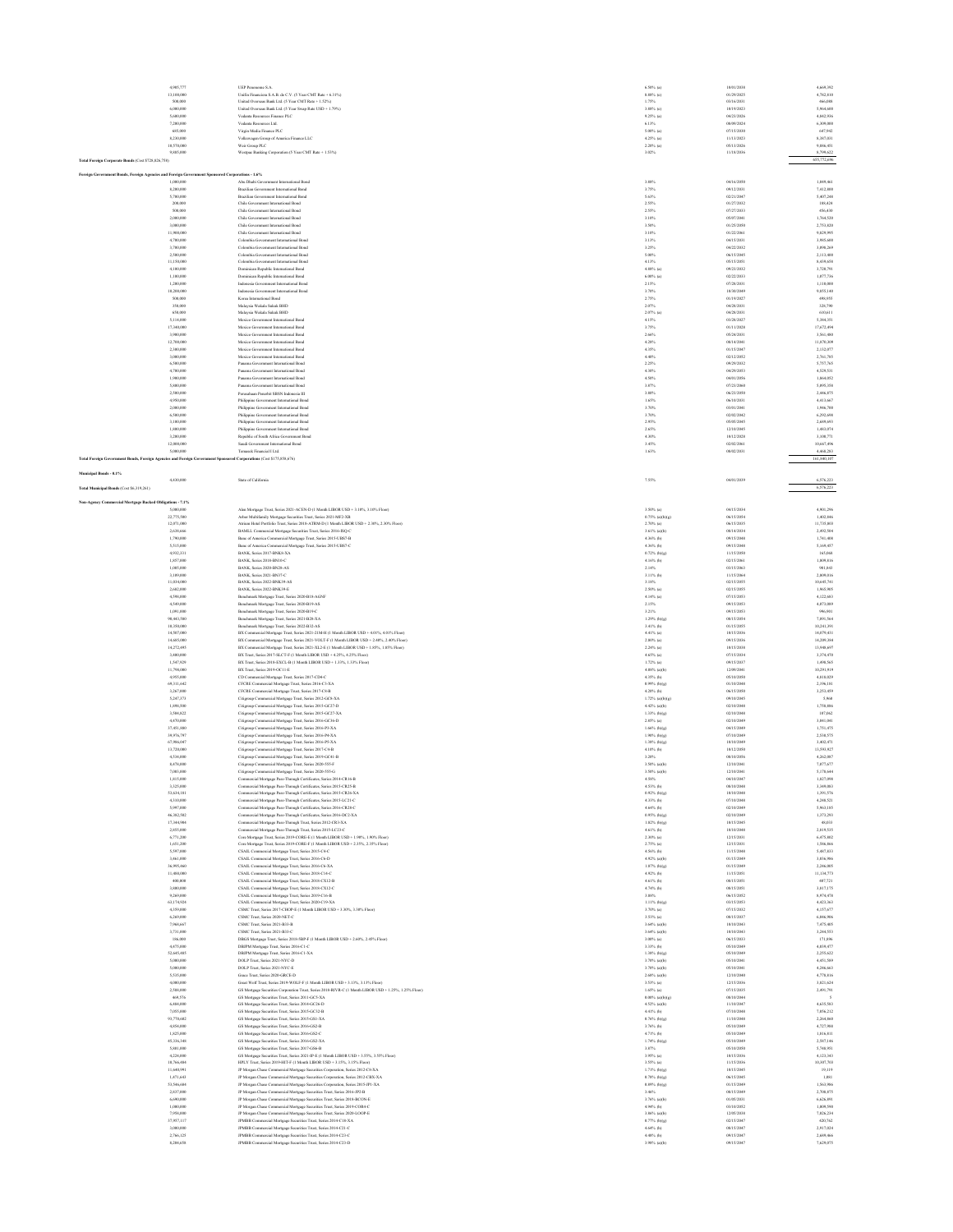| 4,905,77<br>13,100,000                                                                                                           | UEP Peronome S.A.<br>Unifin Financiera S.A.B. de C.V. (5 Year CMT Rate + 6.31%)                                                                                  | 6.50% (a)<br>8.88% (c)            | 10/01/2038<br>01/29/2025 | 4,669,392<br>4,782,810   |
|----------------------------------------------------------------------------------------------------------------------------------|------------------------------------------------------------------------------------------------------------------------------------------------------------------|-----------------------------------|--------------------------|--------------------------|
| 500,000                                                                                                                          | United Overseas Bank Ltd. (5 Year CMT Rate + 1.52%)                                                                                                              | 1.75%                             | 03/16/2031               | 466,038                  |
| 6,000,000<br>5,600,000                                                                                                           | United Overseas Bank Ltd. (5 Year Swap Rate USD + 1.79%)<br>Vedanta Resources Finance PLC                                                                        | 3.88% (c)<br>9.25% (a)            | 10/19/2023<br>04/23/2026 | \$964,600<br>4.842.936   |
| 7,200,000                                                                                                                        | Vedanta Resources Ltd.                                                                                                                                           | 6.13%                             | 08/09/2024               | 6,309,000                |
| 685,000                                                                                                                          | Virgin Media Finance PLC                                                                                                                                         | $5.00\%$ (a)                      | 07/15/2030               | 647,942                  |
| 8,230,000<br>10,570,000                                                                                                          | Volkswagen Group of America Finance LLC<br>Weir Group PLC                                                                                                        | $4.25%$ (a)<br>$2.20\%$ (a)       | 11/13/2023<br>05/13/2026 | 8,387,031<br>9,886,451   |
| 9,885,000                                                                                                                        | Westpac Banking Corporation (5 Year CMT Rate + 1.53%)                                                                                                            | 3.02%                             | 11/18/2036               | 8,799,622                |
| Total Foreign Corporate Bonds (Cost \$728,826,758)                                                                               |                                                                                                                                                                  |                                   |                          | 655,772,696              |
| Foreign Government Bonds, Foreign Agencies and Foreign Government Spo                                                            | sored Corporations - 1.6%                                                                                                                                        |                                   |                          |                          |
| 1,000,000                                                                                                                        | Abu Dhabi Government International Bond                                                                                                                          | 3.88%                             | 04/16/2050               | 1,049,461                |
| 8,200,000                                                                                                                        | Brazilian Government International Bond                                                                                                                          | 3.75%                             | 09/12/2031               | 7,412,800                |
| 5,700,000<br>200,000                                                                                                             | Brazilian Government International Bond<br>Chile Government International Bond                                                                                   | 5.63%<br>2.55%                    | 02/21/2047<br>01/27/2032 | 5,407,248<br>188,424     |
| 500,000                                                                                                                          | Chile Government International Bond                                                                                                                              | 2.55%                             | 07/27/2033               | 456,430                  |
| 2,000,000                                                                                                                        | Chile Government International Bond                                                                                                                              | 3.10%                             | 05/07/2041               | 1,764,520                |
| 3,000,000<br>11,900,000                                                                                                          | Chile Government International Bond<br>Chile Government International Bond                                                                                       | 3.50%<br>3.10%                    | 01/25/2050<br>01/22/2061 | 2,753,820<br>9.829.995   |
| 4,700,000                                                                                                                        | Colombia Government International Bond                                                                                                                           | 3.13%                             | 04/15/2031               | 3,985,600                |
| 3,700,000                                                                                                                        | Colombia Government International Bond                                                                                                                           | 3.25%                             | 04/22/2032               | 3,098,269                |
| 2,500,000<br>11,150,000                                                                                                          | Colombia Government International Bond<br>Colombia Government International Bond                                                                                 | 5.00%<br>4.13%                    | 06/15/2045<br>05/15/2051 | 2,113,400<br>8,439,658   |
| 4,100,000                                                                                                                        | Dominican Republic International Bond                                                                                                                            | $4.88\%$ (a)                      | 09/23/2032               | 3,720,791                |
| 1,100,000                                                                                                                        | Dominican Republic International Bond                                                                                                                            | $6.00\%$ (a)                      | 02/22/2033               | 1,077,736                |
| 1,200,000<br>10,200,000                                                                                                          | Indonesia Government International Bond<br>Indonesia Government International Bond                                                                               | 2.15%<br>3.70%                    | 07/28/2031<br>10/30/2049 | 1,110,000<br>9,855,140   |
| 500,000                                                                                                                          | Korea International Bond                                                                                                                                         | 2.75%                             | 01/19/2027               | 498,955                  |
| 350,000                                                                                                                          | Malaysia Wakala Sukuk BHD                                                                                                                                        | 2.07%                             | 04/28/2031               | 328,790                  |
| 650,000<br>5,114,000                                                                                                             | Malaysia Wakala Sukuk BHD<br>Mexico Government International Bond                                                                                                | $2.07%$ (a)<br>4.15%              | 04/28/2031<br>03/28/2027 | 610,611<br>5,384,351     |
| 17,340,000                                                                                                                       | Mexico Government International Bond                                                                                                                             | 3.75%                             | 01/11/2028               | 17,672,494               |
| 3,900,000                                                                                                                        | Mexico Government International Bond                                                                                                                             | 2,66%                             | 05/24/2031               | 3,561,480                |
| 12,700,000<br>2,300,000                                                                                                          | Mexico Government International Bond<br>Mexico Government International Bond                                                                                     | 4.28%<br>4.35%                    | 08/14/2041<br>01/15/2047 | 11,870,309<br>2.132.077  |
| 3,000,000                                                                                                                        | Mexico Government International Bond                                                                                                                             | 4,40%                             | 02/12/2052               | 2.761.785                |
| 6,500,000<br>4,700,000                                                                                                           | Panama Government International Bond                                                                                                                             | 2.25%<br>4.30%                    | 09/29/2032<br>04/29/2053 | 5,757,765<br>4,529,531   |
| 1,900,000                                                                                                                        | Panama Government International Bond<br>na Government International Bond                                                                                         | 4.50%                             | 04/01/2056               | 1,864,052                |
| 5,800,000                                                                                                                        | Panama Government International Bond                                                                                                                             | 3.87%                             | 07/23/2060               | 5,095,358                |
| 2,500,000<br>4,950,000                                                                                                           | Perusahaan Penerbit SBSN Indonesia III<br>Philippine Government International Bond                                                                               | 3.80%<br>1.65%                    | 06/23/2050<br>06/10/2031 | 2,446,875<br>4,413,667   |
| 2,000,000                                                                                                                        | Philippine Government International Bond                                                                                                                         | 3.70%                             | 03/01/2041               | 1,946,700                |
| 6,500,000                                                                                                                        | Philippine Government International Bond                                                                                                                         | 3.70%                             | 02/02/2042               | 6,292,698                |
| 3.100,000<br>1,800,000                                                                                                           | Philippine Government International Bond<br>Philippine Government International Bond                                                                             | 2.95%<br>2.65%                    | 05/05/2045<br>12/10/2045 | 2.689.693<br>1,483,074   |
| 3,200,000                                                                                                                        | Republic of South Africa Government Bond                                                                                                                         | 4,30%                             | 10/12/2028               | 3,100,771                |
| 12,000,000                                                                                                                       | Saudi Government International Bond                                                                                                                              | 3.45%                             | 02/02/2061               | 10,667,496               |
| 5,000,000<br>Total Foreign Government Bonds, Foreign Agencies and Foreign Government Sponsored Corporations (Cost \$175,858,676) | Temasek Financial I Ltd.                                                                                                                                         | 1.63%                             | 08/02/2031               | 4,468,283<br>161,840,107 |
|                                                                                                                                  |                                                                                                                                                                  |                                   |                          |                          |
| Municipal Bonds - 0.1%                                                                                                           |                                                                                                                                                                  |                                   |                          |                          |
| 4,430,000                                                                                                                        | State of California                                                                                                                                              | 7.55%                             | 04/01/2039               | 6,576,223                |
| Total Municipal Bonds (Cost \$6,319,261)                                                                                         |                                                                                                                                                                  |                                   |                          | 6,576,223                |
| Non-Agency Commercial Mortgage Backed Obligations - 7.1%                                                                         |                                                                                                                                                                  |                                   |                          |                          |
| 5,000,000<br>22,775,500                                                                                                          | Alen Mortgage Trust, Series 2021-ACEN-D (1 Month LIBOR USD + 3.10%, 3.10% Floor)                                                                                 | 3.50% (a)<br>$0.75\%$ (a)(b)(g)   | 04/15/2034<br>06/15/2054 | 4,901,296<br>1,402,846   |
| 12,071,000                                                                                                                       | Arbor Multifamily Mortgage Securities Trust, Series 2021-MF2-XB<br>Atrium Hotel Portfolio Trust, Series 2018-ATRM-D (1 Month LIBOR USD + 2.30%, 2.30% Floor)     | $2.70%$ (a)                       | 06/15/2035               | 11,735,803               |
| 2,638,666                                                                                                                        | BAMLL Commercial Mortgage Securities Trust, Series 2016-ISQ-C                                                                                                    | 3.61% (a)(b)                      | 08/14/2034               | 2,492.504                |
| 1,790,000<br>5,515,000                                                                                                           | Banc of America Commercial Mortgage Trust, Series 2015-UBS7-B                                                                                                    | 4.36% (b)<br>4.36% (b)            | 09/15/2048<br>09/15/2048 | 1,741,408<br>5,169,457   |
| 4,932,331                                                                                                                        | Banc of America Commercial Mortgage Trust, Series 2015-UBS7-C<br>BANK, Series 2017-BNK8-XA                                                                       | $0.72%$ (b)(g)                    | 11/15/2050               | 165,068                  |
| 1,857,000                                                                                                                        | BANK, Series 2018-BN10-C                                                                                                                                         | $4.16%$ (b)                       | 02/15/2061               | 1,809,816                |
| 1,005,000<br>3,109,000                                                                                                           | BANK, Series 2020-BN28-AS<br>BANK, Series 2021-BN37-C                                                                                                            | 2.14%<br>$3.11%$ (b)              | 03/15/2063<br>11/15/2064 | 901,843<br>2,809,016     |
| 11,034,000                                                                                                                       | BANK, Series 2022-BNK39-AS                                                                                                                                       | 3.18%                             | 02/15/2055               | 10,645,741               |
| 2,682,000                                                                                                                        | BANK, Series 2022-BNK39-E                                                                                                                                        | $2.50\%$ (a)                      | 02/15/2055               | 1,965,905                |
| 4,598,000<br>4.549,000                                                                                                           | Benchmark Mortgage Trust, Series 2020-B18-AGNF<br>Benchmark Mortgage Trust, Series 2020-B19-AS                                                                   | $4.14%$ (a)<br>2.15%              | 07/15/2053<br>09/15/2053 | 4.122.683<br>4.073.089   |
| 1,091,000                                                                                                                        | Benchmark Mortgage Trust, Series 2020-B19-C                                                                                                                      | 3.21%                             | 09/15/2053               | 996,901                  |
| 90,443,580                                                                                                                       | Benchmark Mortgage Trust, Series 2021-B28-XA                                                                                                                     | $1.29%$ (b)(g)                    | 08/15/2054               | 7,891,564                |
| 10,350,000<br>14,507,000                                                                                                         | Benchmark Mortgage Trust, Series 2022-B32-AS<br>BX Commercial Mortgage Trust, Series 2021-21M-H (1 Month LIBOR USD + 4.01%, 4.01% Floor)                         | 3.41% (b)<br>4.41% (a)            | 01/15/2055<br>10/15/2036 | 10,241,391<br>14,079,431 |
| 14,685,000                                                                                                                       | BX Commercial Mortgage Trust, Series 2021-VOLT-F (1 Month LIBOR USD + 2.40%, 2.40% Floor)                                                                        | $2.80\%$ (a)                      | 09/15/2036               | 14,209,384               |
| 14,272,495                                                                                                                       | BX Commercial Mortgage Trust, Series 2021-XL2-E (1 Month LIBOR USD + 1.85%, 1.85% Floor)                                                                         | $2.24%$ (a)                       | 10/15/2038               | 13,948,697               |
| 3,400,000<br>1,547,929                                                                                                           | BX Trust, Series 2017-SLCT-F (1 Month LIBOR USD + 4.25%, 4.25% Floor)<br>BX Trust, Series 2018-EXCL-B (1 Month LIBOR USD + 1.33%, 1.33% Floor)                   | 4.65% (a)<br>1.72% (a)            | 07/15/2034<br>09/15/2037 | 3.374.470<br>1,498,565   |
| 11,798,000                                                                                                                       | BX Trust, Series 2019-OC11-E                                                                                                                                     | $4.08\%$ (a)(b)                   | 12/09/2041               | 10,291,919               |
| 4,955,000                                                                                                                        | CD Commercial Mortgage Trust, Series 2017-CD4-C                                                                                                                  | $4.35%$ (b)                       | 05/10/2050               | 4,818,029                |
| 69,311,642<br>3,267,000                                                                                                          | CFCRE Commercial Mortgage Trust, Series 2016-C3-XA<br>CFCRE Commercial Mortgage Trust, Series 2017-C8-B                                                          | $0.99%$ (b)(g)<br>4.20% (b)       | 01/10/2048<br>06/15/2050 | 2,196,181<br>3,253,459   |
| 5,247,373                                                                                                                        | Citigroup Commercial Mortgage Trust, Series 2012-GC8-XA                                                                                                          | $1.72%$ (a)(b)(g)                 | 09/10/2045               | 5,960                    |
| 1,898,500                                                                                                                        | Citigroup Commercial Mortgage Trust, Series 2015-GC27-D                                                                                                          | $4.42%$ (a)(b)                    | 02/10/2048               | 1,758,886                |
| 3.504.822<br>4,470,000                                                                                                           | Citigroup Commercial Mortgage Trust, Series 2015-GC27-XA<br>Citigroup Commercial Mortgage Trust, Series 2016-GC36-D                                              | $1.33\%$ (b)(g)<br>$2.85%$ (a)    | 02/10/2048<br>02/10/2049 | 107,062<br>3.041.041     |
| 37,451,880                                                                                                                       | Citigroup Commercial Mortgage Trust, Series 2016-P3-XA                                                                                                           | $1.66\%$ (b)(g)                   | 04/15/2049               | 1,751,475                |
| 39,976,797                                                                                                                       | Citigroup Commercial Mortgage Trust, Series 2016-P4-XA                                                                                                           | $1.90\%$ (b)(g)                   | 07/10/2049               | 2,530,575                |
| 67,986,047<br>13,720,000                                                                                                         | Citigroup Commercial Mortgage Trust, Series 2016-PS-XA<br>Citigroup Commercial Mortgage Trust, Series 2017-C4-B                                                  | $1.38\%$ (b)(g)<br>$4.10\%$ (b)   | 10/10/2049<br>10/12/2050 | 3,402,471<br>13,593,927  |
| 4,534,000                                                                                                                        | Citigroup Commercial Mortgage Trust, Series 2019-GC41-B                                                                                                          | 3.20%                             | 08/10/2056               | 4,262,087                |
| 8,478,000                                                                                                                        | Citigroup Commercial Mortgage Trust, Series 2020-555-F                                                                                                           | 3.50% (a)(b)                      | 12/10/2041               | 7,077,677                |
| 7,003,000<br>1,815,000                                                                                                           | Citigroup Commercial Mortgage Trust, Series 2020-555-G<br>Commercial Mortgage Pass-Through Certificates, Series 2014-CR16-B                                      | 3.50% (a)(b)<br>4.58%             | 12/10/2041<br>04/10/2047 | 5,178,644<br>1.827,098   |
| 3.325.00                                                                                                                         | d Mort<br>or Pass, The<br>2015/0825-8                                                                                                                            | 4.53% (b)                         | 08/10/2048               | 3.349.083                |
| 53,634,181                                                                                                                       | Commercial Mortgage Pass-Through Certificates, Series 2015-CR26-XA                                                                                               | $0.92%$ (b)(g)                    | 10/10/2048               | 1,391,576                |
| 4,310,000<br>5,997,000                                                                                                           | Commercial Mortgage Pass-Through Certificates, Series 2015-LC21-C<br>ercial Mortgage Pass-Through Certificates, Series 2016-CR28-C                               | 4.33% (b)<br>$4.64%$ (b)          | 07/10/2048<br>02/10/2049 | 4,248,521<br>5,963,185   |
| 46,382,502                                                                                                                       | mercial Mortgage Pass-Through Certificates, Series 2016-DC2-XA                                                                                                   | $0.95\%$ (b)(g)                   | 02/10/2049               | 1,373,293                |
| 17,344,904<br>2,855,000                                                                                                          | Commercial Mortgage Pass-Through Trust, Series 2012-CR3-XA<br>Commercial Mortgage Pass-Through Trust, Series 2015-LC23-C                                         | $1.82%$ (b)(g)<br>4.61% (b)       | 10/15/2045<br>10/10/2048 | 48,033<br>2,819,535      |
| 6,771,200                                                                                                                        | Core Mortgage Trust, Series 2019-CORE-E (1 Month LIBOR USD + 1.90%, 1.90% Floor)                                                                                 | 2.30% (a)                         | 12/15/2031               | 6,475,802                |
| 1,651,200                                                                                                                        | Core Mortgage Trust, Series 2019-CORE-F (1 Month LIBOR USD + 2.35%, 2.35% Floor)                                                                                 | 2.75% (a)                         | 12/15/2031               | 1,586,866                |
| 5,597,000<br>3,461,000                                                                                                           | CSAIL Commercial Mortgage Trust, Series 2015-C4-C<br>CSAIL Commercial Mortgage Trust, Series 2016-C6-D                                                           | 4.56% (b)<br>$4.92\%$ (a)(b)      | 11/15/2048<br>01/15/2049 | 5,487,833<br>3,036,986   |
| 36,995,460                                                                                                                       | CSAIL Commercial Mortgage Trust, Series 2016-C6-XA                                                                                                               | $1.87%$ (b)(g)                    | 01/15/2049               | 2,246,005                |
| 11,488,000                                                                                                                       | CSAIL Commercial Mortgage Trust, Series 2018-C14-C                                                                                                               | 4.92% (b)                         | 11/15/2051               | 11,134,773               |
| 400,000<br>3,800,000                                                                                                             | CSAIL Commercial Mortgage Trust, Series 2018-CX12-B<br>CSAIL Commercial Mortgage Trust, Series 2018-CX12-C                                                       | 4.61% (b)<br>4.74% (b)            | 08/15/2051<br>08/15/2051 | 407,721<br>3,817,175     |
| 9.269.000                                                                                                                        | CSAIL Commercial Mortgage Trust, Series 2019-C16-B                                                                                                               | 3,88%                             | 06/15/2052               | 8,974,478                |
| 63.174.924<br>4,359,000                                                                                                          | CSAIL Commercial Mortgage Trust, Series 2020-C19-XA                                                                                                              | $1.11%$ (b)(g)<br>$3.70\%$ (a)    | 03/15/2053<br>07/15/2032 | 4,423,363<br>4,157,677   |
| 6,269,000                                                                                                                        | CSMC Trust, Series 2017-CHOP-E (1 Month LIBOR USD + 3.30%, 3.30% Floor)<br>CSMC Trust, Series 2020-NET-C                                                         | 3.53% (a)                         | 08/15/2037               | 6,046,906                |
| 7,968,667                                                                                                                        | CSMC Trust, Series 2021-B33-B                                                                                                                                    | $3.64\%$ (a)(b)                   | 10/10/2043               | 7,475,405                |
| 3,731,000<br>186,000                                                                                                             | CSMC Trust, Series 2021-B33-C<br>DBGS Mortgage Trust, Series 2018-5BP-F (1 Month LIBOR USD + 2.60%, 2.45% Floor)                                                 | $3.64\%$ (a)(b)<br>$3.00\%$ (a)   | 10/10/2043<br>06/15/2033 | 3,244,553<br>171,896     |
| 4,475,000                                                                                                                        | DBJPM Mortgage Trust, Series 2016-C1-C                                                                                                                           | 3.33% (b)                         | 05/10/2049               | 4,039,477                |
| 52,645,485                                                                                                                       | DBJPM Morteage Trust, Series 2016-C1-XA                                                                                                                          | $1.38\%$ (b)(g)                   | 05/10/2049               | 2,255,622                |
| \$,000,000<br>\$,000,000                                                                                                         | DOLP Trust. Series 2021-NYC-D<br>DOLP Trust, Series 2021-NYC-E                                                                                                   | 3.70% (a)(b)<br>3.70% (a)(b)      | 05/10/2041<br>05/10/2041 | 4.451.589<br>4.246.663   |
| \$535,000                                                                                                                        | Grace Trust, Series 2020-GRCE-D                                                                                                                                  | $2.68\%$ (a)(b)                   | 12/10/2040               | 4,778,816                |
| 4,000,000                                                                                                                        | Great Wolf Trust, Series 2019-WOLF-F (1 Month LIBOR USD + 3.13%, 3.13% Floor)                                                                                    | 3.53% (a)                         | 12/15/2036               | 3,821,624                |
| 2,588,000<br>469,576                                                                                                             | GS Mortgage Securities Corporation Trust, Series 2018-RIVR-C (1 Month LIBOR USD + 1.25%, 1.25% Floor)<br>GS Mortgage Securities Trust, Series 2011-GCS-XA        | $1.65%$ (a)<br>$0.00\%$ (a)(b)(g) | 07/15/2035<br>08/10/2044 | 2,491,791                |
| 6,484,000                                                                                                                        | GS Mortgage Securities Trust, Series 2014-GC26-D                                                                                                                 | 4.52% (a)(b)                      | 11/10/2047               | 4,635,583                |
| 7,055,000<br>93,770,602                                                                                                          | GS Mortgage Securities Trust, Series 2015-GC32-B                                                                                                                 | 4.41% (b)<br>$0.76%$ (b)(g)       | 07/10/2048<br>11/10/2048 | 7,056,212<br>2.264.860   |
| 4,854,000                                                                                                                        | GS Mortgage Securities Trust, Series 2015-GS1-XA<br>GS Mortgage Securities Trust, Series 2016-GS2-B                                                              | 3.76% (b)                         | 05/10/2049               | 4,727,988                |
| 1,825,000                                                                                                                        | GS Mortgage Securities Trust, Series 2016-GS2-C                                                                                                                  | 4.71% (b)                         | 05/10/2049               | 1,816,811                |
| 45,336,348<br>5,801,000                                                                                                          | GS Mortgage Securities Trust, Series 2016-GS2-XA<br>GS Mortgage Securities Trust, Series 2017-GS6-B                                                              | $1.74%$ (b)(g)<br>3.87%           | 05/10/2049<br>05/10/2050 | 2,587,146<br>5,748,951   |
| 4,224,000                                                                                                                        | GS Mortgage Securities Trust, Series 2021-IP-E (1 Month LIBOR USD + 3.55%, 3.55% Floor)                                                                          | $3.95%$ (a)                       | 10/15/2036               | 4,123,343                |
| 10,766,484                                                                                                                       |                                                                                                                                                                  | 3.55% (a)                         | 11/15/2036               | 10,307,703               |
| 11,640,991                                                                                                                       | HPLY Trust, Series 2019-HIT-F (1 Month LIBOR USD + 3.15%, 3.15% Floor)                                                                                           |                                   |                          | 19,119                   |
|                                                                                                                                  | JP Morgan Chase Commercial Mortgage Securities Corporation, Series 2012-C8-XA                                                                                    | $1.71%$ (b)(g)                    | 10/15/2045               |                          |
| 1,471,643<br>53,546,684                                                                                                          | JP Morgan Chase Commercial Mortgage Securities Corporation, Series 2012-CBX-XA<br>JP Morgan Chase Commercial Mortgage Securities Corporation, Series 2015-JP1-XA | $0.78%$ (b)(g)<br>$0.89%$ (b)(g)  | 06/15/2045<br>01/15/2049 | 1.081<br>1,563,986       |
| 2,837,000                                                                                                                        | JP Morgan Chase Commercial Mortgage Securities Trust, Series 2016-JP2-B                                                                                          | 3.46%                             | 08/15/2049               | 2,708,875                |
| 6,690,000                                                                                                                        | JP Morgan Chase Commercial Mortgage Securities Trust, Series 2018-BCON-E                                                                                         | $3.76%$ (a)(b)                    | 01/05/2031               | 6,626,891                |
| 1,000,000<br>7,958,000                                                                                                           | JP Morgan Chase Commercial Mortgage Securities Trust, Series 2019-COR4-C<br>JP Morgan Chase Commercial Mortgage Securities Trust, Series 2020-LOOP-E             | 4.94% (b)<br>$3.86\%$ (a)(b)      | 03/10/2052<br>12/05/2038 | 1,009,590<br>7,026,234   |
| 37,957,117                                                                                                                       | JPMBB Commercial Mortgage Securities Trust, Series 2014-C18-XA                                                                                                   | $0.77%$ (b)(g)                    | 02/15/2047               | 420,762                  |
| 3,000,000<br>2,766,125                                                                                                           | JPMBB Commercial Mortgage Securities Trust, Series 2014-C21-C<br>JPMBB Commercial Mortgage Securities Trust, Series 2014-C23-C                                   | $4.64%$ (b)<br>4.48% (b)          | 08/15/2047<br>09/15/2047 | 2,917,024<br>2,689,466   |
| 8.204,658                                                                                                                        | JPMBB Commercial Mortgage Securities Trust, Series 2014-C23-D                                                                                                    | 3.98% (a)(b)                      | 09/15/2047               | 7.629.075                |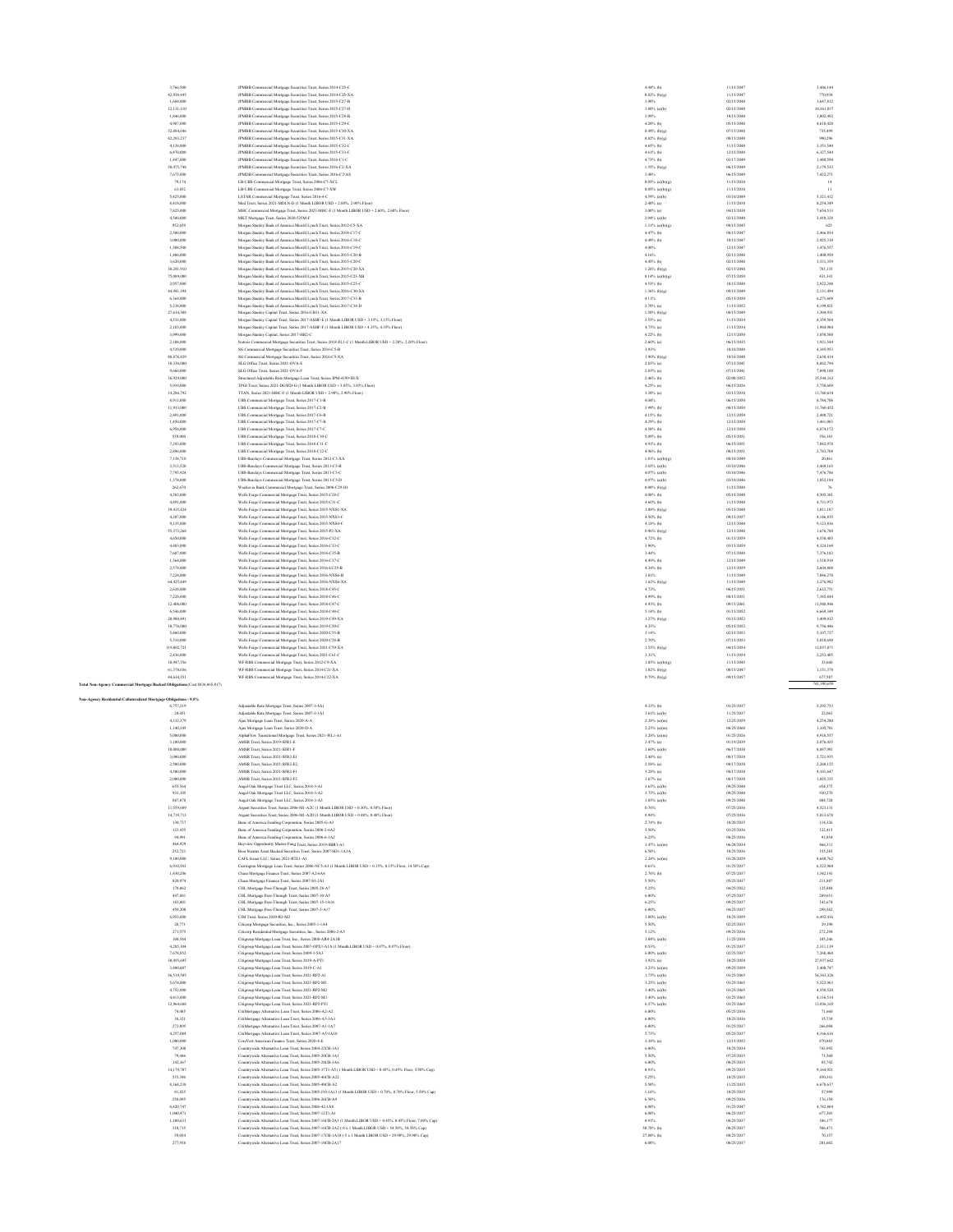| 3,766,500                                                                    | JPMBB Commercial Mortgage Securities Trust, Series 2014-C25-C                                                                                                           | 4.44% (b)                          | 11/15/2047               | 3,486,144               |
|------------------------------------------------------------------------------|-------------------------------------------------------------------------------------------------------------------------------------------------------------------------|------------------------------------|--------------------------|-------------------------|
| 42.938.445<br>1,684,000                                                      | JPMBB Commercial Mortgage Securities Trust, Series 2014-C25-XA<br>JPMBB Commercial Mortgage Securities Trust, Series 2015-C27-B                                         | $0.82%$ (b)(g)<br>3.90%            | 11/15/2047<br>02/15/2048 | 770,938<br>1.647.812    |
| 12,131,110                                                                   | JPMBB Commercial Mortgage Securities Trust, Series 2015-C27-D                                                                                                           | $3.80\%$ (a)(b)                    | 02/15/2048               | 10,361,037              |
| 1,846,000                                                                    | JPMBB Commercial Mortgage Securities Trust, Series 2015-C28-B                                                                                                           | 3.99%                              | 10/15/2048               | 1,802,492               |
| 4,987,000                                                                    | JPMBB Commercial Mortgage Securities Trust, Series 2015-C29-C                                                                                                           | 4.20% (b)                          | 05/15/2048               | 4,610,428               |
| 52,884,646                                                                   | JPMBB Commercial Mortgage Securities Trust, Series 2015-C30-XA                                                                                                          | $0.49%$ (b)(g)                     | 07/15/2048               | 735,499                 |
| 42,293,237<br>4,138,000                                                      | JPMBB Commercial Mortgage Securities Trust, Series 2015-C31-XA<br>JPMBB Commercial Mortgage Securities Trust, Series 2015-C32-C                                         | $0.82%$ (b)(g)<br>4.65% (b)        | 08/15/2048<br>11/15/2048 | 990,296<br>3,351,540    |
| 6,470,000                                                                    | JPMBB Commercial Mortgage Securities Trust, Series 2015-C33-C                                                                                                           | 4.61% (b)                          | 12/15/2048               | 6.327.544               |
| 1,447,000                                                                    | JPMBB Commercial Mortgage Securities Trust, Series 2016-C1-C                                                                                                            | 4.73% (b)                          | 03/17/2049               | 1,440,594               |
| 50,475,748                                                                   | JPMBB Commercial Mortgage Securities Trust, Series 2016-C2-XA                                                                                                           | $1.55\%$ (b)(g)                    | 06/15/2049               | 2,179,533               |
| 7,675,000<br>79,174                                                          | JPMDB Commercial Mortgage Securities Trust, Series 2016-C2-AS                                                                                                           | 3.48%<br>$0.05\%$ (a)(b)(g)        | 06/15/2049<br>11/15/2038 | 7,432,271<br>14         |
| 63,852                                                                       | LB-UBS Commercial Mortgage Trust, Series 2006-C7-XCL<br>LB-UBS Commercial Mortgage Trust, Series 2006-C7-XW                                                             | $0.05\%$ (a)(b)(g)                 | 11/15/2038               | $\mathbf{H}$            |
| 5,425,000                                                                    | LSTAR Commercial Mortgage Trust, Series 2016-4-C                                                                                                                        | 4.59% (a)(b)                       | 03/10/2049               | 5,321,412               |
| 8,418,000                                                                    | Med Trust, Series 2021-MDLN-D (1 Month LIBOR USD + 2.00%, 2.00% Floor)                                                                                                  | $2.40\%$ (a)                       | 11/15/2038               | 8,254,349               |
| 7,825,000                                                                    | MHC Commercial Mortgage Trust, Series 2021-MHC-F (1 Month LIBOR USD + 2.60%, 2.60% Floor)                                                                               | 3.00% (a)                          | 04/15/2038               | 7,654,513               |
| 4,500,000<br>952.659                                                         | MKT Mortgage Trust, Series 2020-525M-F<br>Morgan Stanley Bank of America Merrill Lynch Trust, Series 2012-CS-XA                                                         | 2.94% (a)(b)<br>$1.31\%$ (a)(b)(g) | 02/12/2040<br>08/15/2045 | 3,410,328<br>625        |
| 2,500,000                                                                    | Morgan Stanley Bank of America Merrill Lynch Trust, Series 2014-C17-C                                                                                                   | 4.47% (b)                          | 08/15/2047               | 2,466,854               |
| 3,000,000                                                                    | Morgan Stanley Bank of America Merrill Lynch Trust, Series 2014-C18-C                                                                                                   | 4.49% (b)                          | 10/15/2047               | 2,925,310               |
| 1,508,500                                                                    | Morgan Stanley Bank of America Merrill Lynch Trust, Series 2014-C19-C                                                                                                   | 4.00%                              | 12/15/2047               | 1,476,557               |
| 1,406,000                                                                    | Morgan Stanley Bank of America Merrill Lynch Trust, Series 2015-C20-B                                                                                                   | 4.16%                              | 02/15/2048               | 1,400,950               |
| 3,620,000<br>30,241,910                                                      | Morgan Stanley Bank of America Merrill Lynch Trust, Series 2015-C20-C<br>Morgan Stanley Bank of America Merrill Lynch Trust, Series 2015-C20-XA                         | 4.45% (b)<br>$1.26\%$ (b)(g)       | 02/15/2048<br>02/15/2048 | 3,531,359<br>783,135    |
| 75,089,000                                                                   | Morgan Stanley Bank of America Merrill Lynch Trust, Series 2015-C23-XE                                                                                                  | $0.14\%$ (a)(b)(g)                 | 07/15/2050               | 431,341                 |
| 2,957,000                                                                    | Morgan Stanley Bank of America Merrill Lynch Trust, Series 2015-C25-C                                                                                                   | 4.53% (b)                          | 10/15/2048               | 2.922.248               |
| 44.941.394                                                                   | Morgan Stanley Bank of America Merrill Lynch Trust, Series 2016-C30-XA                                                                                                  | $1.36\%$ (b)(g)                    | 09/15/2049               | 2,131,494               |
| 6,364,000<br>5,238,000                                                       | Morgan Stanley Bank of America Merrill Lynch Trust, Series 2017-C33-B                                                                                                   | 4.11%<br>$2.70\%$ (a)              | 05/15/2050<br>11/15/2052 | 6,271,609<br>4,199,821  |
| 27,614,308                                                                   | Morgan Stanley Bank of America Merrill Lynch Trust, Series 2017-C34-D<br>Morgan Stanley Capital Trust, Series 2016-UB11-XA                                              | $1.50\%$ (b)(g)                    | 08/15/2045               | 1,304,931               |
| 4,533,000                                                                    | Morgan Stanley Capital Trust, Series 2017-ASHF-E (1 Month LIBOR USD + 3.15%, 3.15% Floor)                                                                               | 3.55% (a)                          | 11/15/2034               | 4,359,504               |
| 2,183,000                                                                    | Morgan Stanley Capital Trust, Series 2017-ASHF-F (1 Month LIBOR USD + 4.35%, 4.35% Floor)                                                                               | 4.75% (a)                          | 11/15/2034               | 1,984,984               |
| 3,999,000                                                                    | Morgan Stanley Capital, Series 2017-HR2-C                                                                                                                               | 4.22% (b)                          | 12/15/2050               | 3,850,500               |
| 2.108,000<br>4,539,000                                                       | Natixis Commercial Mortgage Securities Trust, Series 2018-FL1-C (1 Month LIBOR USD + 2.20%, 2.20% Floor)<br>SG Commercial Mortgage Securities Trust, Series 2016-C5-B   | $2.60\%$ (a)<br>3.93%              | 06/15/2035<br>10/10/2048 | 1,921,544<br>4345,953   |
| 48,878,829                                                                   | SG Commercial Mortgage Securities Trust, Series 2016-CS-XA                                                                                                              | $1.90\%$ (b)(g)                    | 10/10/2048               | 2,630,414               |
| 10,336,000                                                                   | SLG Office Trust, Series 2021-OVA-E                                                                                                                                     | 2.85% (a)                          | 07/15/2041               | 8,882,794               |
| 9,660,000                                                                    | SLG Office Trust, Series 2021-OVA-F                                                                                                                                     | 2.85% (a)                          | 07/15/2041               | 7,898,100               |
| 36,929,000                                                                   | Structured Adjustable Rate Mortgage Loan Trust, Series JPM-4199-DUS                                                                                                     | $2.46%$ (b)                        | 02/08/2052               | 35,544,163              |
| 5,910,000<br>14,286,792                                                      | TPGI Trust, Series 2021-DGWD-G (1 Month LIBOR USD + 3.85%, 3.85% Floor)<br>TTAN, Series 2021-MHC-F (1 Month LIBOR USD + 2.90%, 2.90% Floor)                             | 4.25% (a)<br>3.30% (a)             | 06/15/2026<br>03/15/2038 | 5,758,609<br>13,760,634 |
| 8,911,000                                                                    | UBS Commercial Mortgage Trust, Series 2017-C1-B                                                                                                                         | 4.04%                              | 06/15/2050               | 8.784.706               |
| 11,933,000                                                                   | UBS Commercial Mortgage Trust, Series 2017-C2-B                                                                                                                         | 3.99% (b)                          | 08/15/2050               | 11,760,452              |
| 2,491,000                                                                    | UBS Commercial Mortgage Trust, Series 2017-C6-B                                                                                                                         | 4.15% (b)                          | 12/15/2050               | 2,480,721               |
| 1,450,000<br>6,958,000                                                       | UBS Commercial Mortgage Trust, Series 2017-C7-B                                                                                                                         | 4.29% (b)<br>4.58% (b)             | 12/15/2050<br>12/15/2050 | 1,461,003<br>6,874,172  |
| \$59,000                                                                     | UBS Commercial Mortgage Trust, Series 2017-C7-C<br>UBS Commercial Mortgage Trust, Series 2018-C10-C                                                                     | $5.09%$ (b)                        | 05/15/2051               | 556,183                 |
| 7,293,000                                                                    | UBS Commercial Mortgage Trust, Series 2018-C11-C                                                                                                                        | 4.91% (b)                          | 06/15/2051               | 7,042,978               |
| 2,896,000                                                                    | UBS Commercial Mortgage Trust, Series 2018-C12-C                                                                                                                        | 4.96% (b)                          | 08/15/2051               | 2,783,708               |
| 7.138.710                                                                    | UBS-Barclays Commercial Mortgage Trust, Series 2012-C3-XA                                                                                                               | $1.81\%$ (a)(b)(g)                 | 08/10/2049               | 20,461                  |
| 3.513.520                                                                    | UBS-Barclays Commercial Mortgage Trust, Series 2013-C5-B                                                                                                                | 3.65% (a)(b)                       | 03/10/2046<br>03/10/2046 | 3.469.165               |
| 7,795,924<br>1,374,000                                                       | UBS-Barclays Commercial Mortgage Trust, Series 2013-CS-C<br>UBS-Barclays Commercial Mortgage Trust, Series 2013-C5-D                                                    | $4.07%$ (a)(b)<br>$4.07%$ (a)(b)   | 03/10/2046               | 7,476,786<br>1,052,184  |
| 262,670                                                                      | Wachovia Bank Commercial Mortgage Trust, Series 2006-C29-IO                                                                                                             | $0.00\%$ (b)(g)                    | 11/15/2048               | 76                      |
| 4,582,000                                                                    | Wells Fargo Commercial Mortgage Trust, Series 2015-C28-C                                                                                                                | $4.08%$ (b)                        | 05/15/2048               | 4,505,301               |
| 4,891,000                                                                    | Wells Fargo Commercial Mortgage Trust, Series 2015-C31-C                                                                                                                | 4.60% (b)                          | 11/15/2048               | 4,731,973               |
| 39,415,424<br>4.207,000                                                      | Wells Fargo Commercial Mortgage Trust, Series 2015-NXS1-XA                                                                                                              | $1.08\%$ (b)(g)<br>4.50% (b)       | 05/15/2048<br>09/15/2057 | 1,011,187<br>4.146.815  |
| 9.135,000                                                                    | Wells Fargo Commercial Mortgage Trust, Series 2015-NXS3-C<br>Wells Fargo Commercial Mortgage Trust, Series 2015-NXS4-C                                                  | $4.18%$ (b)                        | 12/15/2048               | 9.123.836               |
| 55,373,268                                                                   | Wells Fargo Commercial Mortgage Trust, Series 2015-P2-XA                                                                                                                | $0.96\%$ (b)(g)                    | 12/15/2048               | 1,676,780               |
| 4,650,000                                                                    | Wells Fargo Commercial Mortgage Trust, Series 2016-C32-C                                                                                                                | $4.72%$ (b)                        | 01/15/2059               | 4,530,485               |
| 4,483,000                                                                    | Wells Fargo Commercial Mortgage Trust, Series 2016-C33-C                                                                                                                | 3.90%                              | 03/15/2059               | 4,324,160               |
| 7,687,000<br>1,564,000                                                       | Wells Fargo Commercial Mortgage Trust, Series 2016-C35-B<br>Wells Fargo Commercial Mortgage Trust, Series 2016-C37-C                                                    | 3.44%<br>4.49% (b)                 | 07/15/2048<br>12/15/2049 | 7,376,182<br>1,510,910  |
| 2,574,000                                                                    | Wells Fargo Commercial Mortgage Trust, Series 2016-LC25-B                                                                                                               | 4.34% (b)                          | 12/15/2059               | 2,604,808               |
| 7,224,000                                                                    | Wells Fargo Commercial Mortgage Trust, Series 2016-NXS6-B                                                                                                               | 3.81%                              | 11/15/2049               | 7,046,270               |
| 64,425,849                                                                   | Wells Fargo Commercial Mortgage Trust, Series 2016-NXS6-XA                                                                                                              | 1.62% (b)(g)                       | 11/15/2049               | 3,276,982               |
| 2,638,000                                                                    |                                                                                                                                                                         | 4.73%                              | 06/15/2051               | 2.632.751               |
|                                                                              | Wells Fargo Commercial Mortgage Trust, Series 2018-C45-C                                                                                                                |                                    |                          |                         |
| 7,228,000                                                                    | Wells Fargo Commercial Mortgage Trust, Series 2018-C46-C                                                                                                                | 4.99% (b)                          | 08/15/2051               | 7,345,844               |
| 12,408,000<br>6,546,000                                                      | Wells Fargo Commercial Mortgage Trust, Series 2018-C47-C                                                                                                                | 4.93% (b)<br>$5.14%$ (b)           | 09/15/2061<br>01/15/2052 | 11,988,946<br>6,669,349 |
| 20,980,491                                                                   | Wells Fargo Commercial Mortgage Trust, Series 2018-C48-C<br>Wells Fargo Commercial Mortgage Trust, Series 2019-C49-XA                                                   | $1.27%$ (b)(g)                     | 03/15/2052               | 1,409,012               |
| 10,776,000                                                                   | Wells Fargo Commercial Mortgage Trust, Series 2019-C50-C                                                                                                                | 4.35%                              | 05/15/2052               | 9,756,446               |
| 5,460,000                                                                    | Wells Fargo Commercial Mortgage Trust, Series 2020-C55-B                                                                                                                | 3.14%                              | 02/15/2053               | 5,107,727               |
| \$,510,000<br>119,802.721                                                    | Wells Fargo Commercial Mortgage Trust, Series 2020-C58-B                                                                                                                | 2.70%                              | 07/15/2053<br>04/15/2054 | 5.018,690<br>12,037,071 |
| 2,436,000                                                                    | Wells Fargo Commercial Mortgage Trust, Series 2021-C59-XA                                                                                                               | $1.55\%$ (b)(g)<br>3.31%           | 11/15/2054               |                         |
| 10,947,356                                                                   | Wells Fargo Commercial Mortgage Trust, Series 2021-C61-C<br>WF-RBS Commercial Mortgage Trust, Series 2012-C9-XA                                                         | 1.85% (a)(b)(g)                    | 11/15/2045               | 2,253,405<br>33,660     |
| 61,378,036                                                                   | WF-RBS Commercial Mortgage Trust, Series 2014-C21-XA                                                                                                                    | $1.02%$ (b)(g)                     | 08/15/2047               | 1,151,378               |
| 44,634,151                                                                   | WF-RBS Commercial Mortgage Trust, Series 2014-C22-XA                                                                                                                    | $0.79%$ (b)(g)                     | 09/15/2057               | 677,587                 |
| Total Non-Agency Commercial Mortgage Backed Obligations (Cost \$836,865,817) |                                                                                                                                                                         |                                    |                          | 741,390,659             |
| Non-Agency Residential Collateralized Mortgage Obligations - 9.5%            |                                                                                                                                                                         |                                    |                          |                         |
| 6,757,219                                                                    | Adjustable Rate Mortgage Trust, Series 2007-1-4A1                                                                                                                       | 4.33% (b)                          | 03/25/2037               | 5,292,753               |
| 20,451                                                                       | Adjustable Rate Mortgage Trust, Series 2007-3-1A1                                                                                                                       | 3.61% (a)(b)                       | 11/25/2037               | 22,063                  |
| 4,332,379                                                                    | Ajax Mortgage Loan Trust, Series 2020-A-A                                                                                                                               | $2.38\%$ (a)(m)                    | 12/25/2059               | 4,254,280               |
| 1,140,345<br>5,000,000                                                       | Ajax Mortgage Loan Trust, Series 2020-D-A<br>AlphaFlow Transitional Mortgage Trust, Series 2021-WL1-A1                                                                  | $2.25\%$ (a)(m)<br>$3.28\%$ (a)(m) | 06/25/2060<br>01/25/2026 | 1,105,781<br>4,918,557  |
| 3,100,000                                                                    | AMSR Trust, Series 2019-SFR1-E                                                                                                                                          | $3.47%$ (a)                        | 01/19/2039               | 2,876,435               |
| 10,000,000                                                                   | AMSR Trust, Series 2021-SFR1-F                                                                                                                                          | 3.60% (a)(b)                       | 06/17/2038               | 8,887,981               |
| 3,000,000<br>2,500,000                                                       | AMSR Trust, Series 2021-SFR2-E1<br>AMSR Trust, Series 2021-SFR2-E2                                                                                                      | $2.48%$ (a)<br>$2.58%$ (a)         | 08/17/2038<br>08/17/2038 | 2,721,935<br>2.260.125  |
| 4,500,000                                                                    | AMSR Trust, Series 2021-SFR2-F1                                                                                                                                         | $3.28\%$ (a)                       | 08/17/2038               | 4.101.647               |
| 2,000,000                                                                    | AMSR Trust, Series 2021-SFR2-F2                                                                                                                                         | $3.67%$ (a)                        | 08/17/2038               | 1,825,335               |
| 655.56                                                                       | Angel Oak Mortgage Trust LLC, Series 2018-3-A                                                                                                                           | 3.65% (a)(b                        | 09/25/204                | 654,375                 |
| 933,105<br>887,878                                                           | Angel Oak Mortgage Trust LLC, Series 2018-3-A2                                                                                                                          | 3.75% (a)(b)                       | 09/25/2048<br>09/25/2048 | 930,270<br>884,728      |
| 11,559,689                                                                   | Angel Oak Mortgage Trust LLC, Series 2018-3-A3<br>Argent Securities Trust, Series 2006-M1-A2C (1 Month LIBOR USD + 0.30%, 0.30% Floor)                                  | $3.85\%$ (a)(b)<br>0.76%           | 07/25/2036               | 4,523,131               |
| 14,719,713                                                                   | Argent Securities Trust, Series 2006-M1-A2D (1 Month LIBOR USD + 0.48%, 0.48% Floor)                                                                                    | 0.94%                              | 07/25/2036               | 5,833,678               |
| 130,737                                                                      | Banc of America Funding Corporation, Series 2005-G-A3                                                                                                                   | 2.74% (b)                          | 10/20/2035               | 114,326                 |
| 123,455<br>94,991                                                            | Banc of America Funding Corporation, Series 2006-2-6A2<br>Banc of America Funding Corporation, Series 2006-6-1A2                                                        | 5.50%<br>6.25%                     | 03/25/2036<br>08/25/2036 | 122.415<br>91,854       |
| 464,929                                                                      | Bayview Opportunity Master Fund Trust, Series 2019-SBR1-A1                                                                                                              | $3.47%$ (a)(m)                     | 06/28/2034               | 466,331                 |
| 252,723                                                                      | Bear Steams Asset Backed Securities Trust, Series 2007-SD1-1A3A                                                                                                         | 6.50%                              | 10/25/2036               | 155,283                 |
| 9,100,000                                                                    | CAFL Issuer LLC, Series 2021-RTL1-A1                                                                                                                                    | $2.24\%$ (a)(m)                    | 03/28/2029               | 8,648,762               |
| 6,910,583<br>1,430,206                                                       | Carrington Mortgage Loan Trust, Series 2006-NCS-A3 (1 Month LIBOR USD + 0.15%, 0.15% Floor, 14.50% Cap)<br>Chase Mortgage Finance Trust, Series 2007-A2-6A4             | 0.61%<br>$2.76%$ (b)               | 01/25/2037<br>07/25/2037 | 6,522,960<br>1,342,141  |
| 820.974                                                                      | Chase Mortgage Finance Trust, Series 2007-S3-2A1                                                                                                                        | 5.50%                              | 05/25/2037               | 211,887                 |
| 178.062                                                                      | CHL Mortgage Pass-Through Trust, Series 2005-28-A7                                                                                                                      | 5.25%                              | 04/25/2022               | 125,884                 |
| 447,881                                                                      | CHL Mortgage Pass-Through Trust, Series 2007-10-A5                                                                                                                      | 6,00%                              | 07/25/2037               | 289,651                 |
| 183,801                                                                      | CHL Mortgage Pass-Through Trust, Series 2007-15-1A16                                                                                                                    | 6.25%                              | 09/25/2037               | 142,674                 |
| 459,200<br>6,953,000                                                         | CHL Mortgage Pass-Through Trust, Series 2007-3-A17<br>CIM Trust. Series 2020-R2-M2                                                                                      | 6.00%<br>3.00% (a)(b)              | 04/25/2037<br>10/25/2059 | 298,562<br>6,492,416    |
| 28,771                                                                       | Citicorp Mortgage Securities, Inc., Series 2005-1-1A4                                                                                                                   | 5.50%                              | 02/25/2035               | 29,190                  |
| 271,575                                                                      | Citicorp Residential Mortgage Securities, Inc., Series 2006-2-A5                                                                                                        | 5.12%                              | 09/25/2036               | 272,294                 |
| 104,544                                                                      | Citigroup Mortgage Loan Trust, Inc., Series 2008-AR4-2A1B                                                                                                               | $3.04%$ (a)(b)                     | 11/25/2038               | 105,246                 |
| 4.285.104<br>7,678,852                                                       | Citigroup Mortgage Loan Trust, Series 2007-OPX1-A1A (1 Month LIBOR USD + 0.07%, 0.07% Floor)<br>Citigroup Mortgage Loan Trust, Series 2009-3-5A3                        | 0.53%<br>6,00% (a)(b)              | 01/25/2037<br>02/25/2037 | 2.311.139<br>7,268,460  |
| 30,455,695                                                                   | Citigroup Mortgage Loan Trust, Series 2019-A-PT1                                                                                                                        | $3.92%$ (a)                        | 10/25/2058               | 27,937,642              |
| 3,400,607                                                                    | Citigroup Mortgage Loan Trust, Series 2019-C-A1                                                                                                                         | $3.23\%$ (a)(m)                    | 09/25/2059               | 3,400,747               |
| 56,519,505                                                                   | Citigroup Mortgage Loan Trust, Series 2021-RP2-A1                                                                                                                       | 1.75% (a)(b)                       | 03/25/2065               | 54,363,326              |
| 5,674,000                                                                    | Citigroup Mortgage Loan Trust, Series 2021-RP2-M1                                                                                                                       | 3.25% (a)(b)                       | 03/25/2065               | 5,522,963               |
| 4,752,000<br>4,413,000                                                       | Citigroup Mortgage Loan Trust, Series 2021-RP2-M2<br>Citigroup Mortgage Loan Trust, Series 2021-RP2-M3                                                                  | 3.40% (a)(b)<br>3.40% (a)(b)       | 03/25/2065<br>03/25/2065 | 4,558,520<br>4,116,514  |
| 12.964.688                                                                   | Citigroup Mortgage Loan Trust, Series 2021-RP2-PT1                                                                                                                      | 6.57% (a)(b)                       | 03/25/2065               | 13,856,165              |
| 74,485                                                                       | CitiMortgage Alternative Loan Trust, Series 2006-A2-A2                                                                                                                  | 6,00%                              | 05/25/2036               | 71,660                  |
| 38.321                                                                       | CitiMortgage Alternative Loan Trust, Series 2006-A5-3A3                                                                                                                 | 6,00%                              | 10/25/2036               | 35,734                  |
| 273,895                                                                      | CitiMortgage Alternative Loan Trust, Series 2007-A1-1A7                                                                                                                 | 6,00%                              | 01/25/2037               | 266,004                 |
| 4,257,084<br>1,000,000                                                       | CitiMortgage Alternative Loan Trust, Series 2007-A5-1A10                                                                                                                | 5.75%<br>$3.38%$ (a)               | 05/25/2037<br>12/15/2052 | 4,166,616<br>870,883    |
| 747,308                                                                      | CoreVest American Finance Trust, Series 2020-4-E<br>Countrywide Alternative Loan Trust, Series 2004-22CB-1A1                                                            | $6.00\%$                           | 10/25/2034               | 743,992                 |
| 79,446                                                                       | Countrywide Alternative Loan Trust, Series 2005-20CB-1A1                                                                                                                | 5.50%                              | 07/25/2035               | 71,560                  |
| 142.367                                                                      | Countrywide Alternative Loan Trust, Series 2005-28CB-3A6                                                                                                                | 6,00%                              | 08/25/2035               | 85,742                  |
| 14.179.707                                                                   | Countrywide Alternative Loan Trust, Series 2005-37T1-A5 (1 Month LIBOR USD + 0.45%, 0.45% Floor, 5.50% Cap)                                                             | 0.91%                              | 09/25/2035               | 9.164.921               |
| \$35,396<br>8,368,238                                                        | Countrywide Alternative Loan Trust, Series 2005-46CB-A22                                                                                                                | 5.25%<br>5.50%                     | 10/25/2035<br>11/25/2035 | 450,341<br>6,678,617    |
| 81,825                                                                       | Countrywide Alternative Loan Trust, Series 2005-49CB-A2<br>Countrywide Alternative Loan Trust, Series 2005-J10-1A13 (1 Month LIBOR USD + 0.70%, 0.70% Floor, 5.50% Cap) | 1.16%                              | 10/25/2035               | 57,999                  |
| 258,095                                                                      | Countrywide Alternative Loan Trust, Series 2006-26CB-A9                                                                                                                 | 6.50%                              | 09/25/2036               | 176,158                 |
| 6,420,747                                                                    | Countrywide Alternative Loan Trust, Series 2006-42-1A8                                                                                                                  | $6.00\%$                           | 01/25/2047               | 4,742,804               |
| 1,040,473<br>1,100,631                                                       | Countrywide Alternative Loan Trust, Series 2007-12T1-A1<br>Countrywide Alternative Loan Trust, Series 2007-16CB-2A1 (1 Month LIBOR USD + 0.45%, 0.45% Floor, 7.00% Cap) | $6.00\%$<br>0.91%                  | 06/25/2037<br>08/25/2037 | 677,303<br>386,177      |
| 318,715                                                                      | Countrywide Alternative Loan Trust, Series 2007-16CB-2A2 (-8 x 1 Month LIBOR USD + 54.58%, 54.58% Cap)                                                                  | 50.78% (h)                         | 08/25/2037               | 586,471                 |
| 59,054<br>277,938                                                            | Countrywide Alternative Loan Trust, Series 2007-17CB-1A10 (-5 x 1 Month LIBOR USD + 29.90%, 29.90% Cap)<br>Countrywide Alternative Loan Trust, Series 2007-18CB-2A17    | 27.80% (h)<br>6.00%                | 08/25/2037<br>08/25/2037 | 70.157<br>201,602       |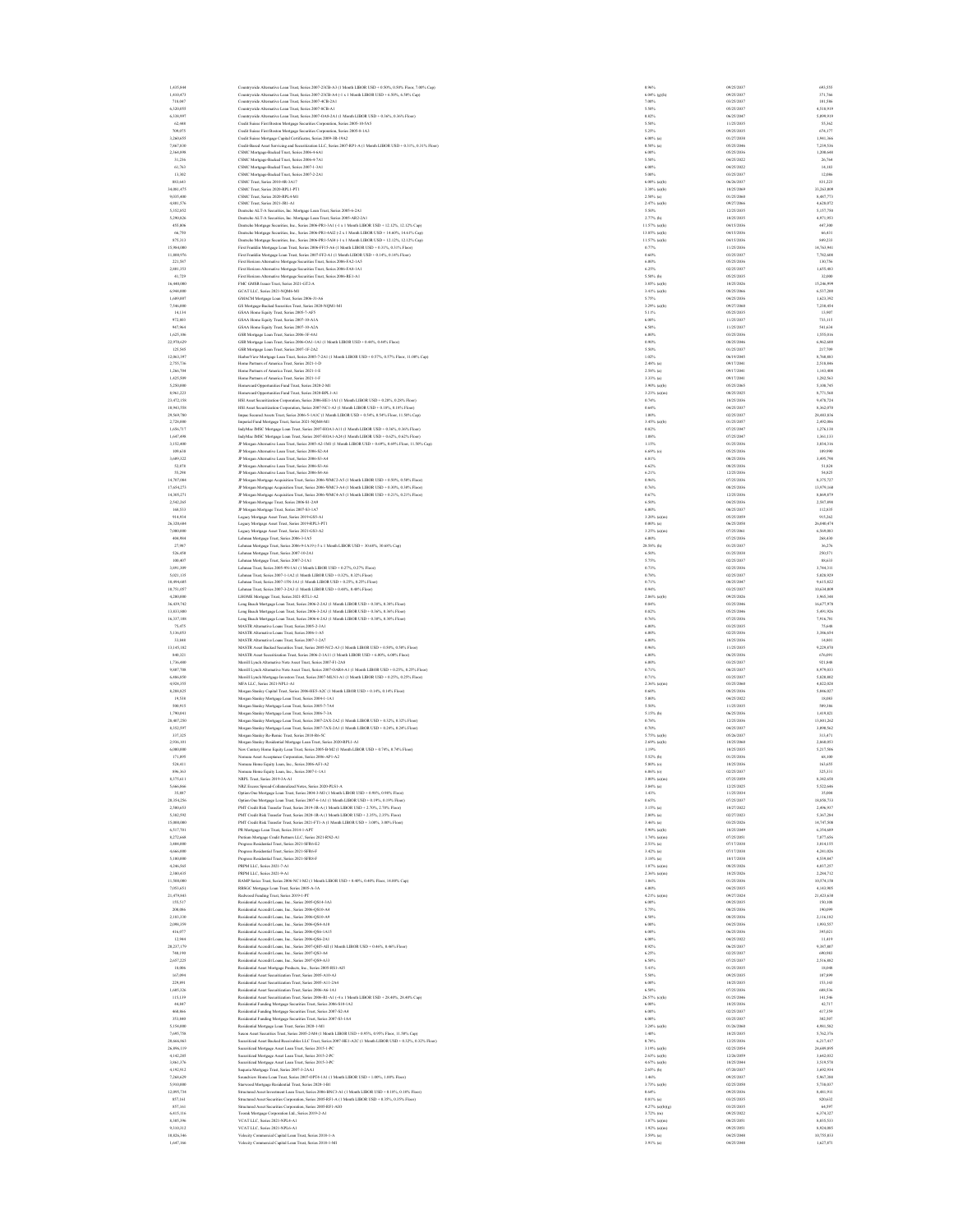| 1,435,844                | Countrywide Alternative Loan Trust, Series 2007-23CB-A3 (1 Month LIBOR USD + 0.50%, 0.50% Floor, 7.00% Cap)                                                                                              | 0.96%                          | 09/25/2037               | 693,555                 |
|--------------------------|----------------------------------------------------------------------------------------------------------------------------------------------------------------------------------------------------------|--------------------------------|--------------------------|-------------------------|
| 1.410.473                | Countrywide Alternative Loan Trust, Series 2007-23CB-A4 (-1 x 1 Month LIBOR USD + 6.50%, 6.50% Cap)                                                                                                      | 6.04% (g)(h)                   | 09/25/2037               | 371,766                 |
| 718.047                  | Countrywide Alternative Loan Trust, Series 2007-4CB-2A1                                                                                                                                                  | 7,00%                          | 03/25/2037               | 101,586                 |
| 6,320,055                | Countrywide Alternative Loan Trust, Series 2007-8CB-A1                                                                                                                                                   | 5,50%                          | 05/25/2037               | 4,518,919               |
| 6,338,997<br>62,448      | Countrywide Alternative Loan Trust, Series 2007-OA8-2A1 (1 Month LIBOR USD + 0.36%, 0.36% Floor)                                                                                                         | 0.82%<br>5.50%                 | 06/25/2047<br>11/25/2035 | 5,099,919<br>\$5,362    |
| 709,075                  | Credit Suisse First Boston Mortgage Securities Corporation, Series 2005-10-5A5<br>Credit Suisse First Boston Mortgage Securities Corporation, Series 2005-8-1A3                                          | 5.25%                          | 09/25/2035               | 674,17                  |
| 3,260,655                | Credit Suisse Mortgage Capital Certificates, Series 2009-3R-19A2                                                                                                                                         | $6.00\%$ (a)                   | 01/27/2038               | 1,941,366               |
| 7,867,830                | Credit-Based Asset Servicing and Securitization LLC, Series 2007-RPI-A (1 Month LIBOR USD + 0.31%, 0.31% Floor)                                                                                          | $0.50\%$ (a)                   | 05/25/2046               | 7,239,536               |
| 2.364,898                | CSMC Mortgage-Backed Trust, Series 2006-4-6A1                                                                                                                                                            | 6,00%                          | 05/25/2036               | 1,200,648               |
| 31.236                   | CSMC Mortgage-Backed Trust, Series 2006-4-7A1                                                                                                                                                            | 5.50%                          | 04/25/2022<br>04/25/2022 | 26,764                  |
| 61,763<br>13,302         | CSMC Mortgage-Backed Trust, Series 2007-1-3A1<br>CSMC Mortgage-Backed Trust, Series 2007-2-2A1                                                                                                           | 6.00%<br>5,00%                 | 03/25/2037               | 14,183<br>12,086        |
| 883,643                  | CSMC Trust, Series 2010-4R-3A17                                                                                                                                                                          | 6.00% (a)(b)                   | 06/26/2037               | 831,223                 |
| 34,081,475               | CSMC Trust, Series 2020-RPL1-PT1                                                                                                                                                                         | 3.38% (a)(b)                   | 10/25/2069               | 33,263,009              |
| 9,035,400                | CSMC Trust, Series 2020-RPL4-M1                                                                                                                                                                          | $2.50\%$ (a)                   | 01/25/2060               | 8,487,773               |
| 4,801,576                | CSMC Trust, Series 2021-JR1-A1                                                                                                                                                                           | $2.47%$ (a)(b)                 | 09/27/2066               | 4,628,072               |
| 5,352,852                | Deutsche ALT-A Securities, Inc. Mortgage Loan Trust, Series 2005-6-2A1                                                                                                                                   | 5.50%                          | 12/25/2035               | 5,157,750               |
| \$290,826<br>455,806     | Deutsche ALT-A Securities, Inc. Mortgage Loan Trust, Series 2005-AR2-2A1<br>Deutsche Mortgage Securities, Inc., Series 2006-PR1-3A1 (-1 x 1 Month LIBOR USD + 12.12%, 12.12% Can)                        | $2.77%$ (b)<br>11.57% (a)(h)   | 10/25/2035<br>04/15/2036 | 4,971,953<br>447,300    |
| 66,750                   | Deutsche Mortgage Securities, Inc., Series 2006-PR1-4AI2 (-2 x 1 Month LIBOR USD + 14.60%, 14.61% Cap)                                                                                                   | 13.85% (a)(h)                  | 04/15/2036               | 66,431                  |
| 875,313                  | Deutsche Mortgage Securities, Inc., Series 2006-PR1-5AI4 (-1 x 1 Month LIBOR USD + 12.12%, 12.12% Cap)                                                                                                   | $11.57%$ (a)(h)                | 04/15/2036               | 849,233                 |
| 15,984,000               | First Franklin Mortgage Loan Trust, Series 2006-FF15-A6 (1 Month LIBOR USD + 0.31%, 0.31% Floor)                                                                                                         | 0.77%                          | 11/25/2036               | 14,763,94               |
| 11,800,976               | First Franklin Mortgage Loan Trust, Series 2007-FF2-A1 (1 Month LIBOR USD + 0.14%, 0.14% Floor)                                                                                                          | 0.60%                          | 03/25/2037               | 7,782,608               |
| 221,587                  | First Horizon Alternative Mortgage Securities Trust, Series 2006-FA2-1A5                                                                                                                                 | $6.00\%$                       | 05/25/2036               | 130,756                 |
| 2,801,353                | First Horizon Alternative Mortgage Securities Trust, Series 2006-FA8-1A1                                                                                                                                 | 6.25%                          | 02/25/2037               | 1,655,483               |
| 41,729<br>16,440,000     | First Horizon Alternative Mortgage Securities Trust, Series 2006-RE1-A1<br>FMC GMSR Issuer Trust, Series 2021-GT2-A                                                                                      | 5.50% (b)<br>3.85% (a)(b)      | 05/25/2035<br>10/25/2026 | 32,000<br>15.246,999    |
| 6,944,000                | GCAT LLC, Series 2021-NQM6-MI                                                                                                                                                                            | $3.41%$ (a)(b)                 | 08/25/2066               | 6,537,200               |
| 1,689,007                | GMACM Mortgage Loan Trust, Series 2006-J1-A6                                                                                                                                                             | 5.75%                          | 04/25/2036               | 1,623,392               |
| 7,546,000                | GS Mortgage-Backed Securities Trust, Series 2020-NQM1-M1                                                                                                                                                 | 3.29% (a)(b)                   | 09/27/2060               | 7,230,454               |
| 14,134                   | GSAA Home Equity Trust, Series 2005-7-AF5                                                                                                                                                                | 5.11%                          | 05/25/2035               | 13,907                  |
| 972,803<br>947,964       | GSAA Home Equity Trust, Series 2007-10-A1A<br>GSAA Home Equity Trust, Series 2007-10-A2A                                                                                                                 | 6.00%<br>6.50%                 | 11/25/2037<br>11/25/2037 | 733,115<br>541,634      |
| 1,625,106                | GSR Mortgage Loan Trust, Series 2006-3F-4A1                                                                                                                                                              | 6,00%                          | 03/25/2036               | 1,555,016               |
| 22.970.629               | GSR Mortgage Loan Trust, Series 2006-OA1-1A1 (1 Month LIBOR USD + 0.44%, 0.44% Floor)                                                                                                                    | 0.90%                          | 08/25/2046               | 6,962,600               |
| 125,545                  | GSR Mortgage Loan Trust, Series 2007-1F-2A2                                                                                                                                                              | 5,50%                          | 01/25/2037               | 217,709                 |
| 12,063,397               | HarborView Mortgage Loan Trust, Series 2005-7-2A1 (1 Month LIBOR USD + 0.57%, 0.57% Floor, 11.00% Cap)                                                                                                   | 1.02%                          | 06/19/2045               | 8,760,883               |
| 2,755,736                | Home Partners of America Trust, Series 2021-1-D                                                                                                                                                          | $2.48%$ (a)                    | 09/17/2041               | 2,518,846               |
| 1,266,704                | Home Partners of America Trust, Series 2021-1-E                                                                                                                                                          | $2.58%$ (a)                    | 09/17/2041               | 1,143,408               |
| 1,425,509<br>5,250,000   | Home Partners of America Trust, Series 2021-1-F<br>Homeward Opportunities Fund Trust, Series 2020-2-MI                                                                                                   | 3.33% (a)<br>3.90% (a)(b)      | 09/17/2041<br>05/25/2065 | 1,282,563<br>5,108,745  |
| 8,961,223                | Homeward Opportunities Fund Trust, Series 2020-BPL1-A1                                                                                                                                                   | $3.23\%$ (a)(m)                | 08/25/2025               | 8,771,568               |
| 23,472,158               | HSI Asset Securitization Corporation, Series 2006-HE1-1A1 (1 Month LIBOR USD + 0.28%, 0.28% Floor)                                                                                                       | 0.74%                          | 10/25/2036               | 9.478.724               |
| 10.943.558               | HSI Asset Securitization Corporation, Series 2007-NC1-A3 (1 Month LIBOR USD + 0.18%, 0.18% Floor)                                                                                                        | 0.64%                          | 04/25/2037               | 8.362.070               |
| 29,569,780               | Impac Secured Assets Trust, Series 2006-5-1A1C (1 Month LIBOR USD + 0.54%, 0.54% Floor, 11.50% Cap)                                                                                                      | 1,00%                          | 02/25/2037               | 28,483,836              |
| 2,728,000                | Imperial Fund Mortgage Trust, Series 2021-NQM4-M1                                                                                                                                                        | $3.45\%$ (a)(b)                | 01/25/2057               | 2,492,086               |
| 1,656,717<br>1,647,498   | IndyMac IMSC Mortgage Loan Trust, Series 2007-HOA1-A11 (1 Month LIBOR USD + 0.36%, 0.36% Floor)<br>IndyMac IMSC Mortgage Loan Trust, Series 2007-HOA1-A24 (1 Month LIBOR USD + 0.62%, 0.62% Floor)       | 0.82%<br>1.08%                 | 07/25/2047<br>07/25/2047 | 1,276,138<br>1,361,133  |
| 3,152,400                | JP Morgan Alternative Loan Trust, Series 2005-A2-1M1 (1 Month LIBOR USD + 0.69%, 0.69% Floor, 11.50% Cap)                                                                                                | 1.15%                          | 01/25/2036               | 3,034,316               |
| 109,638                  | JP Morgan Alternative Loan Trust, Series 2006-S2-A4                                                                                                                                                      | $6.69%$ (o)                    | 05/25/2036               | 109,990                 |
| 3,609,322                | JP Morgan Alternative Loan Trust, Series 2006-S3-A4                                                                                                                                                      | 6.81%                          | 08/25/2036               | 3,495,798               |
| 52.878                   | JP Morgan Alternative Loan Trust, Series 2006-S3-A6                                                                                                                                                      | 6.62%                          | 08/25/2036               | 51.824                  |
| 55,298                   | JP Morgan Alternative Loan Trust, Series 2006-S4-A6                                                                                                                                                      | 6.21%                          | 12/25/2036               | 54,825                  |
| 14,707,084               | JP Morgan Mortgage Acquisition Trust, Series 2006-WMC2-A5 (1 Month LIBOR USD + 0.50%, 0.50% Floor)                                                                                                       | 0.96%                          | 07/25/2036               | 8,375,727               |
| 17,654,273<br>14,305,271 | JP Morgan Mortgage Acquisition Trust, Series 2006-WMC3-A4 (1 Month LIBOR USD + 0.30%, 0.30% Floor)<br>JP Morgan Mortgage Acquisition Trust, Series 2006-WMC4-A5 (1 Month LIBOR USD + 0.21%, 0.21% Floor) | 0.76%<br>0.67%                 | 08/25/2036<br>12/25/2036 | 13,979,160<br>8,869,879 |
| 2,542,265                | JP Morean Morteage Trust. Series 2006-S1-2A9                                                                                                                                                             | 6.50%                          | 04/25/2036               | 2,587,898               |
| 168,533                  | JP Morean Morteage Trust, Series 2007-S3-1A7                                                                                                                                                             | 6.00%                          | 08/25/2037               | 112,835                 |
| 914, 934                 | Legacy Mortgage Asset Trust, Series 2019-GS5-A1                                                                                                                                                          | $3.20\%$ (a)(m)                | 05/25/2059               | 915.262                 |
| 26,320,684               | Legacy Mortgage Asset Trust, Series 2019-RPL3-PT1                                                                                                                                                        | $0.00\%$ (a)                   | 06/25/2058               | 26.040.474              |
| 7,000,000                | Legacy Mortgage Asset Trust, Series 2021-GS3-A2                                                                                                                                                          | $3.25\%$ (a)(m)                | 07/25/2061               | 6,569,083               |
| 404,984                  | Lehman Mortgage Trust, Series 2006-3-1A5                                                                                                                                                                 | 6,00%                          | 07/25/2036               | 268,430                 |
| 27,987<br>526,450        | Lehman Mortgage Trust, Series 2006-9-1A19 (-5 x 1 Month LIBOR USD + 30.68%, 30.68% Cap)<br>Lehman Mortgage Trust, Series 2007-10-2A1                                                                     | 28.58% (h)<br>6.50%            | 01/25/2037<br>01/25/2038 | 36,276<br>250,57        |
| 100,407                  | Lehman Mortgage Trust, Series 2007-2-1A1                                                                                                                                                                 | 5.75%                          | 02/25/2037               | 88,633                  |
| 3,891,309                | Lehman Trust, Series 2005-9N-1A1 (1 Month LIBOR USD + 0.27%, 0.27% Floor)                                                                                                                                | 0.73%                          | 02/25/2036               | 3,744,311               |
| 5,021,135                | Lehman Trust, Series 2007-1-1A2 (1 Month LIBOR USD + 0.32%, 0.32% Floor)                                                                                                                                 | 0.78%                          | 02/25/2037               | 5,028,929               |
| 10,494,605               | Lehman Trust, Series 2007-15N-3A1 (1 Month LIBOR USD + 0.25%, 0.25% Floor)                                                                                                                               | 0.71%                          | 08/25/2047               | 9.615.822               |
| 10.751.057               | Lehman Trust, Series 2007-3-2A3 (1 Month LIBOR USD + 0.48%, 0.48% Floor)                                                                                                                                 | 0.94%                          | 03/25/2037               | 10,634,009              |
| 4.200,000<br>36,439,742  | LHOME Mortgage Trust, Series 2021-RTL1-A2<br>Long Beach Mortgage Loan Trust, Series 2006-2-2A3 (1 Month LIBOR USD + 0.38%, 0.38% Floor)                                                                  | $2.86\%$ (a)(b)<br>0.84%       | 09/25/2026<br>03/25/2046 | 3,965,348<br>16,677,978 |
| 13,833,800               | Long Beach Mortgage Loan Trust, Series 2006-3-2A3 (1 Month LIBOR USD + 0.36%, 0.36% Floor)                                                                                                               | 0.82%                          | 05/25/2046               | 5,491,926               |
| 16,337,108               | Long Beach Mortgage Loan Trust, Series 2006-6-2A3 (1 Month LIBOR USD + 0.30%, 0.30% Floor)                                                                                                               | 0.76%                          | 07/25/2036               | 7,916,781               |
| 75,475                   | MASTR Alternative Loans Trust, Series 2005-2-3A1                                                                                                                                                         | 6.00%                          | 03/25/2035               | 75,648                  |
| 5,136,053                | MASTR Alternative Loans Trust, Series 2006-1-A5                                                                                                                                                          | 6.00%                          | 02/25/2036               | 3,386,654               |
| 33,848                   | MASTR Alternative Loans Trust, Series 2007-1-2A7                                                                                                                                                         | 6,00%                          | 10/25/2036               | 14,801                  |
| 13.145.182               | MASTR Asset Backed Securities Trust. Series 2005-NC2-A3 (1 Month LIBOR USD + 0.50% 0.50% Floor)                                                                                                          | 0.96%                          | 11/25/2035               | 9.229.870               |
| 840,321<br>1,736,480     | MASTR Asset Securitization Trust, Series 2006-2-1A11 (1 Month LIBOR USD + 6.00%, 6.00% Floor)<br>Merrill Lynch Alternative Note Asset Trust, Series 2007-F1-2A8                                          | 6,00%<br>6.00%                 | 06/25/2036<br>03/25/2037 | 676.091<br>921,848      |
| 9,807,708                | Merrill Lynch Alternative Note Asset Trust, Series 2007-OAR4-A1 (1 Month LIBOR USD + 0.25%, 0.25% Floor)                                                                                                 | 0.71%                          | 08/25/2037               | 8,979,033               |
| 6,486,850                | Merrill Lynch Mortgage Investors Trust, Series 2007-MLN1-A1 (1 Month LIBOR USD + 0.25%, 0.25% Floor)                                                                                                     | 0.71%                          | 03/25/2037               | 5,820,802               |
| 4,924,355                | MFA LLC, Series 2021-NPL1-A1                                                                                                                                                                             | $2.36\%$ (a)(m)                | 03/25/2060               | 4,822,028               |
| 8,288,825                | Morgan Stanley Capital Trust, Series 2006-HE5-A2C (1 Month LIBOR USD + 0.14%, 0.14% Floor)                                                                                                               | 0.60%                          | 08/25/2036               | 5,046,027               |
| 19,538                   | Morgan Stanley Mortgage Loan Trust, Series 2004-1-1A1                                                                                                                                                    | 5.00%                          | 04/25/2022               | 18,083                  |
| 500.915                  | Morgan Stanley Mortgage Loan Trust, Series 2005-7-7A4                                                                                                                                                    | 5.50%                          | 11/25/2035               | 509,386                 |
| 1,790,041<br>28,407,250  | Morgan Stanley Mortgage Loan Trust, Series 2006-7-3A<br>Morgan Stanley Mortgage Loan Trust, Series 2007-2AX-2A2 (1 Month LIBOR USD + 0.32%, 0.32% Floor)                                                 | 5.15% (b)<br>0.78%             | 06/25/2036<br>12/25/2036 | 1,419,821<br>13,801,262 |
| 8,352,597                | Morgan Stanley Mortgage Loan Trust, Series 2007-7AX-2A1 (1 Month LIBOR USD + 0.24%, 0.24% Floor)                                                                                                         | 0.70%                          | 04/25/2037               | 3,090,562               |
| 337,325                  | Morgan Stanley Re-Remic Trust, Series 2010-R6-5C                                                                                                                                                         | 5.75% (a)(b)                   | 05/26/2037               | 313,471                 |
| 2,936,101                | Morgan Stanley Residential Mortgage Loan Trust, Series 2020-RPL1-A1                                                                                                                                      | $2.69%$ (a)(b)                 | 10/25/2060               | 2,860,053               |
| 6,000,000                | New Century Home Equity Loan Trust, Series 2005-B-M2 (1 Month LIBOR USD + 0.74%, 0.74% Floor)                                                                                                            | 1.19%                          | 10/25/2035               | 5,217,506               |
| 171,895                  | Nomura Asset Acceptance Corporation, Series 2006-AP1-A2                                                                                                                                                  | 5.52% (b)                      | 01/25/2036               | 68,100                  |
| 524.411<br>896, 363      | Norman Home Faulty Loan, Inc., Series 2006-AFL-A2<br>Nomura Home Equity Loan, Inc., Series 2007-1-1A1                                                                                                    | 5,80% (o)<br>$6.06\%$ (o)      | 10/25/2036<br>02/25/2037 | 163,655<br>325,331      |
| 8,375,611                | NRPL Trust, Series 2019-3A-A1                                                                                                                                                                            | $3.00\%$ (a)(m)                | 07/25/2059               | 8.342,658               |
| 5,666,86                 | NRZ Excess Spread-Co.<br>ies 2020-PLS1-A                                                                                                                                                                 | 3.84% (a)                      | 12/25/2025               | 5,522,64                |
| 35,887                   | Option One Mortgage Loan Trust, Series 2004-3-M3 (1 Month LIBOR USD + 0.98%, 0.98% Floor)                                                                                                                | 1.43%                          | 11/25/2034               | 35,004                  |
| 20,354,256               | Option One Mortgage Loan Trust, Series 2007-6-1A1 (1 Month LIBOR USD + 0.19%, 0.19% Floor)                                                                                                               |                                | 07/25/2037               | 18,858,733              |
| 2,500,653                | PMT Credit Risk Transfer Trust, Series 2019-3R-A (1 Month LIBOR USD + 2.70%, 2.70% Floor)                                                                                                                | 0.65%                          |                          | 2,496,937               |
| 5,382,592<br>15,000,000  |                                                                                                                                                                                                          | $3.15%$ (a)                    | 10/27/2022               |                         |
| 6,517,701                | PMT Credit Risk Transfer Trust, Series 2020-1R-A (1 Month LIBOR USD + 2.35%, 2.35% Floor)                                                                                                                | $2.80\%$ (a)                   | 02/27/2023               | 5,367,284               |
| 8,272,668                | PMT Credit Risk Transfer Trust, Series 2021-FT1-A (1 Month LIBOR USD + 3.00%, 3.00% Floor)<br>PR Mortgage Loan Trust, Series 2014-1-APT                                                                  | 3.46% (a)<br>5.90% (a)(b)      | 03/25/2026<br>10/25/2049 | 14,747,508<br>6.354,689 |
| 3,404,000                | Pretium Mortgage Credit Partners LLC, Series 2021-RN2-A1                                                                                                                                                 |                                | 07/25/2051               | 7,877,656               |
|                          | Progress Residential Trust, Series 2021-SFR6-E2                                                                                                                                                          | $1.74\%$ (a)(m)<br>$2.53%$ (a) | 07/17/2038               | 3,014,155               |
| 4,666,000                | Progress Residential Trust, Series 2021-SFR6-F                                                                                                                                                           | $3.42%$ (a)                    | 07/17/2038               | 4,241,026               |
| 5,100,000                | Progress Residential Trust, Series 2021-SFR8-F                                                                                                                                                           | $3.18%$ (a)                    | 10/17/2038               | 4,539,847               |
| 4,246,565                | PRPM LLC, Series 2021-7-A1                                                                                                                                                                               | $1.87%$ (a)(m)                 | 08/25/2026               | 4,037,257               |
| 2,380,435                | PRPM LLC, Series 2021-9-A1                                                                                                                                                                               | $2.36\%$ (a)(m)                | 10/25/2026               | 2,284,712               |
| 11,500,000<br>7.053.651  | RAMP Series Trust. Series 2006-NC1-M2 (1 Month LIBOR USD + 0.40%, 0.40% Floor, 14.00% Cap)<br>RBSGC Mortgage Loan Trust, Series 2005-A-3A                                                                | 1.06%<br>6,00%                 | 01/25/2036<br>04/25/2035 | 10,574,158<br>4.143.905 |
| 21,479,843               |                                                                                                                                                                                                          |                                | 09/27/2024               | 21,423,630              |
| 155,517                  | Redwood Funding Trust, Series 2019-1-PT<br>Residential Accredit Loans, Inc., Series 2005-QS14-3A3                                                                                                        | $4.21\%$ (a)(m)<br>6.00%       | 09/25/2035               | 150,108                 |
| 200,086                  | Residential Accredit Loans, Inc., Series 2006-QS10-A4                                                                                                                                                    | 5.75%                          | 08/25/2036               | 190,099                 |
| 2,183,330                | Residential Accredit Loans, Inc., Series 2006-QS10-A9                                                                                                                                                    | 6.50%                          | 08/25/2036               | 2,116,182               |
| 2,098,359                | Residential Accredit Loans, Inc., Series 2006-OS4-A10                                                                                                                                                    | 6.00%                          | 04/25/2036               | 1,993,557               |
| 416,077<br>12,944        | Residential Accredit Loans, Inc., Series 2006-QS6-1A15<br>Residential Accredit Loans, Inc., Series 2006-QS6-2A1                                                                                          | 6.00%<br>6.00%                 | 06/25/2036<br>04/25/2022 | 395,021<br>11,419       |
| 20.237.179               | Residential Accredit Loans, Inc., Series 2007-OHS-AII (1 Month LIBOR USD + 0.46%, 0.46% Floor)                                                                                                           | 0.92%                          | 06/25/2037               | 9,387,807               |
| 740,190                  | Residential Accredit Loans, Inc., Series 2007-OS3-A4                                                                                                                                                     | 6.25%                          | 02/25/2037               | 690,983                 |
| 2,657,225                | Residential Accredit Loans, Inc., Series 2007-QS9-A33                                                                                                                                                    | 6.50%                          | 07/25/2037               | 2,516,882               |
| 18,006                   | Residential Asset Mortgage Products, Inc., Series 2005-RS1-AI5                                                                                                                                           | 5.41%                          | 01/25/2035               | 18,048                  |
| 167,094                  | Residential Asset Securitization Trust, Series 2005-A10-A3                                                                                                                                               | 5.50%                          | 09/25/2035               | 107,895                 |
| 229,891                  | Residential Asset Securitization Trust, Series 2005-A11-2A4                                                                                                                                              | 6.00%                          | 10/25/2035               | 153,143                 |
| 1,605,326                | Residential Asset Securitization Trust, Series 2006-A6-1A1                                                                                                                                               | 6.50%                          | 07/25/2036               | 688,536                 |
| 115,139<br>44,847        | Residential Asset Securitization Trust, Series 2006-R1-A1 (-4 x 1 Month LIBOR USD + 28.40%, 28.40% Cap)<br>Residential Funding Mortgage Securities Trust, Series 2006-S10-1A2                            | 26.57% (c)(h)<br>6,00%         | 01/25/2046<br>10/25/2036 | 141,546<br>42,717       |
| 460,866                  | Residential Funding Mortgage Securities Trust, Series 2007-S2-A4                                                                                                                                         | 6,00%                          | 02/25/2037               | 417,359                 |
| 353,840                  | Residential Funding Mortgage Securities Trust, Series 2007-83-1A4                                                                                                                                        | 6,00%                          | 03/25/2037               | 302,507                 |
| 5,154,000                | Residential Mortgage Loan Trust, Series 2020-1-MI                                                                                                                                                        | 3.24% (a)(b)                   | 01/26/2060               | 4,981,582               |
| 7,695,758                | Saxon Asset Securities Trust, Series 2005-2-M4 (1 Month LIBOR USD + 0.95%, 0.95% Floor, 11.50% Cap)                                                                                                      | 1.40%                          | 10/25/2035               | 5,762,376               |
| 20,666,863               | Securitized Asset Backed Receivables LLC Trust, Series 2007-HE1-A2C (1 Month LIBOR USD + 0.32%, 0.32% Floor)                                                                                             | 0.78%                          | 12/25/2036               | 6,217,417               |
| 26,896,119<br>4,142,285  | Securitized Mortgage Asset Loan Trust, Series 2015-1-PC<br>Securitized Mortgage Asset Loan Trust, Series 2015-2-PC                                                                                       | $3.19%$ (a)(b)<br>2.63% (a)(b) | 02/25/2054<br>12/26/2059 | 24,689,895<br>3,642,032 |
| 3,861,376                | Securitized Mortgage Asset Loan Trust, Series 2015-3-PC                                                                                                                                                  | 4.67% (a)(b)                   | 10/25/2044               | 3,519,578               |
| 4.192.912                | Sequeia Mortgage Trust, Series 2007-3-2AA1                                                                                                                                                               | $2.65%$ (b)                    | 07/20/2037               | 3,692,934               |
| 7,268,629                | Soundview Home Loan Trust, Series 2007-OPT4-1A1 (1 Month LIBOR USD + 1.00%, 1.00% Floor)                                                                                                                 | 1,46%                          | 09/25/2037               | 5,967,388               |
| 5,910,000                | Starwood Mortgage Residential Trust, Series 2020-1-B1                                                                                                                                                    | 3.73% (a)(b)                   | 02/25/2050               | 5,738,037               |
| 12,095,734               | Structured Asset Investment Loan Trust, Series 2006-BNC3-A1 (1 Month LIBOR USD + 0.18%, 0.18% Floor)                                                                                                     | 0.64%                          | 09/25/2036               | 8,481,911               |
| 857,161                  | Structured Asset Securities Corporation, Series 2005-RF1-A (1 Month LIBOR USD + 0.35%, 0.35% Floor)                                                                                                      | $0.81%$ (a)                    | 03/25/2035               | 820,632                 |
| 857,161<br>6,415,116     | Structured Asset Securities Corporation, Series 2005-RF1-AIO<br>Toorak Mortgage Corporation Ltd., Series 2019-2-A1                                                                                       | 4.27% (a)(b)(g)<br>3.72% (m)   | 03/25/2035<br>09/25/2022 | 64,597<br>6,374,327     |
| 8,305,396                | VCAT LLC, Series 2021-NPL4-A1                                                                                                                                                                            | $1.87%$ (a)(m)                 | 08/25/2051               | 8,035,533               |
| 9.310.312                | VCAT LLC, Series 2021-NPL6-A1                                                                                                                                                                            | 1.92% (a)(m)                   | 09/25/2051               | 8.924.085               |
| 10.826.346<br>1,647,166  | Velocity Commercial Capital Loan Trust, Series 2018-1-A<br>Velocity Commercial Capital Loan Trust, Series 2018-1-M1                                                                                      | $3.59%$ (a)<br>$3.91\%$ (a)    | 04/25/2048<br>04/25/2048 | 10,755,033<br>1,627,871 |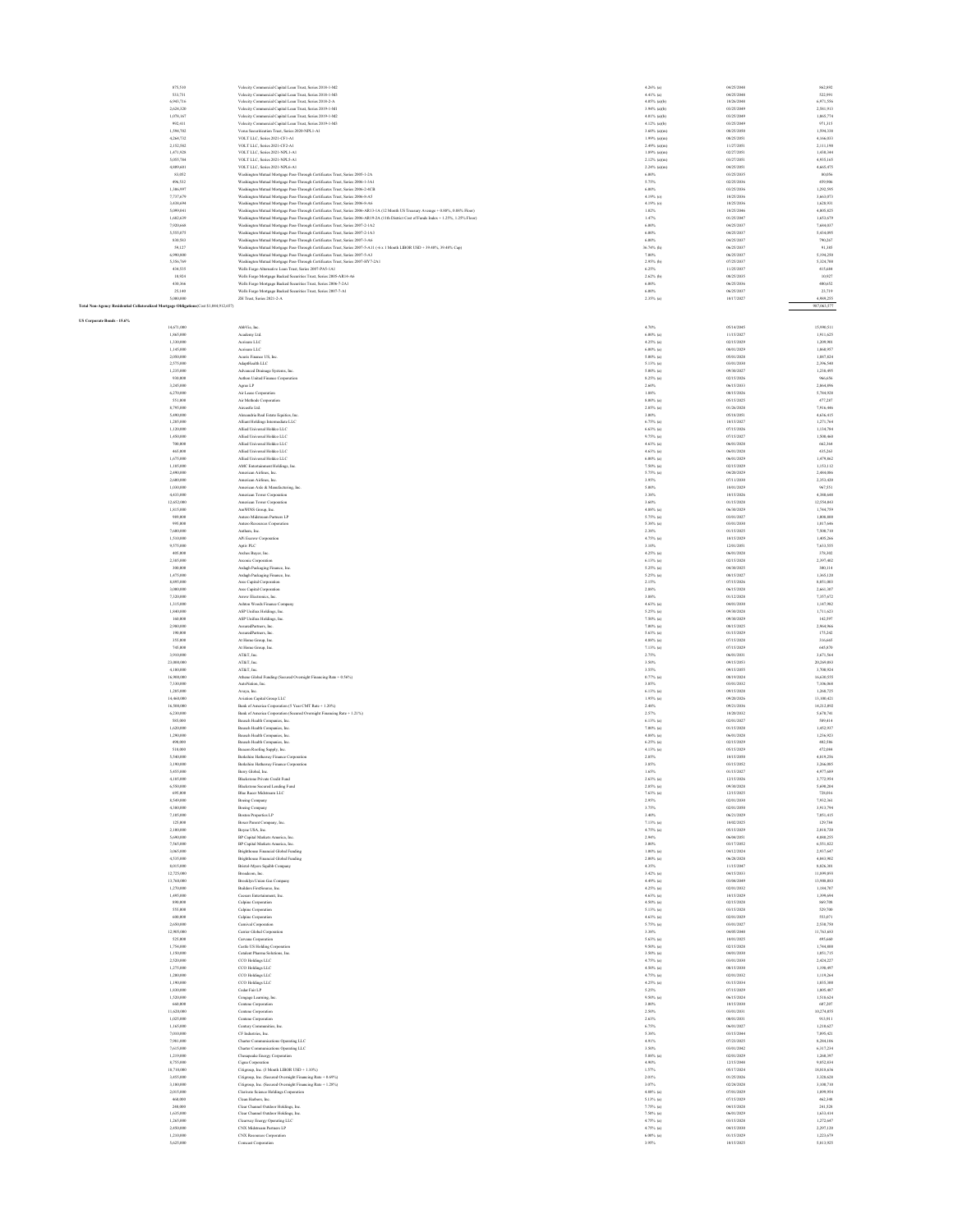|                                                                                        | 875.510<br>533,731      | . 2018. LM2<br>Velocity Commercial Capital Loan Trust, Series 2018-1-M3                                                                                                                                                   | $4.26%$ (a)<br>$4.41\%$ (a)      | 04/25/2041<br>04/25/2048 | 862.892<br>522,991       |
|----------------------------------------------------------------------------------------|-------------------------|---------------------------------------------------------------------------------------------------------------------------------------------------------------------------------------------------------------------------|----------------------------------|--------------------------|--------------------------|
|                                                                                        | 6,943,716<br>2,624,320  | Velocity Commercial Capital Loan Trust, Series 2018-2-A<br>Velocity Commercial Capital Loan Trust, Series 2019-1-M1                                                                                                       | $4.05%$ (a)(b)<br>$3.94%$ (a)(b) | 10/26/2048<br>03/25/2049 | 6,971,556<br>2,581,913   |
|                                                                                        | 1,078,167               | Velocity Commercial Capital Loan Trust, Series 2019-1-M2                                                                                                                                                                  | $4.01\%$ (a)(b)                  | 03/25/2049               | 1,065,774                |
|                                                                                        | 992,411<br>1,594,702    | Velocity Commercial Capital Loan Trust, Series 2019-1-M3<br>Verus Securitization Trust. Series 2020-NPL1-A1                                                                                                               | 4.12% (a)(b)<br>$3.60\%$ (a)(m)  | 03/25/2049<br>08/25/2050 | 971,315<br>1,594,338     |
|                                                                                        | 4.264.732<br>2.152.582  | VOLT LLC. Series 2021-CF1-A1<br>VOLT LLC, Series 2021-CF2-A1                                                                                                                                                              | $1.99\%$ (a)(m)<br>2.49% (a)(m)  | 08/25/2051<br>11/27/2051 | 4.166.033<br>2.111.190   |
|                                                                                        | 1,471,928               | VOLT LLC, Series 2021-NPL1-A1                                                                                                                                                                                             | $1.89\%$ (a)(m)                  | 02/27/2051               | 1,430,344                |
|                                                                                        | \$.055,784<br>4,809,601 | VOLT LLC, Series 2021-NPL5-A1<br>VOLT LLC, Series 2021-NPL6-A1                                                                                                                                                            | 2.12% (a)(m)<br>$2.24\%$ (a)(m)  | 03/27/2051<br>04/25/2051 | 4,935,165<br>4,665,475   |
|                                                                                        | 83,052                  | Washington Mutual Mortgage Pass-Through Certificates Trust, Series 2005-1-2A                                                                                                                                              | $6.00\%$                         | 03/25/2035               | 80,056                   |
|                                                                                        | 496,532<br>1,306,997    | Washington Mutual Mortgage Pass-Through Certificates Trust, Series 2006-1-3A1<br>Washington Mutual Mortgage Pass-Through Certificates Trust, Series 2006-2-4CB                                                            | 5.75%<br>$6.00\%$                | 02/25/2036<br>03/25/2036 | 459,906<br>1,292,595     |
|                                                                                        | 7,737,679<br>3,438,694  | Washington Mutual Mortgage Pass-Through Certificates Trust, Series 2006-8-A5                                                                                                                                              | $4.19%$ (o)<br>$4.19%$ (o)       | 10/25/2036<br>10/25/2036 | 3,663,073<br>1.628.931   |
|                                                                                        | \$,099,041              | Washington Mutual Mortgage Pass-Through Certificates Trust, Series 2006-8-A6<br>Washington Mutual Mortgage Pass-Through Certificates Trust, Series 2006-AR13-1A (12 Month US Treasury Average + 0.88%, 0.88% Floor)       | 1.02%                            | 10/25/2046               | 4.805.825                |
|                                                                                        | 1,682,639<br>7,920,668  | Washington Mutual Mortgage Pass-Through Certificates Trust, Series 2006-AR19-2A (11th District Cost of Funds Index + 1.25%, 1.25% Floor)<br>Washington Mutual Mortgage Pass-Through Certificates Trust, Series 2007-2-1A2 | 1.47%<br>$6.00\%$                | 01/25/2047<br>04/25/2037 | 1,653,679<br>7,684,037   |
|                                                                                        | 5,555,075               | Washington Mutual Mortgage Pass-Through Certificates Trust, Series 2007-2-1A3                                                                                                                                             | $6.00\%$                         | 04/25/2037               | 5,434,095                |
|                                                                                        | 830,583<br>59,127       | Washington Mutual Mortgage Pass-Through Certificates Trust, Series 2007-3-A6<br>Washington Mutual Mortgage Pass-Through Certificates Trust, Series 2007-5-A11 (-6 x 1 Month LIBOR USD + 39.48%, 39.48% Cap)               | $6.00\%$<br>36.74% (h)           | 04/25/2037<br>06/25/2037 | 790,267<br>91,385        |
|                                                                                        | 6,990,800<br>\$356,769  | Washington Mutual Mortgage Pass-Through Certificates Trust, Series 2007-5-A3<br>Washington Mutual Mortgage Pass-Through Certificates Trust, Series 2007-HY7-2A1                                                           | 7.00%<br>2.95% (b)               | 06/25/2037<br>07/25/2037 | 5,194,250<br>\$324,700   |
|                                                                                        | 434.535                 | Wells Fargo Alternative Loan Trust, Series 2007-PAS-1A1                                                                                                                                                                   | 6.25%                            | 11/25/2037               | 415,684                  |
|                                                                                        | 10,924<br>430,366       | Wells Fargo Mortgage Backed Securities Trust, Series 2005-AR14-A6<br>Wells Fargo Mortgage Backed Securities Trust, Series 2006-7-2A1                                                                                      | $2.62%$ (b)<br>$6.00\%$          | 08/25/2035<br>06/25/2036 | 10,927<br>400,652        |
|                                                                                        | 25,140<br>5,000,000     | Wells Fargo Mortgage Backed Securities Trust, Series 2007-7-A1<br>ZH Trust, Series 2021-2-A                                                                                                                               | $6.00\%$                         | 06/25/2037               | 23,719                   |
| Total Non-Agency Residential Collateralized Mortgage Obligations(Cost \$1,044,912,657) |                         |                                                                                                                                                                                                                           | $2.35\%$ (a)                     | 10/17/2027               | 4,989,255<br>987,063,577 |
| US Cornorate Bonds - 15.6%                                                             |                         |                                                                                                                                                                                                                           |                                  |                          |                          |
|                                                                                        | 14,671,000              | AbbVie, Inc.                                                                                                                                                                                                              | 4.70%                            | 05/14/2045               | 15,990,511               |
|                                                                                        | 1,865,000<br>1,330,000  | Academy Ltd.<br>Acristre LLC                                                                                                                                                                                              | $6.00\%$ (a)<br>$4.25\%$ (a)     | 11/15/2027<br>02/15/2029 | 1,911,625<br>1,209,901   |
|                                                                                        | 1,145,000<br>2,050,000  | Acrisure LLC<br>Acuris Finance US, Inc.                                                                                                                                                                                   | $6.00\%$ (a)<br>$5.00\%$ (a)     | 08/01/2029<br>05/01/2028 | 1,060,957<br>1,887,824   |
|                                                                                        | 2,575,000               | AdaptHealth LLC                                                                                                                                                                                                           | 5.13% (a)                        | 03/01/2030               | 2,396,540                |
|                                                                                        | 1,235,000<br>930,000    | Advanced Drainage Systems, Inc.<br>Aethon United Finance Corporation                                                                                                                                                      | $5.00\%$ (a)<br>8.25% (a)        | 09/30/2027<br>02/15/2026 | 1,238,495<br>966,656     |
|                                                                                        | 3.245,000<br>6.270,000  | Agree LP<br>Air Lease Corporation                                                                                                                                                                                         | 2.60%<br>1.88%                   | 06/15/2033<br>08/15/2026 | 2864,896<br>5.784.928    |
|                                                                                        | 551,000                 | Air Methods Corporation                                                                                                                                                                                                   | $8.00\%$ (a)                     | 05/15/2025               | 477,287                  |
|                                                                                        | 8,795,000<br>5,490,000  | Aircastle Ltd.<br>Alexandria Real Estate Equities, Inc.                                                                                                                                                                   | $2.85\%$ (a)<br>3.00%            | 01/26/2028<br>05/18/2051 | 7,916,446<br>4,636,415   |
|                                                                                        | 1,285,000               | Alliant Holdings Intermediate LLC                                                                                                                                                                                         | $6.75%$ (a)                      | 10/15/2027               | 1,271,764                |
|                                                                                        | 1,120,000<br>1,450,000  | Allied Universal Holdco LLC<br>Allied Universal Holdco LLC                                                                                                                                                                | $6.63%$ (a)<br>9.75% (a)         | 07/15/2026<br>07/15/2027 | 1,134,784<br>1,500,460   |
|                                                                                        | 700,000                 | Allied Universal Holdco LLC                                                                                                                                                                                               | $4.63%$ (a)                      | 06/01/2028               | 662,364                  |
|                                                                                        | 465,000<br>1,675,000    | Allied Universal Holdco LLC<br>Allied Universal Holdco LLC                                                                                                                                                                | $4.63%$ (a)                      | 06/01/2028<br>06/01/2029 | 435,263<br>1,479,862     |
|                                                                                        | 1,185,000               | AMC Entertainment Holdings, Inc.                                                                                                                                                                                          | $6.00\%$ (a)<br>$7.50\%$ (a)     | 02/15/2029               | 1,153,112                |
|                                                                                        | 2,490,000<br>2,600,000  | American Airlines, Inc.<br>American Airlines, Inc.                                                                                                                                                                        | $5.75%$ (a)<br>3.95%             | 04/20/2029<br>07/11/2030 | 2,484,086<br>2,353,420   |
|                                                                                        | 1,030,000               | American Axle & Manufacturing, Inc.                                                                                                                                                                                       | 5.00%                            | 10/01/2029               | 967,551                  |
|                                                                                        | 4,433,000<br>12,652,000 | American Tower Corporation<br>American Tower Corporation                                                                                                                                                                  | 3.38%<br>3.60%                   | 10/15/2026<br>01/15/2028 | 4,380,648<br>12.554.043  |
|                                                                                        | 1,815,000               | AmWINS Group, Inc.                                                                                                                                                                                                        | 4.88% (a)                        | 06/30/2029               | 1,744.759                |
|                                                                                        | 989,000<br>995,000      | Antero Midstream Partners LP<br>Antero Resources Corporation                                                                                                                                                              | $5.75%$ (a)<br>$5.38\%$ (a)      | 03/01/2027<br>03/01/2030 | 1,008,800<br>1,017,646   |
|                                                                                        | 7,600,000               | Anthem, Inc.                                                                                                                                                                                                              | 2.38%                            | 01/15/2025               | 7,500,710                |
|                                                                                        | 1,510,000<br>9,575,000  | APi Escrow Corporation<br>Aptiv PLC                                                                                                                                                                                       | $4.75%$ (a)                      | 10/15/2025<br>12/01/2051 | 1,405,266<br>7,633,555   |
|                                                                                        | 405,000                 | Arches Buyer, Inc.                                                                                                                                                                                                        | 3.10%<br>4.25% (a)               | 06/01/2028               | 378,302                  |
|                                                                                        | 2,385,000<br>300,000    | Arconic Corporation<br>Ardagh Packaging Finance, Inc.                                                                                                                                                                     | $6.13\%$ (a)<br>5.25% (a)        | 02/15/2028<br>04/30/2025 | 2.397,402<br>300,114     |
|                                                                                        | 1,475,000               | Ardagh Packaging Finance, Inc.                                                                                                                                                                                            | 5.25% (a)                        | 08/15/2027               | 1.365.120                |
|                                                                                        | 8,895,000<br>3,000,000  | Ares Capital Corporation<br>Ares Capital Corporation                                                                                                                                                                      | 2.15%<br>2.88%                   | 07/15/2026<br>06/15/2028 | 8,051,003<br>2,661,307   |
|                                                                                        | 7,320,000               | Arrow Electronics, Inc.                                                                                                                                                                                                   | 3.88%                            | 01/12/2028               | 7,357,672                |
|                                                                                        | 1,315,000<br>1,840,000  | Ashton Woods Finance Company<br>ASP Unifrax Holdings, Inc.                                                                                                                                                                | $4.63\%$ (a)<br>5.25% (a)        | 04/01/2030<br>09/30/2028 | 1,147,982<br>1,711,623   |
|                                                                                        | 160,000                 | ASP Unifrax Holdings, Inc.                                                                                                                                                                                                | 7.50% (a)                        | 09/30/2029               | 142,597                  |
|                                                                                        | 2,980,000<br>190,000    | AssuredPartners, Inc.<br>AssuredPartners, Inc.                                                                                                                                                                            | $7.00\%$ (a)<br>$5.63%$ (a)      | 08/15/2025<br>01/15/2029 | 2.964.966<br>175,242     |
|                                                                                        | 355,000                 | At Home Group, Inc.                                                                                                                                                                                                       | $4.88\%$ (a)                     | 07/15/2028               | 316,665                  |
|                                                                                        | 745,000<br>3,910,000    | At Home Group, Inc.<br>AT&T, Inc.                                                                                                                                                                                         | $7.13%$ (a)<br>2.75%             | 07/15/2029<br>06/01/2031 | 645,870<br>3,671,564     |
|                                                                                        | 23,000,000              | AT&T, Inc.                                                                                                                                                                                                                | 3.50%                            | 09/15/2053               | $20,\!269,\!083$         |
|                                                                                        | 4,180,000<br>16,900,000 | AT&T, Inc.<br>Athene Global Funding (Secured Overnight Financing Rate + 0.56%)                                                                                                                                            | 3.55%<br>$0.77%$ (a)             | 09/15/2055<br>08/19/2024 | 3,700,924<br>16,630,555  |
|                                                                                        | 7,330,000               | AutoNation, Inc.                                                                                                                                                                                                          | 3.85%                            | 03/01/2032               | 7,106,068                |
|                                                                                        | 1,285,000<br>14,460,000 | Ayaya, Inc.<br>Aviation Capital Group LLC                                                                                                                                                                                 | $6.13\%$ (a)<br>$1.95%$ (a)      | 09/15/2028<br>09/20/2026 | 1,268,725<br>13,100,421  |
|                                                                                        | 16,500,000              | Bank of America Corporation (5 Year CMT Rate $\pm$ 1.20%)                                                                                                                                                                 | 2.48%                            | 09/21/2036               | 14,212,092               |
|                                                                                        | 6,230,000<br>\$85,000   | Bank of America Corporation (Secured Overnight Financing Rate + 1.21%)<br>Bausch Health Companies, Inc.                                                                                                                   | 2.57%<br>$6.13\%$ (a)            | 10/20/2032<br>02/01/2027 | 5,670,741<br>589,414     |
|                                                                                        | 1,620,000               | Bausch Health Companies, Inc.                                                                                                                                                                                             | 7.00% (a)                        | 01/15/2028               | 1,452,937                |
|                                                                                        | 1,290,000<br>490,000    | Bausch Health Companies, Inc.<br>Bausch Health Companies, Inc.                                                                                                                                                            | $4.88\%$ (a)<br>$6.25%$ (a)      | 06/01/2028<br>02/15/2029 | 1,236,923<br>402,586     |
|                                                                                        | 510,000                 | Beacon Roofing Supply, Inc.                                                                                                                                                                                               | 4.13% (a)                        | 05/15/2029               | 472,084                  |
|                                                                                        | \$540,000<br>3,190,000  | Berkshire Hathaway Finance Corporation<br>Berkshire Hathaway Finance Corporation                                                                                                                                          | 2.85%<br>3.85%                   | 10/15/2050<br>03/15/2052 | 4.819.256<br>3,266,085   |
|                                                                                        | 5,455,000               | Berry Global, Inc.                                                                                                                                                                                                        | 1,65%                            | 01/15/2027               | 4,977,689                |
|                                                                                        | 4,185,000               | Blackstone Private Credit Fund                                                                                                                                                                                            | $2.63%$ (a)                      | 12/15/2026               | 3,772,954                |
|                                                                                        | 695,000                 | Blue Racer Midstream LLC                                                                                                                                                                                                  | $7.63%$ (a)                      | 12/15/2025               | 728,016                  |
|                                                                                        | 8,549,000<br>4,380,000  | <b>Boeing Company</b><br>Boeing Company                                                                                                                                                                                   | 2.95%<br>3.75%                   | 02/01/2030<br>02/01/2050 | 7,932,361<br>3.913.794   |
|                                                                                        | 7,105,000               | <b>Boston Properties LP</b>                                                                                                                                                                                               | 3,40%                            | 06/21/2029<br>10/02/2025 | 7.051.415                |
|                                                                                        | 125,000<br>2,100,000    | Boxer Parent Company, Inc.<br>Boyne USA, Inc.                                                                                                                                                                             | $7.13%$ (a)<br>$4.75%$ (a)       | 05/15/2029               | 129,784<br>2,018,720     |
|                                                                                        | 5,690,000<br>7,565,000  | BP Capital Markets America, Inc.<br>BP Capital Markets America, Inc.                                                                                                                                                      | 2.94%<br>3.00%                   | 06/04/2051<br>03/17/2052 | 4,880,255<br>6,551,822   |
|                                                                                        | 3,065,000               | <b>Brighthouse Financial Global Funding</b>                                                                                                                                                                               | $1.00\%$ (a)                     | 04/12/2024               | 2,937,647                |
|                                                                                        | 4,535,000<br>8.015,000  | <b>Brighthouse Financial Global Funding</b><br>Bristol-Myers Squibb Company                                                                                                                                               | $2.00\%$ (a)<br>4.35%            | 06/28/2028<br>11/15/2047 | 4,043,902<br>8.826.301   |
|                                                                                        | 12,725,000              | Broadcom, Inc.                                                                                                                                                                                                            | $3.42%$ (a)                      | 04/15/2033               | 11,899,893               |
|                                                                                        | 13,760,000<br>1,270,000 | Brooklyn Union Gas Company<br>Builders FirstSource, Inc.                                                                                                                                                                  | $4.49%$ (a)<br>$4.25\%$ (a)      | 03/04/2049<br>02/01/2032 | 13,908,083<br>1,184,707  |
|                                                                                        | 1,495,000               | Caesars Entertainment, Inc.                                                                                                                                                                                               | $4.63\%$ (a)                     | 10/15/2029               | 1,399,694                |
|                                                                                        | 890,000<br>555,000      | Calpine Corporation<br>Calpine Corporation                                                                                                                                                                                | $4.50\%$ (a)<br>5.13% (a)        | 02/15/2028<br>03/15/2028 | 869,708<br>529,700       |
|                                                                                        | 600,000                 | Calpine Corporation                                                                                                                                                                                                       | $4.63%$ (a)                      | 02/01/2029               | 553,071                  |
|                                                                                        | 2,650,000<br>12,905,000 | Camival Corporation<br>Carrier Global Competition                                                                                                                                                                         | 5.75% (a)<br>3.38%               | 03/01/2027<br>04/05/2040 | 2.530.750<br>11,763,683  |
|                                                                                        | \$25,000                | Carvana Corporation                                                                                                                                                                                                       | $5.63%$ (a)                      | 10/01/2025<br>02/15/2028 | 495,660                  |
|                                                                                        | 1,754,000<br>1,150,000  | Castle US Holding Corporation<br>Catalent Pharma Solutions, Inc.                                                                                                                                                          | $9.50\%$ (a)<br>$3.50\%$ (a)     | 04/01/2030               | 1,744,800<br>1,051,715   |
|                                                                                        | 2,520,000<br>1,275,000  | CCO Holdings LLC<br>CCO Holdings LLC                                                                                                                                                                                      | $4.75%$ (a)<br>$4.50\%$ (a)      | 03/01/2030<br>08/15/2030 | 2,424,227<br>1,198,497   |
|                                                                                        | 1,200,000               | CCO Holdings LLC                                                                                                                                                                                                          | 4.75% (a)                        | 02/01/2032               | 1,119,264                |
|                                                                                        | 1,190,000<br>1,830,000  | CCO Holdings LLC<br>Codar Fair LP                                                                                                                                                                                         | 4.25% (a)<br>5.25%               | 01/15/2034<br>07/15/2029 | 1,035,300<br>1,805,487   |
|                                                                                        | 1,520,000               | Cengage Learning, Inc.                                                                                                                                                                                                    | 9.50% (a)                        | 06/15/2024               | 1,518,624                |
|                                                                                        | 660,000<br>11,620,000   | Centene Corporation<br>Centene Corporation                                                                                                                                                                                | 3.00%<br>2.50%                   | 10/15/2030<br>03/01/2031 | 607,207<br>10,274,055    |
|                                                                                        | 1,025,000               | Centene Corporation                                                                                                                                                                                                       | 2.63%                            | 08/01/2031               | 913,911                  |
|                                                                                        | 1,165,000<br>7,010,000  | Century Communities, Inc.<br>CF Industries, Inc.                                                                                                                                                                          | 6.75%<br>5.38%                   | 06/01/2027<br>03/15/2044 | 1,210,627<br>7,895,421   |
|                                                                                        | 7,981,000               | Charter Communications Operating LLC                                                                                                                                                                                      | 4.91%                            | 07/23/2025               | 8,284,106                |
|                                                                                        | 7,615,000<br>1,219,000  | Charter Communications Operating LLC<br>Chesapeake Energy Corporation                                                                                                                                                     | 3.50%<br>$5.88\%$ (a)            | 03/01/2042<br>02/01/2029 | 6.317.234<br>1,260,397   |
|                                                                                        | 8,755,000               | Cigna Corporatio                                                                                                                                                                                                          | 4.90%                            | 12/15/2048               | 9,852,834                |
|                                                                                        | 18,710,000              | Citigroup, Inc. (3 Month LIBOR USD + 1.10%)                                                                                                                                                                               | 1.57%<br>2.01%                   | 05/17/2024<br>01/25/2026 | 18,818,636<br>3,328,628  |
|                                                                                        | 3,455,000<br>3,180,000  | Citigroup, Inc. (Secured Overnight Financing Rate + 0.69%)<br>Citigroup, Inc. (Secured Overnight Financing Rate + 1.28%)                                                                                                  | 3.07%                            | 02/24/2028               | 3,100,710                |
|                                                                                        | 2,015,000<br>460,000    | Clarivate Science Holdings Corporation<br>Clean Harbors, Inc.                                                                                                                                                             | $4.88\%$ (a)<br>5.13% (a)        | 07/01/2029<br>07/15/2029 | 1,899,954<br>462,348     |
|                                                                                        | 240,000                 | Clear Channel Outdoor Holdings, Inc.                                                                                                                                                                                      | $7.75%$ (a)                      | 04/15/2028               | 241,528                  |
|                                                                                        | 1,635,000<br>1,265,000  | Clear Channel Outdoor Holdings, Inc.<br>Clearway Energy Operating LLC                                                                                                                                                     | 7.50% (a)<br>4.75% (a)           | 06/01/2029<br>03/15/2028 | 1,633,414<br>1,272,647   |
|                                                                                        | 2,450,000               | CNX Midstream Partners LP                                                                                                                                                                                                 | $4.75%$ (a)                      | 04/15/2030               | 2,297,120                |
|                                                                                        | 1,210,000<br>5,625,000  | CNX Resources Corporation<br>Comcast Corporation                                                                                                                                                                          | $6.00\%$ (a)<br>3.95%            | 01/15/2029<br>10/15/2025 | 1,223,679<br>5,813,925   |
|                                                                                        |                         |                                                                                                                                                                                                                           |                                  |                          |                          |
|                                                                                        |                         |                                                                                                                                                                                                                           |                                  |                          |                          |
|                                                                                        |                         |                                                                                                                                                                                                                           |                                  |                          |                          |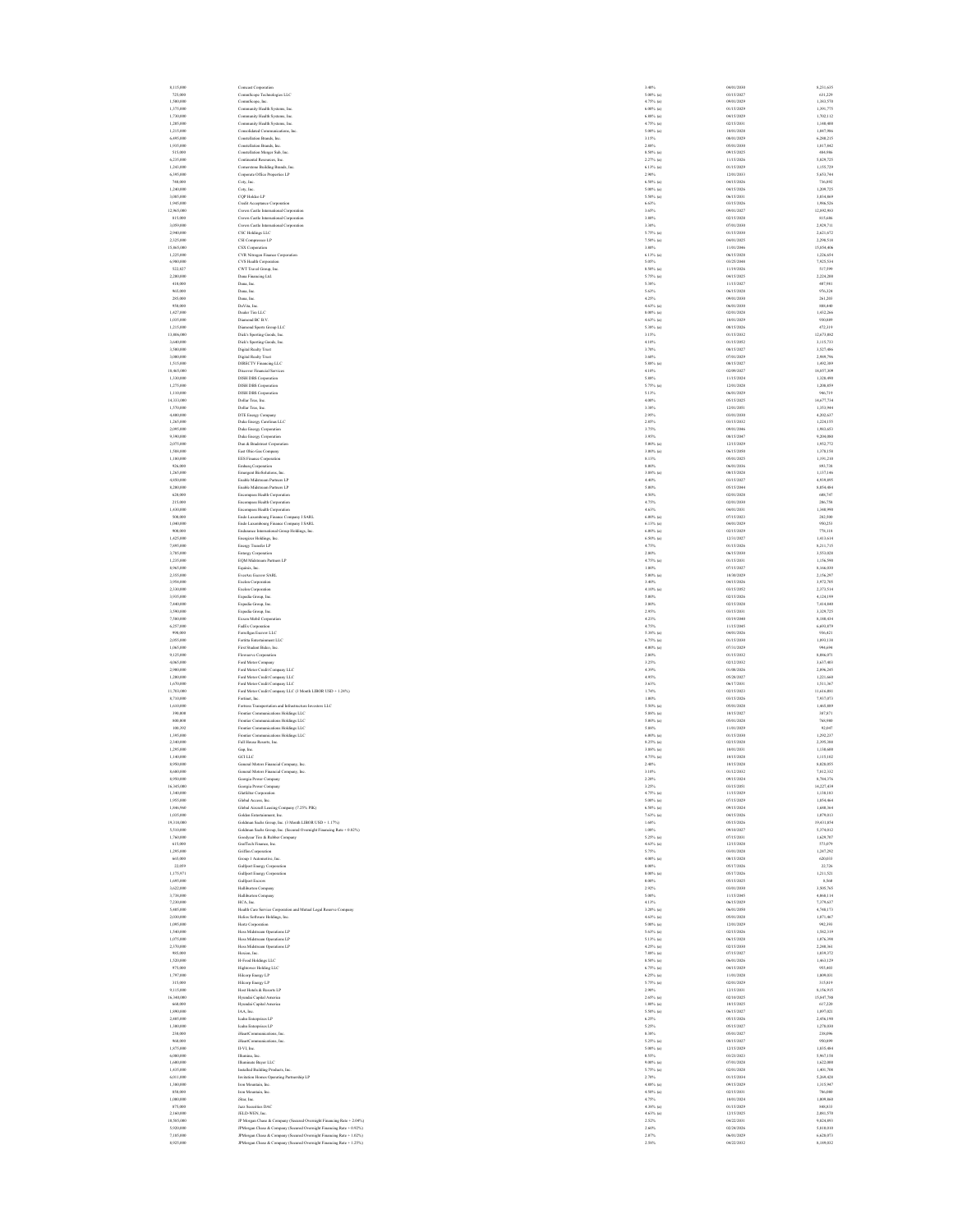8,115,000 Comcast Corporation 3.40% 04/01/2030 8,231,635 725,000 CommScope Technologies LLC 5.00% (a) 03/15/2027 631,229 1,500,000 CommScope, Inc. 4.75% (a) 09/01/2029 1,383,570 1,375,000 Community Health Systems, Inc. 6.00% (a) 01/15/2029 1,391,775 1,730,000 Community Health Systems, Inc. 6.88% (a) 04/15/2029 1,702,112 1,205,000 Community Health Systems, Inc. 4.75% (a) 02/15/2031 1,140,400 1,215,000 Consolidated Communications, Inc. 5.00% (a) 10/01/2028 1,047,986 6,495,000 Constellation Brands, Inc. 3.15% 08/01/2029 6,280,215 1,935,000 Constellation Brands, Inc. 2.88% 05/01/2030 1,817,842 515,000 Constellation Merger Sub, Inc. 8.50% (a) 09/15/2025 484,986 6,235,000 Continental Resources, Inc. 2.27% (a) 11/15/2026 5,829,725 1,243,000 Cornerstone Building Brands, Inc. 6.13% (a) 01/15/2029 1,155,729 6,395,000 Corporate Office Properties LP 2.90% 12/01/2033 5,653,744 740,000 Coty, Inc. 6.50% (a) 04/15/2026 736,892 1,240,000 Coty, Inc. 5.00% (a) 04/15/2026 1,209,725 3,085,000 CQP Holdco LP 5.50% (a) 06/15/2031 3,034,869 1,945,000 Credit Acceptance Corporation 6.63% 03/15/2026 1,986,526 12,965,000 Crown Castle International Corporation 3.65% 09/01/2027 12,892,983 815,000 Crown Castle International Corporation 3.80% 02/15/2028 815,686 3,059,000 Crown Castle International Corporation 3.30% 07/01/2030 2,929,711 2,940,000 CSC Holdings LLC 5.75% (a) 01/15/2030 2,621,672 2,325,000 CSI Compressco LP 7.50% (a) 04/01/2025 2,298,518 15,865,000 CSX Corporation 3.80% 11/01/2046 15,854,406 1,225,000 CVR Nitrogen Finance Corporation 6.13% (a) 06/15/2028 1,226,654 6,980,000 CVS Health Corporation 5.05% 03/25/2048 7,925,534 522,827 CWT Travel Group, Inc. 8.50% (a) 11/19/2026 517,599 2,200,000 Dana Financing Ltd. 5.75% (a) 04/15/2025 2,224,200 410,000 Dana, Inc. 5.38% 11/15/2027 407,981 965,000 Dana, Inc. 5.63% 06/15/2028 976,324 285,000 Dana, Inc. 4.25% 09/01/2030 261,203 950,000 DaVita, Inc. 4.63% (a) 06/01/2030 888,440 1,427,000 Dealer Tire LLC 8.00% (a) 02/01/2028 1,432,266 1,035,000 Diamond BC B.V. 4.63% (a) 10/01/2029 930,889 1,215,000 Diamond Sports Group LLC 5.38% (a) 08/15/2026 472,319 13,806,000 Dick's Sporting Goods, Inc. 3.15% 01/15/2032 12,673,082 3,640,000 Dick's Sporting Goods, Inc. 4.10% 01/15/2052 3,115,733 3,500,000 Digital Realty Trust 3.70% 08/15/2027 3,527,486 3,000,000 Digital Realty Trust 3.60% 07/01/2029 2,989,796 1,515,000 DIRECTV Financing LLC 5.88% (a) 08/15/2027 1,492,389 18,465,000 Discover Financial Services 4.10% 02/09/2027 18,857,309 1,330,000 DISH DBS Corporation 5.88% 11/15/2024 1,328,490 1,275,000 DISH DBS Corporation 5.75% (a) 12/01/2028 1,208,859 1,110,000 DISH DBS Corporation 5.13% 06/01/2029 946,719 14,333,000 Dollar Tree, Inc. 4.00% 05/15/2025 14,677,734 1,570,000 Dollar Tree, Inc. 3.38% 12/01/2051 1,353,944 4,400,000 DTE Energy Company 2.95% 03/01/2030 4,202,637 1,265,000 Duke Energy Carolinas LLC 2.85% 03/15/2032 1,224,155 2,095,000 Duke Energy Corporation 3.75% 09/01/2046 1,983,653 9,390,000 Duke Energy Corporation 3.95% 08/15/2047 9,204,080 2,075,000 Dun & Bradstreet Corporation 5.00% (a) 12/15/2029 1,952,772 1,588,000 East Ohio Gas Company 3.00% (a) 06/15/2050 1,378,158 1,180,000 EES Finance Corporation 8.13% 05/01/2025 1,191,210 926,000 Embarq Corporation 8.00% 06/01/2036 893,738 1,265,000 Emergent BioSolutions, Inc. 3.88% (a) 08/15/2028 1,137,146 4,850,000 Enable Midstream Partners LP 4.40% 03/15/2027 4,939,895 8,200,000 Enable Midstream Partners LP 5.00% 05/15/2044 8,054,484 620,000 Encompass Health Corporation 4.50% 02/01/2028 608,747 215,000 Encompass Health Corporation 4.75% 02/01/2030 206,758 1,430,000 Encompass Health Corporation 4.63% 04/01/2031 1,340,990 500,000 Endo Luxembourg Finance Company I SARL 6.00% (a) 07/15/2023 282,500 1,040,000 Endo Luxembourg Finance Company I SARL 6.13% (a) 04/01/2029 950,253 900,000 Endurance International Group Holdings, Inc. 6.00% (a) 02/15/2029 778,118 1,425,000 Energizer Holdings, Inc. 6.50% (a) 12/31/2027 1,413,614 7,895,000 Energy Transfer LP 4.75% 01/15/2026 8,211,715 3,785,000 Entergy Corporation 2.80% 06/15/2030 3,553,028 1,235,000 EQM Midstream Partners LP 4.75% (a) 01/15/2031 1,156,590 8,965,000 Equinix, Inc. 1.80% 07/15/2027 8,166,030 2,355,000 EverArc Escrow SARL 5.00% (a) 10/30/2029 2,156,297 3,954,000 Exelon Corporation 3.40% 04/15/2026 3,972,705 2,330,000 Exelon Corporation 4.10% (a) 03/15/2052 2,373,514 3,935,000 Expedia Group, Inc. 5.00% 02/15/2026 4,124,199 7,440,000 Expedia Group, Inc. 3.80% 02/15/2028 7,414,840 3,590,000 Expedia Group, Inc. 2.95% 03/15/2031 3,329,725 7,580,000 Exxon Mobil Corporation 4.23% 03/19/2040 8,180,434 6,257,000 FedEx Corporation 4.75% 11/15/2045 6,693,879 990,000 Ferrellgas Escrow LLC 5.38% (a) 04/01/2026 936,421 2,055,000 Fertitta Entertainment LLC 6.75% (a) 01/15/2030 1,893,138 1,065,000 First Student Bidco, Inc. 4.00% (a) 07/31/2029 994,694 9,125,000 Flowserve Corporation 2.80% 01/15/2032 8,086,071 4,065,000 Ford Motor Company 3.25% 02/12/2032 3,637,403 2,900,000 Ford Motor Credit Company LLC 4.39% 01/08/2026 2,896,245 1,200,000 Ford Motor Credit Company LLC 4.95% 05/28/2027 1,221,660 1,670,000 Ford Motor Credit Company LLC 3.63% 06/17/2031 1,511,367 11,703,000 Ford Motor Credit Company LLC (3 Month LIBOR USD + 1.24%) 1.74% 02/15/2023 11,616,081 8,710,000 Fortinet, Inc. 1.00% 03/15/2026 7,937,073 1,610,000 Fortress Transportation and Infrastructure Investors LLC 5.50% (a) 05/01/2028 1,465,889 390,000 Frontier Communications Holdings LLC 5.88% (a) 10/15/2027 387,871 800,000 Frontier Communications Holdings LLC 5.00% (a) 05/01/2028 768,980 100,392 Frontier Communications Holdings LLC 5.88% 11/01/2029 92,047 1,395,000 Frontier Communications Holdings LLC 6.00% (a) 01/15/2030 1,292,237 2,340,000 Full House Resorts, Inc. 8.25% (a) 02/15/2028 2,395,388 1,295,000 Gap, Inc. 3.88% (a) 10/01/2031 1,130,600 1,140,000 GCI LLC 4.75% (a) 10/15/2028 1,115,102 8,950,000 General Motors Financial Company, Inc. 2.40% 10/15/2028 8,028,055 8,680,000 General Motors Financial Company, Inc. 3.10% 01/12/2032 7,812,332 8,950,000 Georgia Power Company 2.20% 09/15/2024 8,784,376 16,345,000 Georgia Power Company 3.25% 03/15/2051 14,227,439 1,340,000 Glatfelter Corporation 4.75% (a) 11/15/2029 1,138,183 1,955,000 Global Access, Inc. 5.00% (a) 07/15/2029 1,854,464 1,846,960 Global Aircraft Leasing Company (7.25% PIK) 6.50% (a) 09/15/2024 1,680,364 1,035,000 Golden Entertainment, Inc. 7.63% (a) 04/15/2026 1,079,013 19,318,000 Goldman Sachs Group, Inc. (3 Month LIBOR USD + 1.17%) 1.68% 05/15/2026 19,431,854 5,510,000 Goldman Sachs Group, Inc. (Secured Overnight Financing Rate + 0.82%) 1.08% 09/10/2027 5,374,012 1,760,000 Goodyear Tire & Rubber Company 5.25% (a) 07/15/2031 1,629,707 615,000 GrafTech Finance, Inc. 4.63% (a) 12/15/2028 573,079 1,295,000 Griffon Corporation 5.75% 03/01/2028 1,247,292 665,000 Group 1 Automotive, Inc. 4.00% (a) 08/15/2028 620,033 22,059 Gulfport Energy Corporation 8.00% 05/17/2026 22,726 1,175,971 Gulfport Energy Corporation 8.00% (a) 05/17/2026 1,211,521 1,695,000 Gulfport Escrow 0.00% 05/15/2025 8,560 3,622,000 Halliburton Company 2.92% 03/01/2030 3,505,765 3,738,000 Halliburton Company 5.00% 11/15/2045 4,068,114 7,230,000 HCA, Inc. 4.13% 06/15/2029 7,379,637 5,405,000 Health Care Service Corporation and Mutual Legal Reserve Company 3.20% (a) 06/01/2050 4,748,173 2,030,000 Helios Software Holdings, Inc. 4.63% (a) 05/01/2028 1,871,467 1,095,000 Hertz Corporation 5.00% (a) 12/01/2029 992,393 1,540,000 Hess Midstream Operations LP 5.63% (a) 02/15/2026 1,582,319 1,075,000 Hess Midstream Operations LP 5.13% (a) 06/15/2028 1,076,398 2,370,000 Hess Midstream Operations LP 4.25% (a) 02/15/2030 2,240,361 985,000 Hexion, Inc. 7.88% (a) 07/15/2027 1,039,372 1,520,000 H-Food Holdings LLC 8.50% (a) 06/01/2026 1,463,129 975,000 Hightower Holding LLC 6.75% (a) 04/15/2029 955,403 1,797,000 Hilcorp Energy LP 6.25% (a) 11/01/2028 1,809,031 315,000 Hilcorp Energy LP 5.75% (a) 02/01/2029 315,819 9,115,000 Host Hotels & Resorts LP 2.90% 12/15/2031 8,156,915 16,340,000 Hyundai Capital America 2.65% (a) 02/10/2025 15,847,788 660,000 Hyundai Capital America 1.80% (a) 10/15/2025 617,220 1,890,000 IAA, Inc. 5.50% (a) 06/15/2027 1,897,021 2,405,000 Icahn Enterprises LP 6.25% 05/15/2026 2,456,190 1,300,000 Icahn Enterprises LP 5.25% 05/15/2027 1,278,030 230,000 iHeartCommunications, Inc. 8.38% 05/01/2027 238,096 960,000 iHeartCommunications, Inc. 5.25% (a) 08/15/2027 950,899 1,875,000 II-VI, Inc. 5.00% (a) 12/15/2029 1,835,484 6,080,000 Illumina, Inc. 0.55% 03/23/2023 5,967,158 1,600,000 Illuminate Buyer LLC 9.00% (a) 07/01/2028 1,622,000 1,435,000 Installed Building Products, Inc. 5.75% (a) 02/01/2028 1,401,708 6,011,000 Invitation Homes Operating Partnership LP 2.70% 01/15/2034 5,269,428 1,380,000 Iron Mountain, Inc. 4.88% (a) 09/15/2029 1,315,947 850,000 Iron Mountain, Inc. 4.50% (a) 02/15/2031 786,080 1,000,000 iStar, Inc. 4.75% 10/01/2024 1,009,860 875,000 Jazz Securities DAC 4.38% (a) 01/15/2029 848,833 2,160,000 JELD-WEN, Inc. 4.63% (a) 12/15/2025 2,081,570 10,585,000 JP Morgan Chase & Company (Secured Overnight Financing Rate + 2.04%) 2.52% 04/22/2031 9,824,893 5,920,000 JPMorgan Chase & Company (Secured Overnight Financing Rate + 0.92%) 2.60% 02/24/2026 5,810,010 7,185,000 JPMorgan Chase & Company (Secured Overnight Financing Rate + 1.02%) 2.07% 06/01/2029 6,628,073 8,925,000 JPMorgan Chase & Company (Secured Overnight Financing Rate + 1.25%) 2.58% 04/22/2032 8,189,032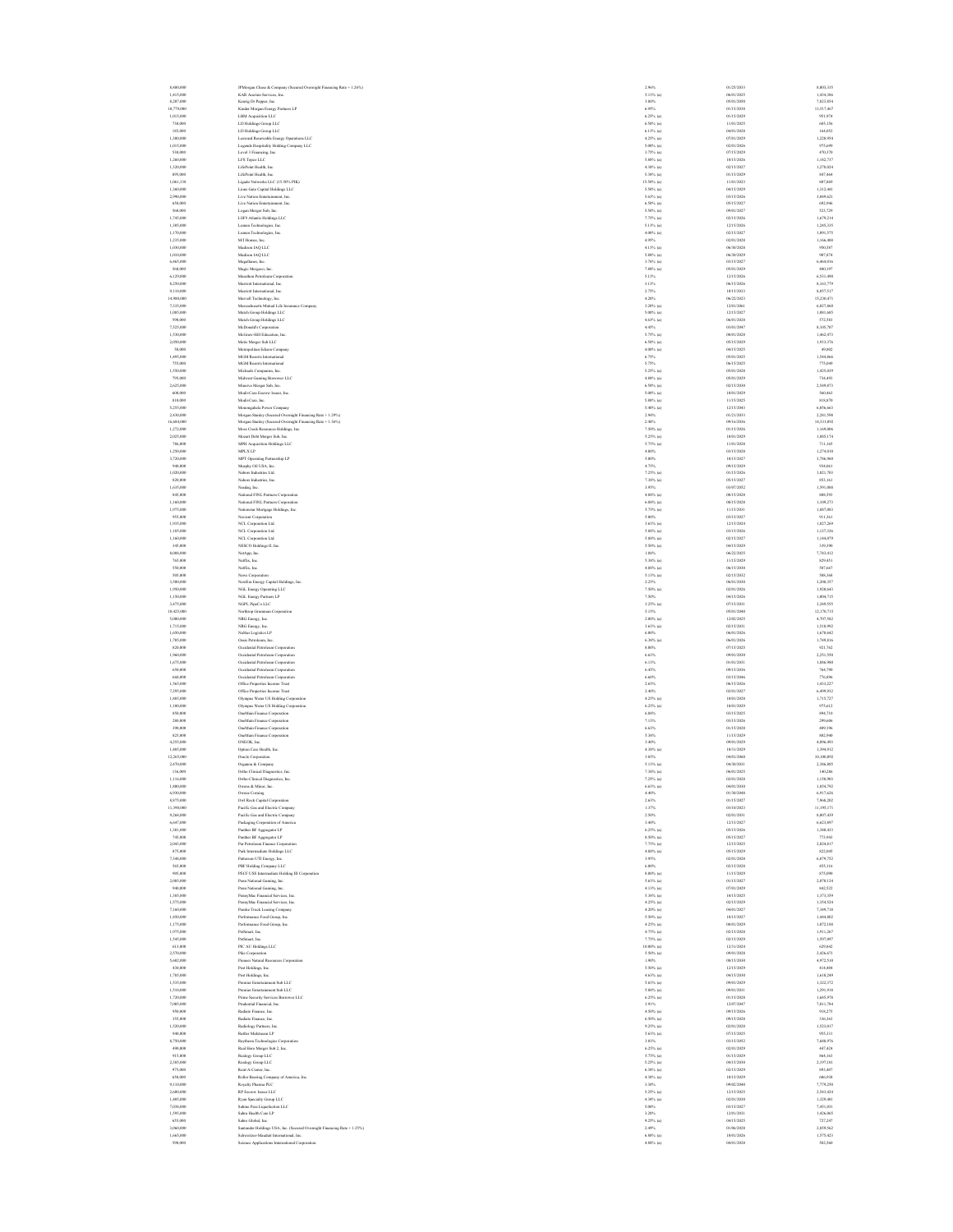8,480,000 JPMorgan Chase & Company (Secured Overnight Financing Rate + 1.26%) 2.96% 01/25/2033 8,003,335 1,415,000 KAR Auction Services, Inc. 5.13% (a) 06/01/2025 1,434,386 8,207,000 Keurig Dr Pepper, Inc. 3.80% 05/01/2050 7,823,854 10,779,000 Kinder Morgan Energy Partners LP 6.95% 01/15/2038 13,517,467 1,015,000 LBM Acquisition LLC 6.25% (a) 01/15/2029 951,974 730,000 LD Holdings Group LLC 6.50% (a) 11/01/2025 685,156 185,000 LD Holdings Group LLC 6.13% (a) 04/01/2028 164,052 1,300,000 Leeward Renewable Energy Operations LLC 4.25% (a) 07/01/2029 1,220,954 1,015,000 Legends Hospitality Holding Company LLC 5.00% (a) 02/01/2026 975,699 530,000 Level 3 Financing, Inc. 3.75% (a) 07/15/2029 470,370 1,260,000 LFS Topco LLC 5.88% (a) 10/15/2026 1,182,737 1,320,000 LifePoint Health, Inc. 4.38% (a) 02/15/2027 1,278,024 895,000 LifePoint Health, Inc. 5.38% (a) 01/15/2029 847,464 1,061,338 Ligado Networks LLC (15.50% PIK) 15.50% (a) 11/01/2023 807,869 1,360,000 Lions Gate Capital Holdings LLC 5.50% (a) 04/15/2029 1,312,441 2,990,000 Live Nation Entertainment, Inc. 5.63% (a) 03/15/2026 3,049,621 650,000 Live Nation Entertainment, Inc. 6.50% (a) 05/15/2027 692,946 560,000 Logan Merger Sub, Inc. 5.50% (a) 09/01/2027 523,729 1,745,000 LSF9 Atlantis Holdings LLC 7.75% (a) 02/15/2026 1,679,214 1,305,000 Lumen Technologies, Inc. 5.13% (a) 12/15/2026 1,245,335 1,170,000 Lumen Technologies, Inc. 4.00% (a) 02/15/2027 1,091,575 1,235,000 M/I Homes, Inc. 4.95% 02/01/2028 1,166,488 1,030,000 Madison IAQ LLC 4.13% (a) 06/30/2028 950,587 1,010,000 Madison IAQ LLC 5.88% (a) 06/30/2029 907,874 6,465,000 Magallanes, Inc. 3.76% (a) 03/15/2027 6,464,016 560,000 Magic Mergeco, Inc. 7.88% (a) 05/01/2029 480,197 6,129,000 Marathon Petroleum Corporation 5.13% 12/15/2026 6,531,490 8,250,000 Marriott International, Inc. 3.13% 06/15/2026 8,163,779 9,110,000 Marriott International, Inc. 2.75% 10/15/2033 8,057,517 14,980,000 Marvell Technology, Inc. 4.20% 06/22/2023 15,230,471 7,335,000 Massachusetts Mutual Life Insurance Company 3.20% (a) 12/01/2061 6,027,860 1,085,000 Match Group Holdings LLC 5.00% (a) 12/15/2027 1,081,685 590,000 Match Group Holdings LLC 4.63% (a) 06/01/2028 572,583 7,525,000 McDonald's Corporation 4.45% 03/01/2047 8,105,707 1,530,000 McGraw-Hill Education, Inc. 5.75% (a) 08/01/2028 1,462,473 2,050,000 Metis Merger Sub LLC 6.50% (a) 05/15/2029 1,933,376 50,000 Metropolitan Edison Company 4.00% (a) 04/15/2025 49,802 1,495,000 MGM Resorts International 6.75% 05/01/2025 1,544,866 755,000 MGM Resorts International 5.75% 06/15/2025 775,049 1,550,000 Michaels Companies, Inc. 5.25% (a) 05/01/2028 1,425,039 795,000 Midwest Gaming Borrower LLC 4.88% (a) 05/01/2029 734,493 2,625,000 Minerva Merger Sub, Inc. 6.50% (a) 02/15/2030 2,549,873 600,000 ModivCare Escrow Issuer, Inc. 5.00% (a) 10/01/2029 560,463 810,000 ModivCare, Inc. 5.88% (a) 11/15/2025 818,870 5,255,000 Monongahela Power Company 5.40% (a) 12/15/2043 6,056,663 2,430,000 Morgan Stanley (Secured Overnight Financing Rate + 1.29%) 2.94% 01/21/2033 2,281,598 16,684,000 Morgan Stanley (Secured Overnight Financing Rate + 1.36%) 2.48% 09/16/2036 14,331,892 1,272,000 Moss Creek Resources Holdings, Inc. 7.50% (a) 01/15/2026 1,169,006 2,025,000 Mozart Debt Merger Sub, Inc. 5.25% (a) 10/01/2029 1,885,174 786,000 MPH Acquisition Holdings LLC 5.75% (a) 11/01/2028 711,165 1,250,000 MPLX LP 4.00% 03/15/2028 1,274,010 3,720,000 MPT Operating Partnership LP 5.00% 10/15/2027 3,786,960 940,000 Murphy Oil USA, Inc. 4.75% 09/15/2029 934,061 1,020,000 Nabors Industries Ltd. 7.25% (a) 01/15/2026 1,021,703 820,000 Nabors Industries, Inc. 7.38% (a) 05/15/2027 853,161 1,635,000 Nasdaq, Inc. 3.95% 03/07/2052 1,591,088 845,000 National FINL Partners Corporation 4.88% (a) 08/15/2028 808,593 1,160,000 National FINL Partners Corporation 6.88% (a) 08/15/2028 1,109,273 1,975,000 Nationstar Mortgage Holdings, Inc. 5.75% (a) 11/15/2031 1,887,083 955,000 Navient Corporation 5.00% 03/15/2027 911,361 1,935,000 NCL Corporation Ltd. 3.63% (a) 12/15/2024 1,827,269 1,185,000 NCL Corporation Ltd. 5.88% (a) 03/15/2026 1,127,326 1,160,000 NCL Corporation Ltd. 5.88% (a) 02/15/2027 1,144,079 345,000 NESCO Holdings II, Inc. 5.50% (a) 04/15/2029 339,390 8,088,000 NetApp, Inc. 1.88% 06/22/2025 7,743,412 765,000 Netflix, Inc. 5.38% (a) 11/15/2029 829,451 550,000 Netflix, Inc. 4.88% (a) 06/15/2030 587,667 505,000 News Corporation 5.13% (a) 02/15/2032 508,368 3,500,000 NextEra Energy Capital Holdings, Inc. 2.25% 06/01/2030 3,208,357 1,950,000 NGL Energy Operating LLC 7.50% (a) 02/01/2026 1,920,643 1,150,000 NGL Energy Partners LP 7.50% 04/15/2026 1,004,715 3,475,000 NGPL PipeCo LLC 3.25% (a) 07/15/2031 3,249,555 10,425,000 Northrop Grumman Corporation 5.15% 05/01/2040 12,170,715 5,000,000 NRG Energy, Inc. 2.00% (a) 12/02/2025 4,707,582 1,715,000 NRG Energy, Inc. 3.63% (a) 02/15/2031 1,510,992 1,650,000 NuStar Logistics LP 6.00% 06/01/2026 1,670,642 1,705,000 Oasis Petroleum, Inc. 6.38% (a) 06/01/2026 1,749,816 820,000 Occidental Petroleum Corporation 8.00% 07/15/2025 921,762 1,960,000 Occidental Petroleum Corporation 6.63% 09/01/2030 2,251,550 1,675,000 Occidental Petroleum Corporation 6.13% 01/01/2031 1,886,980 650,000 Occidental Petroleum Corporation 6.45% 09/15/2036 764,790 660,000 Occidental Petroleum Corporation 6.60% 03/15/2046 776,896 1,565,000 Office Properties Income Trust 2.65% 06/15/2026 1,433,227 7,295,000 Office Properties Income Trust 2.40% 02/01/2027 6,499,932 1,885,000 Olympus Water US Holding Corporation 4.25% (a) 10/01/2028 1,715,727 1,100,000 Olympus Water US Holding Corporation 6.25% (a) 10/01/2029 975,612 850,000 OneMain Finance Corporation 6.88% 03/15/2025 894,710 280,000 OneMain Finance Corporation 7.13% 03/15/2026 299,606 390,000 OneMain Finance Corporation 6.63% 01/15/2028 409,196 825,000 OneMain Finance Corporation 5.38% 11/15/2029 802,940 4,255,000 ONEOK, Inc. 3.40% 09/01/2029 4,096,493 1,485,000 Option Care Health, Inc. 4.38% (a) 10/31/2029 1,394,912 12,265,000 Oracle Corporation 3.85% 04/01/2060 10,100,092 2,470,000 Organon & Company 5.13% (a) 04/30/2031 2,386,885 136,000 Ortho Clinical Diagnostics, Inc. 7.38% (a) 06/01/2025 140,286 1,116,000 Ortho-Clinical Diagnostics, Inc. 7.25% (a) 02/01/2028 1,150,903 1,800,000 Owens & Minor, Inc. 6.63% (a) 04/01/2030 1,854,792 6,930,000 Owens Corning 4.40% 01/30/2048 6,917,626 8,875,000 Owl Rock Capital Corporation 2.63% 01/15/2027 7,968,202 11,390,000 Pacific Gas and Electric Company 1.37% 03/10/2023 11,195,171 9,268,000 Pacific Gas and Electric Company 2.50% 02/01/2031 8,007,439 6,647,000 Packaging Corporation of America 3.40% 12/15/2027 6,623,897 1,301,000 Panther BF Aggregator LP 6.25% (a) 05/15/2026 1,340,433 745,000 Panther BF Aggregator LP 8.50% (a) 05/15/2027 773,943 2,043,000 Par Petroleum Finance Corporation 7.75% (a) 12/15/2025 2,024,817 875,000 Park Intermediate Holdings LLC 4.88% (a) 05/15/2029 822,045 7,348,000 Patterson-UTI Energy, Inc. 3.95% 02/01/2028 6,879,752 565,000 PBF Holding Company LLC 6.00% 02/15/2028 455,116 905,000 PECF USS Intermediate Holding III Corporation 8.00% (a) 11/15/2029 875,090 2,085,000 Penn National Gaming, Inc. 5.63% (a) 01/15/2027 2,070,124 940,000 Penn National Gaming, Inc. 4.13% (a) 07/01/2029 842,522 1,385,000 PennyMac Financial Services, Inc. 5.38% (a) 10/15/2025 1,373,359 1,575,000 PennyMac Financial Services, Inc. 4.25% (a) 02/15/2029 1,354,524 7,160,000 Penske Truck Leasing Company 4.20% (a) 04/01/2027 7,349,718 1,450,000 Performance Food Group, Inc. 5.50% (a) 10/15/2027 1,444,802 1,175,000 Performance Food Group, Inc. 4.25% (a) 08/01/2029 1,072,188 1,975,000 PetSmart, Inc. 4.75% (a) 02/15/2028 1,911,267 1,545,000 PetSmart, Inc. 7.75% (a) 02/15/2029 1,597,097 613,000 PIC AU Holdings LLC 10.00% (a) 12/31/2024 629,842 2,570,000 Pike Corporation 5.50% (a) 09/01/2028 2,426,671 5,602,000 Pioneer Natural Resources Corporation 1.90% 08/15/2030 4,972,510 430,000 Post Holdings, Inc. 5.50% (a) 12/15/2029 414,404 1,785,000 Post Holdings, Inc. 4.63% (a) 04/15/2030 1,610,249 1,535,000 Premier Entertainment Sub LLC 5.63% (a) 09/01/2029 1,322,372 1,510,000 Premier Entertainment Sub LLC 5.88% (a) 09/01/2031 1,291,918 1,720,000 Prime Security Services Borrower LLC 6.25% (a) 01/15/2028 1,685,978 7,005,000 Prudential Financial, Inc. 3.91% 12/07/2047 7,011,784 950,000 Radiate Finance, Inc. 4.50% (a) 09/15/2026 918,275 355,000 Radiate Finance, Inc. 6.50% (a) 09/15/2028 336,363 1,520,000 Radiology Partners, Inc. 9.25% (a) 02/01/2028 1,523,017 940,000 Rattler Midstream LP 5.63% (a) 07/15/2025 955,331 8,750,000 Raytheon Technologies Corporation 3.03% 03/15/2052 7,688,976 490,000 Real Hero Merger Sub 2, Inc. 6.25% (a) 02/01/2029 447,424 915,000 Realogy Group LLC 5.75% (a) 01/15/2029 864,163 2,385,000 Realogy Group LLC 5.25% (a) 04/15/2030 2,197,181 975,000 Rent-A-Center, Inc. 6.38% (a) 02/15/2029 893,407 650,000 Roller Bearing Company of America, Inc. 4.38% (a) 10/15/2029 606,938 9,110,000 Royalty Pharma PLC 3.30% 09/02/2040 7,779,250 2,600,000 RP Escrow Issuer LLC 5.25% (a) 12/15/2025 2,543,424 1,405,000 Ryan Specialty Group LLC 4.38% (a) 02/01/2030 1,329,481 7,038,000 Sabine Pass Liquefaction LLC 5.00% 03/15/2027 7,451,031 1,595,000 Sabra Health Care LP 3.20% 12/01/2031 1,426,065 655,000 Sabre Global, Inc. 9.25% (a) 04/15/2025 727,247 3,060,000 Santander Holdings USA, Inc. (Secured Overnight Financing Rate + 1.25%) 2.49% 01/06/2028 2,859,562 1,665,000 Schweitzer-Mauduit International, Inc. 6.88% (a) 10/01/2026 1,575,423 590,000 Science Applications International Corporation 4.88% (a) 04/01/2028 582,560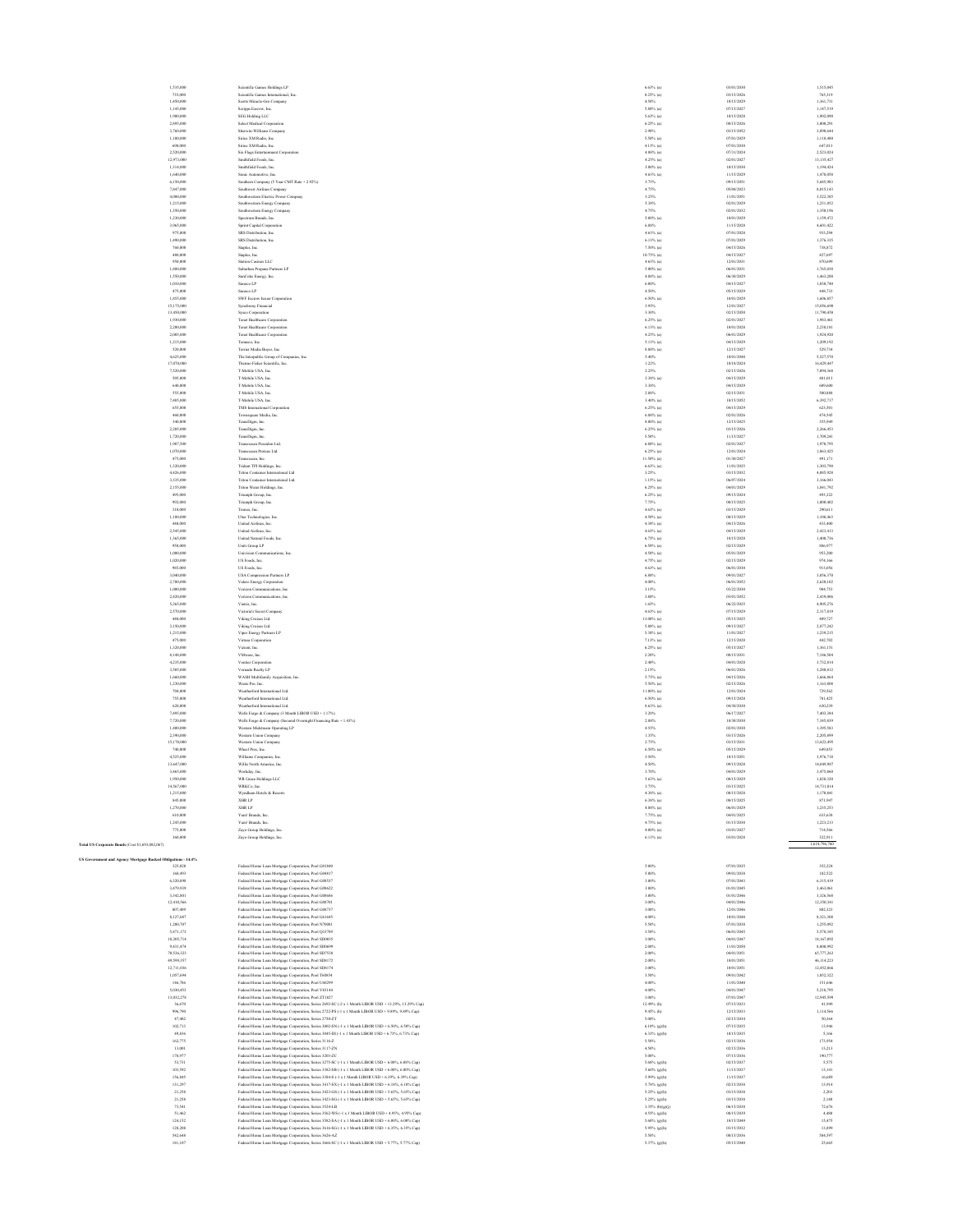| 2,895,000<br>3,760,000<br>1,100,000<br>690,000<br>2.520,000<br>12,973,000<br>1,314,000<br>1,640,000<br>6,150,000<br>7,847,000<br>4,080,000 |  |
|--------------------------------------------------------------------------------------------------------------------------------------------|--|
|                                                                                                                                            |  |
|                                                                                                                                            |  |
|                                                                                                                                            |  |
|                                                                                                                                            |  |
|                                                                                                                                            |  |
|                                                                                                                                            |  |
|                                                                                                                                            |  |
|                                                                                                                                            |  |
|                                                                                                                                            |  |
| 1,215,000<br>1,350,000                                                                                                                     |  |
| 1,230,000                                                                                                                                  |  |
| 3,965,000                                                                                                                                  |  |
| 975,000<br>1,490,000                                                                                                                       |  |
| 760,000                                                                                                                                    |  |
| 480,000                                                                                                                                    |  |
| 950,000                                                                                                                                    |  |
| 1,880,000<br>1,550,000                                                                                                                     |  |
| 1,010,000                                                                                                                                  |  |
| 475,000                                                                                                                                    |  |
| 1.855.000<br>15,175,000                                                                                                                    |  |
| 13,450,000                                                                                                                                 |  |
| 1,930,000                                                                                                                                  |  |
| 2,200,000                                                                                                                                  |  |
| 2,005,000<br>1,215,000                                                                                                                     |  |
| 520,000                                                                                                                                    |  |
| 4,625,000                                                                                                                                  |  |
| 17,070,000<br>7,520,000                                                                                                                    |  |
| 505,000                                                                                                                                    |  |
| 640,000                                                                                                                                    |  |
| 555,000                                                                                                                                    |  |
| 7,485,000<br>655,000                                                                                                                       |  |
| 460,000                                                                                                                                    |  |
| 340,000                                                                                                                                    |  |
| 2,205,000                                                                                                                                  |  |
| 1,720,000<br>1,987,500                                                                                                                     |  |
| 1,070,000                                                                                                                                  |  |
| 475,000                                                                                                                                    |  |
| 1.320,000<br>426,000<br>ă                                                                                                                  |  |
| 3,335,000                                                                                                                                  |  |
| 2,155,000                                                                                                                                  |  |
| 495,000                                                                                                                                    |  |
| 992,000<br>310,000                                                                                                                         |  |
| 1,180,000                                                                                                                                  |  |
| 440,000                                                                                                                                    |  |
| 2,545,000                                                                                                                                  |  |
| 1.365,000<br>950,000                                                                                                                       |  |
| 1,000,000                                                                                                                                  |  |
| 1,020,000                                                                                                                                  |  |
|                                                                                                                                            |  |
| 985,000                                                                                                                                    |  |
| 3,040,000                                                                                                                                  |  |
| 2,780,000<br>1,000,000                                                                                                                     |  |
| 2.420,000                                                                                                                                  |  |
| \$265,000                                                                                                                                  |  |
| 2,570,000                                                                                                                                  |  |
| 440,000<br>3,150,000                                                                                                                       |  |
| 1,215,000                                                                                                                                  |  |
| 475,000                                                                                                                                    |  |
| 1,320,000<br>8.148,000                                                                                                                     |  |
| 4.235,000                                                                                                                                  |  |
| 3,505,000                                                                                                                                  |  |
| 1,660,000                                                                                                                                  |  |
| 1,230,000<br>704,000                                                                                                                       |  |
| 755,000                                                                                                                                    |  |
| 620,000                                                                                                                                    |  |
| 7,495,000<br>2.220.000                                                                                                                     |  |
| 1,400,000                                                                                                                                  |  |
| 2,390,000                                                                                                                                  |  |
| 15,170,000                                                                                                                                 |  |
| 740,000<br>1,525,000                                                                                                                       |  |
| 13,647,000                                                                                                                                 |  |
| 3,465,000                                                                                                                                  |  |
| 1,950,000<br>14,567,000                                                                                                                    |  |
| 1,215,000                                                                                                                                  |  |
| 845,000                                                                                                                                    |  |
| 1,270,000                                                                                                                                  |  |
| 610,0<br>1,245,000                                                                                                                         |  |
| 775,000                                                                                                                                    |  |
| 360,000                                                                                                                                    |  |
| (Cost \$1,693,082,067)                                                                                                                     |  |
| nt :<br>d Agency M<br>rtgage B<br>e)<br>d Oblig<br>d<br>ı                                                                                  |  |
| 325,020                                                                                                                                    |  |
| 168,493<br>6,320,898                                                                                                                       |  |
| 3,479,939                                                                                                                                  |  |
| 3,342,801                                                                                                                                  |  |
| 12.410.566                                                                                                                                 |  |
| 807,409<br>8,127,687                                                                                                                       |  |
| 1,200,707                                                                                                                                  |  |
| 5,471,173<br>18,205,714                                                                                                                    |  |
| 9,431,474                                                                                                                                  |  |
| 70,536,323                                                                                                                                 |  |
| 49,599,357                                                                                                                                 |  |
| 12,711,036                                                                                                                                 |  |
| 1,057,694<br>146,786                                                                                                                       |  |
| 5,030,453                                                                                                                                  |  |
| 13,032,278                                                                                                                                 |  |
| 36,670<br>996,790                                                                                                                          |  |
| 47,402                                                                                                                                     |  |
| 102.713                                                                                                                                    |  |
| 49,836                                                                                                                                     |  |
| 162,775<br>13,001                                                                                                                          |  |
| 178,977                                                                                                                                    |  |
| 53,731                                                                                                                                     |  |
| 103,592<br>156,845                                                                                                                         |  |
| 131,297                                                                                                                                    |  |
| 21,258                                                                                                                                     |  |
| 21,258                                                                                                                                     |  |
| 73,541<br>51,<br>463                                                                                                                       |  |
| 124,152<br>128,208                                                                                                                         |  |

|                                                             | 735,000<br>1,450,000    | Scientific Games International, Inc.<br>Scotts Miracle-Gro Company                                                                                                                                       | $8.25\%$ (a)<br>4.50%      | 03/15/2026<br>10/15/2029 | 765,319<br>1,361,731    |
|-------------------------------------------------------------|-------------------------|----------------------------------------------------------------------------------------------------------------------------------------------------------------------------------------------------------|----------------------------|--------------------------|-------------------------|
|                                                             | 1.145,000               | Scripps Escrow, Inc.                                                                                                                                                                                     | $5.88\%$ (a)               | 07/15/2027               | 1.147.519               |
|                                                             | 1,900,000               | SEG Holding LLC                                                                                                                                                                                          | 5.63% (a)                  | 10/15/2028               | 1,902,090               |
|                                                             | 2,895,000               | Select Medical Corporation                                                                                                                                                                               | $6.25\%$ (a)               | 08/15/2026               | 3,000,291               |
|                                                             | 3,760,000               | Sherwin-Williams Company                                                                                                                                                                                 | 2.90%                      | 03/15/2052               | 3,090,644               |
|                                                             | 1,100,000               | Sirius XM Radio, Inc.                                                                                                                                                                                    | $5.50\%$ (a)               | 07/01/2029               | 1,118,480               |
|                                                             | 690,000                 | Sirius XM Radio, Inc.                                                                                                                                                                                    | $4.13%$ (a)                | 07/01/2030               | 647,013                 |
|                                                             | 2,520,000<br>12,973,000 | Six Flags Entertainment Corporation<br>Smithfield Foods, Inc.                                                                                                                                            | $4.88\%$ (a)<br>4.25% (a)  | 07/31/2024<br>02/01/2027 | 2,523,024<br>13,135,427 |
|                                                             | 1,314,000               | Smithfield Foods, Inc.                                                                                                                                                                                   | $3.00\%$ (a)               | 10/15/2030               | 1.194.424               |
|                                                             | 1,640,000               | Sonic Automotive, Inc.                                                                                                                                                                                   | $4.63%$ (a)                | 11/15/2029               | 1,478,058               |
|                                                             | 6,150,000               | Southern Company (5 Year CMT Rate + 2.92%)                                                                                                                                                               | 3.75%                      | 09/15/2051               | 5,685,983               |
|                                                             | 7,847,000               | Southwest Airlines Company                                                                                                                                                                               | 4.75%                      | 05/04/2023               | 8,015,143               |
|                                                             | 4,080,000               | Southwestern Electric Power Company                                                                                                                                                                      | 3.25%                      | 11/01/2051               | 3,522,385               |
|                                                             | 1,215,000               | Southwestern Energy Company                                                                                                                                                                              | 5.38%                      | 02/01/2029               | 1,231,852               |
|                                                             | 1,350,000               | Southwestern Energy Company                                                                                                                                                                              | 4.75%                      | 02/01/2032               | 1,350,196               |
|                                                             | 1,230,000               | Spectrum Brands, Inc.                                                                                                                                                                                    | 5.00% (a)                  | 10/01/2029               | 1,159,472               |
|                                                             | 3,965,000               | Sprint Capital Corporation                                                                                                                                                                               | 6.88%                      | 11/15/2028               | 4,601,422               |
|                                                             | 975,000                 | SRS Distribution, Inc.                                                                                                                                                                                   | $4.63%$ (a)                | 07/01/2028               | 933,294                 |
|                                                             | 1,490,000               | SRS Distribution, Inc.                                                                                                                                                                                   | $6.13%$ (a)                | 07/01/2029               | 1.376.335               |
|                                                             | 760,000                 | Staples, Inc.                                                                                                                                                                                            | 7.50% (a)                  | 04/15/2026               | 738,872                 |
|                                                             | 480,000                 | Staples, Inc.                                                                                                                                                                                            | $10.75%$ (a)               | 04/15/2027               | 427,697                 |
|                                                             | 950,000                 | Station Casinos LLC                                                                                                                                                                                      | 4.63% (a)                  | 12/01/2031               | 870,695                 |
|                                                             | 1,880,000               | Suburban Propane Partners LP                                                                                                                                                                             | $5.00\%$ (a)               | 06/01/2031               | 1,765,038               |
|                                                             | 1,550,000<br>1,010,000  | SunCoke Energy, Inc.<br>Sunoco LP                                                                                                                                                                        | $4.88\%$ (a)<br>$6.00\%$   | 06/30/2029<br>04/15/2027 | 1,463,200<br>1,030,740  |
|                                                             | 475,000                 | Sunoco LP                                                                                                                                                                                                | 4.50%                      | 05/15/2029               | 448,733                 |
|                                                             | 1,855,000               | SWF Escrow Issuer Corporation                                                                                                                                                                            | $6.50\%$ (a)               | 10/01/2029               | 1,606,857               |
|                                                             | 15,175,000              | Synchrony Financial                                                                                                                                                                                      | 3.95%                      | 12/01/2027               | 15,056,690              |
|                                                             | 13,450,000              | Sysco Corporation                                                                                                                                                                                        | 3.30%                      | 02/15/2050               | 11,790,458              |
|                                                             | 1,930,000               | Tenet Healthcare Corporation                                                                                                                                                                             | $6.25\%$ (a)               | 02/01/2027               | 1,983,461               |
|                                                             | 2,200,000               | Tenet Healthcare Corporation                                                                                                                                                                             | $6.13%$ (a)                | 10/01/2028               | 2,238,181               |
|                                                             | 2,005,000               | Tenet Healthcare Corporation                                                                                                                                                                             | 4.25% (a)                  | 06/01/2029               | 1,924,920               |
|                                                             | 1,215,000               | Tenneco, Inc.                                                                                                                                                                                            | 5.13% (a)                  | 04/15/2029               | 1,209,192               |
|                                                             | 520,000                 | Terrier Media Buyer, Inc.                                                                                                                                                                                | 8.88% (a)                  | 12/15/2027               | 529,734                 |
|                                                             | 4,625,000               | The Interpublic Group of Companies, Inc.                                                                                                                                                                 | 5.40%                      | 10/01/2048               | 5.527.570               |
|                                                             | 17,070,000              | Thermo Fisher Scientific, Inc.                                                                                                                                                                           | 1.22%                      | 10/18/2024               | 16,429,447              |
|                                                             | 7,520,000               | T-Mobile USA, Inc.                                                                                                                                                                                       | 2.25%                      | 02/15/2026               | 7,094,368               |
|                                                             | 505,000                 | T-Mobile USA, Inc.                                                                                                                                                                                       | $3.38%$ (a)                | 04/15/2029               | 481,013                 |
|                                                             | 640,000<br>\$55,000     | T-Mobile USA, Inc.<br>T-Mobile USA, Inc.                                                                                                                                                                 | 3.38%<br>2.88%             | 04/15/2029<br>02/15/2031 | 609,600<br>500,888      |
|                                                             | 7,485,000               | T-Mobile USA, Inc.                                                                                                                                                                                       | $3.40\%$ (a)               | 10/15/2052               | 6,392,717               |
|                                                             | 655,000                 | TMS International Corporation                                                                                                                                                                            | $6.25%$ (a)                | 04/15/2029               | 623,501                 |
|                                                             | 460,000                 | Townsquare Media, Inc.                                                                                                                                                                                   | $6.88\%$ (a)               | 02/01/2026               | 474,545                 |
|                                                             | 340,000                 | TransDigm, Inc.                                                                                                                                                                                          | $8.00\%$ (a)               | 12/15/2025               | 355,949                 |
|                                                             | 2.205,000               | TransDigm, Inc.                                                                                                                                                                                          | $6.25\%$ (a)               | 03/15/2026               | 2,266,453               |
|                                                             | 1,720,000               | TransDigm, Inc.                                                                                                                                                                                          | 5.50%                      | 11/15/2027               | 1,709,241               |
|                                                             | 1,987,500               | Transocean Poscidon Ltd                                                                                                                                                                                  | $6.88\%$ (a)               | 02/01/2027               | 1,970,795               |
|                                                             | 1,070,000               | Transocean Proteus Ltd.                                                                                                                                                                                  | $6.25\%$ (a)               | 12/01/2024               | 1,063,425               |
|                                                             | 475,000                 | Transecean, Inc.                                                                                                                                                                                         | 11.50% (a)                 | 01/30/2027               | 491,171                 |
|                                                             | 1,320,000               | Trident TPI Holdings, Inc.                                                                                                                                                                               | $6.63%$ (a)                | 11/01/2025               | 1,303,790               |
|                                                             | 4,426,000               | Triton Container International Ltd.                                                                                                                                                                      | 3.25%                      | 03/15/2032               | 4.085.928               |
|                                                             | 3,335,000               | Triton Container International Ltd.                                                                                                                                                                      | $1.15%$ (a)                | 06/07/2024               | 3.166.043               |
|                                                             | 2,155,000               | Triton Water Holdings, Inc.                                                                                                                                                                              | $6.25\%$ (a)               | 04/01/2029               | 1,841,792               |
|                                                             | 495,000                 | Triumph Group, Inc.                                                                                                                                                                                      | $6.25\%$ (a)               | 09/15/2024               | 493,322                 |
|                                                             | 992,000                 | Triumph Group, Inc.                                                                                                                                                                                      | 7.75%                      | 08/15/2025               | 1,000,402               |
|                                                             | 310,000                 | Tronox, Inc.                                                                                                                                                                                             | $4.63%$ (a)                | 03/15/2029               | 290,611                 |
|                                                             | 1,180,000               | Uber Technologies, Inc.<br>United Airlines, Inc.                                                                                                                                                         | 4.50% (a)                  | 08/15/2029               | 1,108,463               |
|                                                             | 440,000                 |                                                                                                                                                                                                          | 4.38% (a)                  | 04/15/2026               | 433,400                 |
|                                                             | 2.545,000<br>1,365,000  | United Airlines, Inc.<br>United Natural Foods, Inc.                                                                                                                                                      | $4.63%$ (a)<br>$6.75%$ (a) | 04/15/2029<br>10/15/2028 | 2.423.413<br>1,400,736  |
|                                                             | 950,000                 | Uniti Group LP                                                                                                                                                                                           | $6.50\%$ (a)               | 02/15/2029               | 886,977                 |
|                                                             | 1,000,000               | Univision Comm                                                                                                                                                                                           | $4.50\%$ (a)               | 05/01/2029               | 953,200                 |
|                                                             | 1,020,000               | US Foods, Inc.                                                                                                                                                                                           | $4.75%$ (a)                | 02/15/2029               | 974,166                 |
|                                                             | 985,000                 | US Foods, Inc.                                                                                                                                                                                           | $4.63\%$ (a)               | 06/01/2030               | 913,056                 |
|                                                             | 3,040,000               | USA Compression Partners LP                                                                                                                                                                              | 6.88%                      | 09/01/2027               | 3,056,370               |
|                                                             | 2,780,000               | Valero Energy Corporation                                                                                                                                                                                | 4.00%                      | 06/01/2052               | 2,620,102               |
|                                                             | 1,000,000               | Verizon Communications, Inc.                                                                                                                                                                             | 3.15%                      | 03/22/2030               | 984,753                 |
|                                                             | 2,420,000               | Verizon Communications, Inc.                                                                                                                                                                             | 3,88%                      | 03/01/2052               | 2,439,006               |
|                                                             | \$265,000               | Viatris, Inc.                                                                                                                                                                                            | 1,65%                      | 06/22/2025               | 4.905.276               |
|                                                             | 2,570,000               | Victoria's Secret Company                                                                                                                                                                                | 4.63% (a)                  | 07/15/2029               | 2,317,819               |
|                                                             | 440,000                 | Viking Cruises Ltd.                                                                                                                                                                                      | 13.00% (a)                 | 05/15/2025               | 489,727                 |
|                                                             | 3,150,000               | Viking Cruises Ltd.                                                                                                                                                                                      | 5.88% (a)                  | 09/15/2027               | 2,877,242               |
|                                                             | 1,215,000               | Viper Energy Partners LP                                                                                                                                                                                 | $5.38\%$ (a)               | 11/01/2027               | 1,239,215               |
|                                                             | 475,000                 | Virtusa Corporation                                                                                                                                                                                      | $7.13%$ (a)                | 12/15/2028               | 442,702                 |
|                                                             | 1,320,000<br>8.148,000  | Vizient, Inc.<br>VMware, Inc.                                                                                                                                                                            | $6.25\%$ (a)<br>2.20%      | 05/15/2027<br>08/15/2031 | 1,361,151<br>7.186.504  |
|                                                             | 4.235,000               | Ventier Corporation                                                                                                                                                                                      | 2.40%                      | 04/01/2028               | 3,732.814               |
|                                                             | 3,505,000               | Vornado Realty LP                                                                                                                                                                                        | 2.15%                      | 06/01/2026               | 3,280,812               |
|                                                             | 1,660,000               | WASH Multifamily Acquisition, Inc                                                                                                                                                                        | 5.75% (a)                  | 04/15/2026               | 1,666,864               |
|                                                             | 1,230,000               | Waste Pro, Inc.                                                                                                                                                                                          | $5.50\%$ (a)               | 02/15/2026               | 1,163,808               |
|                                                             | 704,000                 | Weatherford International Ltd                                                                                                                                                                            | $11.00\%$ (a)              | 12/01/2024               | 729,562                 |
|                                                             | 755,000                 | Weatherford International Ltd.                                                                                                                                                                           | $6.50\%$ (a)               | 09/15/2028               | 781,425                 |
|                                                             | 620,000                 | Weatherford International Ltd.                                                                                                                                                                           | $8.63%$ (a)                | 04/30/2030               | 630,239                 |
|                                                             | 7,495,000               | Wells Fargo & Company (3 Month LIBOR USD + 1.17%)                                                                                                                                                        | 3.20%                      | 06/17/2027               | 7,403,384               |
|                                                             | 7.720,000               | Wells Fargo & Company (Secured Overnight Financing Rate + 1.43%)                                                                                                                                         | 2.88%                      | 10/30/2030               | 7.345.839               |
|                                                             | 1,400,000               | Western Midstream Operating LP                                                                                                                                                                           | 4.55%                      | 02/01/2030               | 1,395,583               |
|                                                             | 2,390,000               | Western Union Company                                                                                                                                                                                    | 1.35%                      | 03/15/2026               | 2,205,899               |
|                                                             | 15,170,000              | Western Union Company                                                                                                                                                                                    | 2.75%                      | 03/15/2031               | 13,822,495              |
|                                                             | 740,000                 | Wheel Pros, Inc.                                                                                                                                                                                         | 6.50% (a)                  | 05/15/2029               | 649,853                 |
|                                                             | 4,525,000               | Williams Companies, Inc.                                                                                                                                                                                 | 3.50%                      | 10/15/2051               | 3,976,718               |
|                                                             | 13,647,000              | Willis North America, Inc.                                                                                                                                                                               | 4.50%                      | 09/15/2028               | 14,049,987              |
|                                                             | 3,465,000<br>1,950,000  | Workday, Inc.<br>WR Grace Holdings LLC                                                                                                                                                                   | 3.70%<br>5.63% (a)         | 04/01/2029<br>08/15/2029 | 3,475,860<br>1,828,320  |
|                                                             | 14,567,000              | WRKCo, Inc.                                                                                                                                                                                              | 3.75%                      | 03/15/2025               | 14,731,014              |
|                                                             | 1,215,000               | Wyndham Hotels & Resorts                                                                                                                                                                                 | $4.38%$ (a)                | 08/15/2028               | 1,170,841               |
|                                                             | 845,000                 | XHR LP                                                                                                                                                                                                   | $6.38\%$ (a)               | 08/15/2025               | 871,947                 |
|                                                             | 1,270,000               | XHR LP                                                                                                                                                                                                   | $4.88\%$ (a)               | 06/01/2029               | 1,235,253               |
|                                                             | 610,000                 | Yum! Brands, Inc.                                                                                                                                                                                        | $7.75%$ (a)                | 04/01/2025               | 633,638                 |
|                                                             | 1,245,000               | Yum! Brands, Inc.                                                                                                                                                                                        | 4.75% (a)                  | 01/15/2030               | 1,223,213               |
|                                                             | 775,000                 | Zayo Group Holdings, Inc.                                                                                                                                                                                | 4.00% (a)                  | 03/01/2027               | 714,566                 |
|                                                             | 360,000                 | Zayo Group Holdings, Inc.                                                                                                                                                                                | $6.13%$ (a)                | 03/01/2028               | 322,911                 |
| otal US Corporate Bonds (Cost \$1,693,082,067)              |                         |                                                                                                                                                                                                          |                            |                          | 1.614.796.760           |
|                                                             |                         |                                                                                                                                                                                                          |                            |                          |                         |
| S Government and Agency Mortgage Backed Obligations - 14.4% | 325,020                 |                                                                                                                                                                                                          |                            | 07/01/2035               | 352,224                 |
|                                                             | 168,493                 | Federal Home Loan Mortgage Corporation, Pool G01840<br>Federal Home Loan Mortgage Corporation, Pool G04817                                                                                               | $5.00\%$<br>5.00%          | 09/01/2038               | 182,522                 |
|                                                             | 6,320,898               | Federal Home Loan Mortgage Corporation, Pool G08537                                                                                                                                                      | 3.00%                      | 07/01/2043               | 6,315,419               |
|                                                             | 3,479,939               | Federal Home Loan Mortgage Corporation, Pool G08622                                                                                                                                                      | 3.00%                      | 01/01/2045               | 3,463,061               |
|                                                             | 3.342,801               | Federal Home Loan Mortgage Corporation, Pool G08686                                                                                                                                                      | 3.00%                      | 01/01/2046               | 3.326.568               |
|                                                             | 12.410.566              | Federal Home Loan Mortgage Corporation, Pool G08701                                                                                                                                                      | 3.00%                      | 04/01/2046               | 12.350.341              |
|                                                             | 807,409                 | Federal Home Loan Mortgage Corporation, Pool G08737                                                                                                                                                      | 3.00%                      | 12/01/2046               | 802,323                 |
|                                                             | 8,127,687               | Federal Home Loan Mortgage Corporation, Pool G61645                                                                                                                                                      | 4.00%                      | 10/01/2048               | 8,321,308               |
|                                                             | 1,200,707               | Federal Home Loan Mortgage Corporation, Pool N70081                                                                                                                                                      | 5.50%                      | 07/01/2038               | 1,255,092               |
|                                                             | 5,471,173               | Federal Home Loan Mortgage Corporation, Pool Q33789                                                                                                                                                      | 3.50%                      | 06/01/2045               | 5,578,345               |
|                                                             | 18,205,714              | Federal Home Loan Mortgage Corporation, Pool SD0035                                                                                                                                                      | 3.00%                      | 04/01/2047               | 18,167,092              |
|                                                             | 9,431,474               | Federal Home Loan Mortgage Corporation, Pool SD0699                                                                                                                                                      | 2.00%                      | 11/01/2050               | 8,800,992               |
|                                                             | 70,536,323              | Federal Home Loan Mortgage Corporation, Pool SD7538                                                                                                                                                      | 2.00%                      | 04/01/2051               | 65,777,263              |
|                                                             | 49,599,357              | Federal Home Loan Mortgage Corporation, Pool SD8172                                                                                                                                                      | 2.00%                      | 10/01/2051               | 46.114.223              |
|                                                             | 12.711.036              | Federal Home Loan Mortgage Corporation, Pool SD8174                                                                                                                                                      | 3.00%                      | 10/01/2051               | 12.452.866              |
|                                                             | 1,057,694               | Federal Home Loan Mortgage Corporation, Pool T60854                                                                                                                                                      | 3.50%                      | 09/01/2042               | 1,052,322               |
|                                                             | 146,786                 | Federal Home Loan Mortgage Corporation, Pool U60299                                                                                                                                                      | 4.00%                      | 11/01/2040               | 151,646                 |
|                                                             | 5,030,453               | Federal Home Loan Mortgage Corporation, Pool V83144                                                                                                                                                      | 4.00%<br>3.00%             | 04/01/2047<br>07/01/2047 | 5,218,795<br>12,945,599 |
|                                                             | 13,032,278<br>36,670    | Federal Home Loan Mortgage Corporation, Pool ZT1827<br>Federal Home Loan Mortgage Corporation, Series 2692-SC (-2 x 1 Month LIBOR USD + 13.29%, 13.29% Cap)                                              | 12.49% (h)                 | 07/15/2033               | 41,949                  |
|                                                             | 996,790                 | Federal Home Loan Mortgage Corporation, Series 2722-PS (-1 x 1 Month LIBOR USD + 9.89%, 9.89% Cap)                                                                                                       | 9.45% (h)                  | 12/15/2033               | 1,114,566               |
|                                                             | 47,402                  |                                                                                                                                                                                                          | 5,00%                      | 02/15/2034               | \$0,364                 |
|                                                             | 102.713                 | Federal Home Loan Mortgage Corporation, Series 2750-ZT                                                                                                                                                   | 6.10% (g)(h)               | 07/15/2035               | 13,946                  |
|                                                             | 49,836                  | Federal Home Loan Mortgage Corporation, Series 3002-SN (-1 x 1 Month LIBOR USD + 6.50%, 6.50% Cap)<br>Federal Home Loan Mortgage Corporation, Series 3045-DI (-1 x 1 Month LIBOR USD + 6.73%, 6.73% Cap) | 6.33% (g)(h)               | 10/15/2035               | 5,166                   |
|                                                             | 162,775                 | Federal Home Loan Mortgage Corporation, Series 3116-Z                                                                                                                                                    | 5.50%                      | 02/15/2036               | 173,954                 |
|                                                             | 13,001                  | Federal Home Loan Mortgage Corporation, Series 3117-ZN                                                                                                                                                   | 4.50%                      | 02/15/2036               | 13,213                  |
|                                                             | 178,977                 | Federal Home Loan Mortgage Corporation, Series 3203-ZC                                                                                                                                                   | 5.00%                      | 07/15/2036               | 190,777                 |
|                                                             | 53,731                  | Federal Home Loan Mortgage Corporation, Series 3275-SC (-1 x 1 Month LIBOR USD + 6.08%, 6.08% Cap)                                                                                                       | 5.68% (g)(h)               | 02/15/2037               | 5,575                   |
|                                                             | 103,592                 | Federal Home Loan Mortgage Corporation, Series 3382-SB (-1 x 1 Month LIBOR USD + 6.00%, 6.00% Cap)                                                                                                       | 5.60% (g)(h)               | 11/15/2037               | 13,141                  |
|                                                             | 156,845                 | Federal Home Loan Mortgage Corporation, Series 3384-S (-1 x 1 Month LIBOR USD + 6.39%, 6.39% Cap)                                                                                                        | 5.99% (g)(h)               | 11/15/2037               | 16,689                  |
|                                                             |                         | Federal Home Loan Mortgage Corporation, Series 3417-SX (-1 x 1 Month LIBOR USD + 6.18%, 6.18% Cap)                                                                                                       | 5.78% (g)(h)               | 02/15/2038               | 13,914                  |
|                                                             | 131.297                 |                                                                                                                                                                                                          | 5.25% (g)(h)               | 03/15/2038               | 2,203                   |
|                                                             | 21,258                  | Federal Home Loan Mortgage Corporation, Series 3423-GS (-1 x 1 Month LIBOR USD + 5.65%, 5.65% Cap)                                                                                                       |                            |                          |                         |
|                                                             | 21,258                  | Federal Home Loan Mortgage Corporation, Series 3423-SG (-1 x 1 Month LIBOR USD + 5.65%, 5.65% Cap)                                                                                                       | 5.25% (g)(h)               | 03/15/2038               | 2,140                   |
|                                                             | 73,541                  | Federal Home Loan Mortgage Corporation, Series 3524-LB                                                                                                                                                   | 3.35% (b)(g)(j)            | 06/15/2038               | 72,676                  |
|                                                             | 51,462                  | Federal Home Loan Mortgage Corporation, Series 3562-WS (-1 x 1 Month LIBOR USD + 4.95%, 4.95% Cap)                                                                                                       | 4.55% (g)(h)               | 08/15/2039               | 4,480                   |
|                                                             | 124,152                 | Federal Home Loan Mortgage Corporation, Series 3582-SA (-1 x 1 Month LIBOR USD + 6.00%, 6.00% Cap)                                                                                                       | 5.60% (g)(h)               | 10/15/2049               | 15,475                  |
|                                                             | 128,208                 | Federal Home Loan Mortgage Corporation, Series 3616-SG (-1 x 1 Month LIBOR USD + 6.35%, 6.35% Cap)                                                                                                       | 5.95% (g)(h)               | 03/15/2032               | 13,899                  |
|                                                             | 542,648<br>181,107      | Federal Home Loan Mortgage Corporation, Series 3626-AZ<br>Federal Horne Loan Mortgage Corporation, Series 3666-SC (-1 x 1 Month LIBOR USD + 5.77%, 5.77% Can)                                            | 5.50%<br>5.37% (e)(h)      | 08/15/2036<br>05/15/2040 | 584,597<br>25,665       |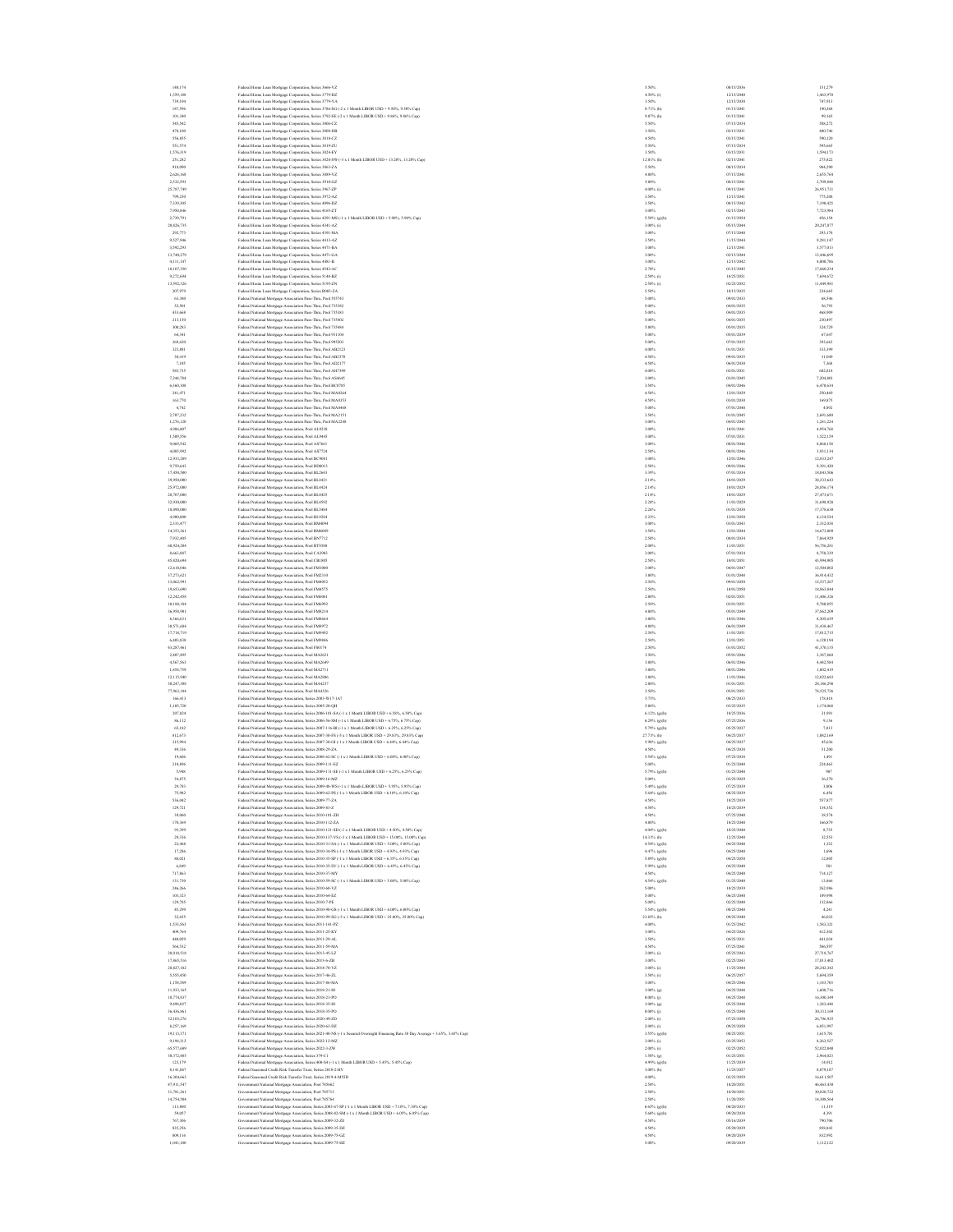| 140,174                  | Federal Home Loan Mortgage Corporation, Series 3666-VZ                                                                                                                                                         | 5.50%                         | 08/15/203                | 151,27                   |
|--------------------------|----------------------------------------------------------------------------------------------------------------------------------------------------------------------------------------------------------------|-------------------------------|--------------------------|--------------------------|
| 1,359,188                | Federal Home Loan Mortgage Corporation, Series 3779-DZ                                                                                                                                                         | 4.50% (i)                     | 12/15/2040               | 1,463,970                |
| 739,104                  | Federal Home Loan Mortgage Corporation, Series 3779-YA                                                                                                                                                         | 3.50%                         | 12/15/2030               | 747,913                  |
| 187,596<br>101,340       | Federal Home Loan Mortgage Corporation, Series 3786-SG (-2 x 1 Month LIBOR USD + 9.50%, 9.50% Cap)                                                                                                             | 8.71% (h)<br>9.07% (h)        | 01/15/2041<br>01/15/2041 | 190,368<br>99,165        |
| 545,542                  | Federal Home Loan Mortgage Corporation, Series 3792-SE (-2 x 1 Month LIBOR USD + 9.86%, 9.86% Cap)<br>Federal Home Loan Mortgage Corporation, Series 3806-CZ                                                   | 5,50%                         | 07/15/2034               | 588,272                  |
| 478,100                  | Federal Home Loan Mortgage Corporation, Series 3808-DB                                                                                                                                                         | 3.50%                         | 02/15/2031               | 480,746                  |
| 556,855                  | Federal Home Loan Mortgage Corporation, Series 3818-CZ                                                                                                                                                         | 4.50%                         | 03/15/2041               | 590,120                  |
| \$51,574                 | Federal Home Loan Mortgage Corporation, Series 3819-ZU                                                                                                                                                         | 5.50%                         | 07/15/2034               | 595,665                  |
| 1,576,319                | Federal Home Loan Mortgage Corporation, Series 3824-EY                                                                                                                                                         | 3.50%                         | 03/15/2031               | 1,594,173                |
| 251,282<br>918,090       | Federal Home Loan Mortgage Corporation, Series 3828-SW (-3 x 1 Month LIBOR USD + 13.20%, 13.20% Cap)                                                                                                           | 12.01% (h)<br>5.50%           | 02/15/2041<br>08/15/2034 | 275,822<br>984,290       |
| 2.626.168                | Federal Home Loan Mortgage Corporation, Series 3863-ZA<br>Federal Home Loan Mortgage Corporation, Series 3889-VZ                                                                                               | 4.00%                         | 07/15/2041               | 2.655.764                |
| 2.532.593                | Federal Home Loan Mortgage Corporation, Series 3910-GZ                                                                                                                                                         | 5,00%                         | 08/15/2041               | 2,709,848                |
| 25,787,749               | Federal Home Loan Mortgage Corporation, Series 3967-ZP                                                                                                                                                         | 4.00% (i)                     | 09/15/2041               | 26,951,731               |
| 799,230                  | Federal Home Loan Mortgage Corporation, Series 3972-AZ                                                                                                                                                         | 3.50%                         | 12/15/2041               | 775,200                  |
| 7,339,305                | Federal Home Loan Mortgage Corporation, Series 4096-DZ                                                                                                                                                         | 3.50%                         | 08/15/2042               | 7,190,425                |
| 7,950,846<br>2,739,791   | Federal Home Loan Mortgage Corporation, Series 4165-ZT<br>Federal Home Loan Mortgage Corporation, Series 4291-MS (-1 x 1 Month LIBOR USD + 5.90%, 5.90% Cap)                                                   | 3.00%<br>5.50% (g)(h)         | 02/15/2043<br>01/15/2054 | 7,723,984<br>456,154     |
| 20,826,735               | Federal Home Loan Mortgage Corporation, Series 4341-AZ                                                                                                                                                         | 3.00% (i)                     | 05/15/2044               | 20,247,877               |
| 292.773                  | Federal Home Loan Mortgage Corporation, Series 4391-MA                                                                                                                                                         | 3.00%                         | 07/15/2040               | 293,178                  |
| 9.527.946                | Federal Home Loan Mortgage Corporation, Series 4413-AZ                                                                                                                                                         | 3.50%                         | 11/15/2044               | 9.281.147                |
| 3,592,293                | Federal Home Loan Mortgage Corporation, Series 4471-BA                                                                                                                                                         | 3.00%                         | 12/15/2041               | 3,577,013                |
| 13,740,279               | Federal Home Loan Mortgage Corporation, Series 4471-GA                                                                                                                                                         | 3.00%                         | 02/15/2044               | 13,446,695               |
| 4,111,147                | Federal Home Loan Mortgage Corporation, Series 4481-B<br>Federal Home Loan Mortgage Corporation, Series 4542-AC                                                                                                | 3.00%<br>2.70%                | 12/15/2042<br>01/15/2045 | 4,000,786<br>17,860,234  |
| 18,107,350<br>9,272,694  | Federal Home Loan Mortgage Corporation, Series 5148-BZ                                                                                                                                                         | $2.50\%$ (i)                  | 10/25/2051               | 7,694,672                |
| 13,592,326               | Federal Home Loan Mortgage Corporation, Series 5195-ZN                                                                                                                                                         | $2.50\%$ (i)                  | 02/25/2052               | 11,449,981               |
| 207,979                  | Federal Home Loan Mortgage Corporation, Series R003-ZA                                                                                                                                                         | 5.50%                         | 10/15/2035               | 224,665                  |
| 63,380                   | Federal National Mortgage Association Pass-Thru, Pool 555743                                                                                                                                                   | 5.00%                         | 09/01/2033               | 68,546                   |
| 52,501                   | Federal National Mortgage Association Pass-Thru, Pool 735382                                                                                                                                                   | 5,00%                         | 04/01/2035<br>04/01/2035 | \$6,793                  |
| 433,668<br>213,150       | Federal National Mortgage Association Pass-Thru, Pool 735383<br>Federal National Mortgage Association Pass-Thru, Pool 735402                                                                                   | 5.00%<br>5.00%                | 04/01/2035               | 468,905<br>230,497       |
| 300,283                  | Federal National Mortgage Association Pass-Thru, Pool 735484                                                                                                                                                   | 5.00%                         | 05/01/2035               | 324,729                  |
| 64,341                   | Federal National Mortgage Association Pass-Thru, Pool 931104                                                                                                                                                   | 5.00%                         | 05/01/2039               | 67,647                   |
| 369,620                  | Federal National Mortgage Association Pass-Thru, Pool 995203                                                                                                                                                   | 5.00%                         | 07/01/2035               | 393,663                  |
| 323.881                  | Federal National Mortgage Association Pass-Thru, Pool AB2123                                                                                                                                                   | 4.00%                         | 01/01/2031               | 333,399                  |
| 30.419                   | Federal National Mortgage Association Pass-Thru, Pool AB2370                                                                                                                                                   | 4.50%                         | 09/01/2035<br>06/01/2030 | 31,049                   |
| 7,105<br>\$85,735        | Federal National Mortgage Association Pass-Thru, Pool AD2177<br>Federal National Mortgage Association Pass-Thru, Pool AH7309                                                                                   | 4.50%<br>4.00%                | 02/01/2031               | 7,368<br>602,818         |
| 7,244,784                | Federal National Mortgage Association Pass-Thru, Pool AS4645                                                                                                                                                   | 3.00%                         | 03/01/2045               | 7,204,801                |
| 6,360,108                | Federal National Mortgage Association Pass-Thru, Pool BC0785                                                                                                                                                   | 3.50%                         | 04/01/2046               | 6,470,634                |
| 241,471                  | Federal National Mortgage Association Pass-Thru, Pool MA0264                                                                                                                                                   | 4.50%                         | 12/01/2029               | 250,469                  |
| 163,770                  | Federal National Mortgage Association Pass-Thru, Pool MA0353                                                                                                                                                   | 4.50%                         | 03/01/2030               | 169,875                  |
| 4,742                    | Federal National Mortgage Association Pass-Thru, Pool MA0468                                                                                                                                                   | 5.00%                         | 07/01/2040               | 4,892                    |
| 2.707.232<br>1.276.120   | Federal National Mortgage Association Pass-Thru, Pool MA2151                                                                                                                                                   | 3.50%<br>3.00%                | 01/01/2045<br>04/01/2045 | 2,691,680<br>1.241.224   |
| 4,986,807                | Federal National Mortgage Association Pass-Thru, Pool MA2248<br>Federal National Mortgage Association, Pool AL9238                                                                                             | 3.00%                         | 10/01/2041               | 4,954,768                |
| 1,509,556                | Federal National Mortgage Association, Pool AL9445                                                                                                                                                             | 3.00%                         | 07/01/2031               | 1,522,159                |
| 9,069,542                | Federal National Mortgage Association, Pool AS7661                                                                                                                                                             | 3.00%                         | 08/01/2046               | 8,868,158                |
| 4,085,992                | Federal National Mortgage Association, Pool AS7724                                                                                                                                                             | 2.50%                         | 08/01/2046               | 3,931,134                |
| 12,933,289               | Federal National Mortgage Association, Pool BC9081                                                                                                                                                             | 3.00%                         | 12/01/2046               | 12,833,247               |
| 9,759,643<br>17,450,500  | Federal National Mortgage Association, Pool BD8013<br>Federal National Mortgage Association, Pool BL2643                                                                                                       | 2.50%<br>3,39%                | 09/01/2046<br>07/01/2034 | 9,391,420<br>18.043.506  |
| 39,950,000               | Federal National Mortgage Association, Pool BL4421                                                                                                                                                             | 2.14%                         | 10/01/2029               | 38.233.643               |
| 25,972,000               | Federal National Mortgage Association, Pool BL4424                                                                                                                                                             | 2.14%                         | 10/01/2029               | 24,856,174               |
| 28,707,000               | Federal National Mortgage Association, Pool BL4425                                                                                                                                                             | 2.14%                         | 10/01/2029               | 27,473,671               |
| 32,930,000               | Federal National Mortgage Association, Pool BL4592                                                                                                                                                             | 2.28%                         | 11/01/2029               | 31,698,928               |
| 18,090,000               | Federal National Mortgage Association, Pool BL5484                                                                                                                                                             | 2.26%                         | 01/01/2030               | 17,378,630               |
| 4,900,000                | Federal National Mortgage Association, Pool BL9284                                                                                                                                                             | 2.23%                         | 12/01/2050               | 4,134,524                |
| 2,333,477<br>14.353.261  | Federal National Mortgage Association, Pool BM4094<br>Federal National Mortgage Association, Pool BM6089                                                                                                       | 3.00%<br>3.50%                | 03/01/2043<br>12/01/2044 | 2,332,038<br>14,673,009  |
| 7.932.405                | Federal National Mortgage Association, Pool BN7712                                                                                                                                                             | 2.50%                         | 08/01/2034               | 7,864,929                |
| 60,924,204               | Federal National Mortgage Association, Pool BT9380                                                                                                                                                             | 2.00%                         | 11/01/2051               | 56,756,281               |
| 8,663,887                | Federal National Mortgage Association, Pool CA3903                                                                                                                                                             | 3.00%                         | 07/01/2034               | 8,758,339                |
| 45,820,694               | Federal National Mortgage Association, Pool CB1805                                                                                                                                                             | 2.50%                         | 10/01/2051               | 43,994,905               |
| 12,618,046<br>37,273,621 | Federal National Mortgage Association, Pool FM1000<br>Federal National Mortgage Association, Pool FM2310                                                                                                       | 3.00%<br>3.00%                | 04/01/2047<br>01/01/2048 | 12,504,002<br>36,914,432 |
| 13,062,991               | Federal National Mortgage Association, Pool FM4052                                                                                                                                                             | 2.50%                         | 09/01/2050               | 12,537,267               |
| 19,653,690               | Federal National Mortgage Association, Pool FM4575                                                                                                                                                             | 2.50%                         | 10/01/2050               | 18,863,844               |
| 12.242.458               | Federal National Mortgage Association, Pool FM6061                                                                                                                                                             | 2.00%                         | 02/01/2051               | 11,406,326               |
| 10,188,184               | Federal National Mortgage Association, Pool FM6992                                                                                                                                                             | 2.50%                         | 03/01/2051               | 9,780,855                |
| 36,958,901               | Federal National Mortgage Association, Pool FM8214                                                                                                                                                             | 4.00%                         | 05/01/2049               | 37,862,209               |
| 8,366,631<br>30,571,684  | Federal National Mortgage Association, Pool FM8664                                                                                                                                                             | 3.00%<br>4.00%                | 10/01/2046<br>06/01/2049 | 8,305,639<br>31,438,467  |
| 17,718,719               | Federal National Mortgage Association, Pool FM8972<br>Federal National Mortgage Association, Pool FM9492                                                                                                       | 2.50%                         | 11/01/2051               | 17,012,715               |
| 6,403,838                | Federal National Mortgage Association, Pool FM9846                                                                                                                                                             | 2.50%                         | 12/01/2051               | 6,120,194                |
| 43,287,461               | Federal National Mortgage Association, Pool FS0174                                                                                                                                                             | 2.50%                         | 01/01/2052               | 41,370,135               |
| 2,407,495                | Federal National Mortgage Association, Pool MA2621                                                                                                                                                             | 3.50%                         | 05/01/2046               | 2387,860                 |
| 4.567.563                | Federal National Mortgage Association, Pool MA2649                                                                                                                                                             | 3.00%                         | 06/01/2046               | 4.442.584                |
| 1,854,759                | Federal National Mortgage Association, Pool MA2711                                                                                                                                                             | 3.00%<br>3.00%                | 08/01/2046<br>11/01/2046 | 1,802,419                |
| 12,115,940<br>30,247,308 | Federal National Mortgage Association, Pool MA2806<br>Federal National Mortgage Association, Pool MA4237                                                                                                       | 2.00%                         | 01/01/2051               | 12,022,683<br>28,186,298 |
| 77,963,184               | Federal National Mortgage Association, Pool MA4326                                                                                                                                                             | 2.50%                         | 05/01/2051               | 74,525,726               |
| 166,413                  | Federal National Mortgage Association, Series 2003-W17-1A7                                                                                                                                                     | 5.75%                         | 08/25/2033               | 178,418                  |
| 1,105,720                | Federal National Mortgage Association, Series 2005-20-QH                                                                                                                                                       | 5.00%                         | 03/25/2035               | 1,174,068                |
| 207.824                  | Federal National Mortgage Association, Series 2006-101-SA (-1 x 1 Month LIBOR USD + 6.58%, 6.58% Cap)                                                                                                          | 6.12% (g)(h)                  | 10/25/2036               | 31,991                   |
| 86.112                   | Federal National Mortgage Association, Series 2006-56-SM (-1 x 1 Month LIBOR USD + 6.75%, 6.75% Cap)                                                                                                           | 6.29% (g)(h)                  | 07/25/2036               | 9.136                    |
| 65,182                   | Federal National Mortgage Association, Series 2007-116-BI (-1 x 1 Month LIBOR USD + 6.25%, 6.25% Cap)                                                                                                          | 5.79% (g)(h)                  | 05/25/2037<br>04/25/2037 | 7,013                    |
| 812,673<br>315,994       | Federal National Mortgage Association, Series 2007-30-FS (-5 x 1 Month LIBOR USD + 29.83%, 29.83% Cap)<br>Federal National Mortgage Association, Series 2007-30-Ol (-1 x 1 Month LIBOR USD + 6.44%, 6.44% Cap) | 27.71% (h)<br>$5.98\%$ (g)(h) | 04/25/2037               | 1,082,169<br>45,636      |
| 49,336                   | Federal National Mortgage Association, Series 2008-29-ZA                                                                                                                                                       | 4.50%                         | 04/25/2038               | 51,200                   |
| 19,606                   | Federal National Mortgage Association, Series 2008-62-SC (-1 x 1 Month LIBOR USD + 6.00%, 6.00% Cap)                                                                                                           | 5.54% (g)(h)                  | 07/25/2038               | 1,49                     |
| 210,896                  | Federal National Mortgage Association, Series 2009-111-EZ                                                                                                                                                      | 5.00%                         | 01/25/2040               | 224,463                  |
| 5,948<br>34,875          | Federal National Mortgage Association, Series 2009-111-SE (-1 x 1 Month LIBOR USD + 6.25%, 6.25% Cap)                                                                                                          | 5.79% (g)(h)<br>5.00%         | 01/25/2040<br>03/25/2029 | 907<br>36,270            |
| 29,783                   | Federal National Mortgage Association, Series 2009-16-MZ<br>Federal National Mortgage Association, Series 2009-48-WS (-1 x 1 Month LIBOR USD + 5.95%, 5.95% Cap)                                               | 5.49% (g)(h)                  | 07/25/2039               | 3,806                    |
| 75,982                   | Federal National Mortgage Association, Series 2009-62-PS (-1 x 1 Month LIBOR USD + 6.10%, 6.10% Cap)                                                                                                           | 5.64% (g)(h)                  | 08/25/2039               | 6,456                    |
| 536,042                  | Federal National Mortgage Association, Series 2009-77-ZA                                                                                                                                                       | 4.50%                         | 10/25/2039               | 557,877                  |
| 129,721                  | Federal National Mortgage Association, Series 2009-83-Z                                                                                                                                                        | 4.50%                         | 10/25/2039               | 134,352                  |
| 39,060                   | Federal National Mortgage Association, Series 2010-101-ZH                                                                                                                                                      | 4.50%                         | 07/25/2040               | 38,574                   |
| 170,369<br>93,399        | Federal National Mortgage Association, Series 2010-112-ZA<br>Federal National Mortgage Association, Series 2010-121-SD (-1 x 1 Month LIBOR USD + 4.50%, 4.50% Cap)                                             | 4.00%<br>4.04% (g)(h)         | 10/25/2040<br>10/25/2040 | 166,879<br>8,735         |
| 29,336                   | Federal National Mortgage Association, Series 2010-137-VS (-3 x 1 Month LIBOR USD + 15.00%, 15.00% Cap)                                                                                                        | 14.31% (b)                    | 12/25/2040               | 32.553                   |
| 22,468                   | Federal National Mortgage Association, Series 2010-31-SA (-1 x 1 Month LIBOR USD + 5.00%, 5.00% Cap)                                                                                                           | 4.54% (g)(h)                  | 04/25/2040               | 1.322                    |
| 17,286                   | Federal National Mortgage Association, Series 2010-34-PS (-1 x 1 Month LIBOR USD + 4.93%, 4.93% Cap)                                                                                                           | 4.47% (g)(h)                  | 04/25/2040               | 1,696                    |
| 88,021                   | Federal National Mortgage Association, Series 2010-35-SP (-1 x 1 Month LIBOR USD + 6.35%, 6.35% Cap)                                                                                                           | 5.89% (g)(h)                  | 04/25/2050               | 12,805                   |
| 6,849                    | Federal National Mortgage Association, Series 2010-35-SV (-1 x 1 Month LIBOR USD + 6.45%, 6.45% Cap)                                                                                                           | 5.99% (g)(h)                  | 04/25/2040               | 581                      |
| 717,863<br>131,730       | Federal National Mortgage Association, Series 2010-37-MY<br>Federal National Mortgage Association, Series 2010-59-SC (-1 x 1 Month LIBOR USD + 5.00%, 5.00% Cap)                                               | 4.50%<br>4.54% (g)(h)         | 04/25/2040<br>01/25/2040 | 714,127                  |
| 246,266                  | Federal National Mortgage Association, Series 2010-60-VZ                                                                                                                                                       | 5.00%                         | 10/25/2039               | 13,866<br>262,986        |
| 103.323                  | Federal National Mortgage Association, Series 2010-64-EZ                                                                                                                                                       | 5,00%                         | 06/25/2040               | 109,998                  |
| 129,785                  | Federal National Mortgage Association, Series 2010-7-PE                                                                                                                                                        | 5,00%                         | 02/25/2040               | 132.866                  |
| 45,299                   | Federal National Mortgage Association, Series 2010-90-GS (-1 x 1 Month LIBOR USD + 6.00%, 6.00% Cap)                                                                                                           | 5.54% (g)(h)                  | 08/25/2040               | 4,241                    |
| 32,655                   | Federal National Mortgage Association, Series 2010-99-SG (-5 x 1 Month LIBOR USD + 25.00%, 25.00% Cap)                                                                                                         | $23.85\%$ (h)                 | 09/25/2040               | 46.032                   |
| 1,533,563<br>409,764     | Federal National Mortgage Association, Series 2011-141-PZ                                                                                                                                                      | 4.00%<br>3.00%                | 01/25/2042<br>04/25/2026 | 1,583,321<br>412,302     |
| 440,059                  | Federal National Mortgage Association, Series 2011-25-KY<br>Federal National Mortgage Association, Series 2011-29-AL                                                                                           | 3.50%                         | 04/25/2031               | 441,034                  |
| 564,532                  | Federal National Mortgage Association, Series 2011-59-MA                                                                                                                                                       | 4.50%                         | 07/25/2041               | 586,597                  |
| 28,018,518               | Federal National Mortgage Association, Series 2013-45-LZ                                                                                                                                                       | 3.00% (i)                     | 05/25/2043               | 27,718,767               |
| 17,865,516               | Federal National Mortgage Association, Series 2013-6-ZB                                                                                                                                                        | 3,00%                         | 02/25/2043               | 17.013.402               |
| 28.827.182               | Federal National Mortgage Association, Series 2014-70-VZ                                                                                                                                                       | 3.00% (i)                     | 11/25/2044               | 28.242.342               |
| 5,555,450<br>1,158,589   | Federal National Mortgage Association, Series 2017-46-ZL<br>Federal National Mortgage Association, Series 2017-86-MA                                                                                           | $3.50\%$ (i)<br>3.00%         | 06/25/2057<br>04/25/2046 | 5,694,359<br>1,143,703   |
| 11,933,165               | Federal National Mortgage Association, Series 2018-21-IO                                                                                                                                                       | 3.00% (g)                     | 04/25/2048               | 1,608,716                |
| 18,774,837               | Federal National Mortgage Association, Series 2018-21-PO                                                                                                                                                       | $0.00\%$ (j)                  | 04/25/2048               | 16,300,349               |
| 9,498,027                | Federal National Mortgage Association, Series 2018-35-IO                                                                                                                                                       | $3.00\%$ (g)                  | 05/25/2048               | 1,383,448                |
| 36,436,861               | Federal National Mortgage Association, Series 2018-35-PO                                                                                                                                                       | $0.00\%$ (j)                  | 05/25/2048               | 30,331,169               |
| 32.103.276               | Federal National Mortgage Association, Series 2020-49-ZD                                                                                                                                                       | $2.00\%$ (i)                  | 07/25/2050               | 26.796.925               |
| 8.257.169                | Federal National Mortgage Association, Series 2020-63-DZ                                                                                                                                                       | 2,00% (i)                     | 09/25/2050               | 6.851,997                |
| 19,113,371<br>9,194,312  | Federal National Mortgage Association, Series 2021-48-NS (-1 x Secured Overnight Financing Rate 30 Day Average + 3.65%, 3.65% Cap)<br>Federal National Mortgage Association, Series 2022-12-MZ                 | 3.55% (g)(h)<br>$3.00\%$ (i)  | 08/25/2051<br>03/25/2052 | 1,615,781<br>8,263,527   |
| 65,577,689               | Federal National Mortgage Association, Series 2022-3-ZW                                                                                                                                                        | $2.00\%$ (i)                  | 02/25/2052               | 52,022,040               |
| 30,372,485               | Federal National Mortgage Association, Series 379-C1                                                                                                                                                           | $1.50\%$ (g)                  | 01/25/2051               | 2,964,023                |
| 123,179                  | Federal National Mortgage Association, Series 400-S4 (-1 x 1 Month LIBOR USD + 5.45%, 5.45% Cap)                                                                                                               | 4.99% (g)(h)                  | 11/25/2039               | 14,912                   |
| 8,141,067                | Federal Seasoned Credit Risk Transfer Trust, Series 2018-2-HV                                                                                                                                                  | $3.00\%$ (b)                  | 11/25/2057               | 8,079,187                |
| 16,304,663               | Federal Seasoned Credit Risk Transfer Trust. Series 2019-4-M55D                                                                                                                                                | 4.00%                         | 02/25/2059               | 16,611,507               |
| 47.911.547<br>31,781,261 | Government National Mortgage Association, Pool 785662<br>Government National Mortgage Association, Pool 785713                                                                                                 | 2.50%<br>2.50%                | 10/20/2051<br>10/20/2051 | 46,463,430<br>30.820.722 |
| 14,754,504               | Government National Mortgage Association, Pool 785764                                                                                                                                                          | 2.50%                         | 11/20/2051               | 14,308,564               |
| 113,800                  | tent National Mortgage Association, Series 2003-67-SP (-1 x 1 Month LIBOR USD + 7.10%, 7.10% Cap)                                                                                                              | $6.65\%$ (g)(h)               | 08/20/2033               | 11,319                   |
| \$9,057                  | Government National Mortgage Association, Series 2008-82-SM (-1 x 1 Month LIBOR USD + 6.05%, 6.05% Cap)                                                                                                        | 5.60% (g)(h)                  | 09/20/2038               | 4,391                    |
| 767,306                  | Government National Mortgage Association, Series 2009-32-ZE                                                                                                                                                    | 4.50%                         | 05/16/2039               | 790,706                  |
| 835,256                  | Government National Mortgage Association, Series 2009-35-DZ                                                                                                                                                    | 4.50%                         | 05/20/2039               | 858,843<br>832,992       |
| 809,116                  | Government National Mortgage Association, Series 2009-75-GZ<br>Government National Mortgage Association, Series 2009-75-HZ                                                                                     | 4.50%<br>5.00%                | 09/20/2039<br>09/20/2039 | 1.112.122                |
| 1.043.100                |                                                                                                                                                                                                                |                               |                          |                          |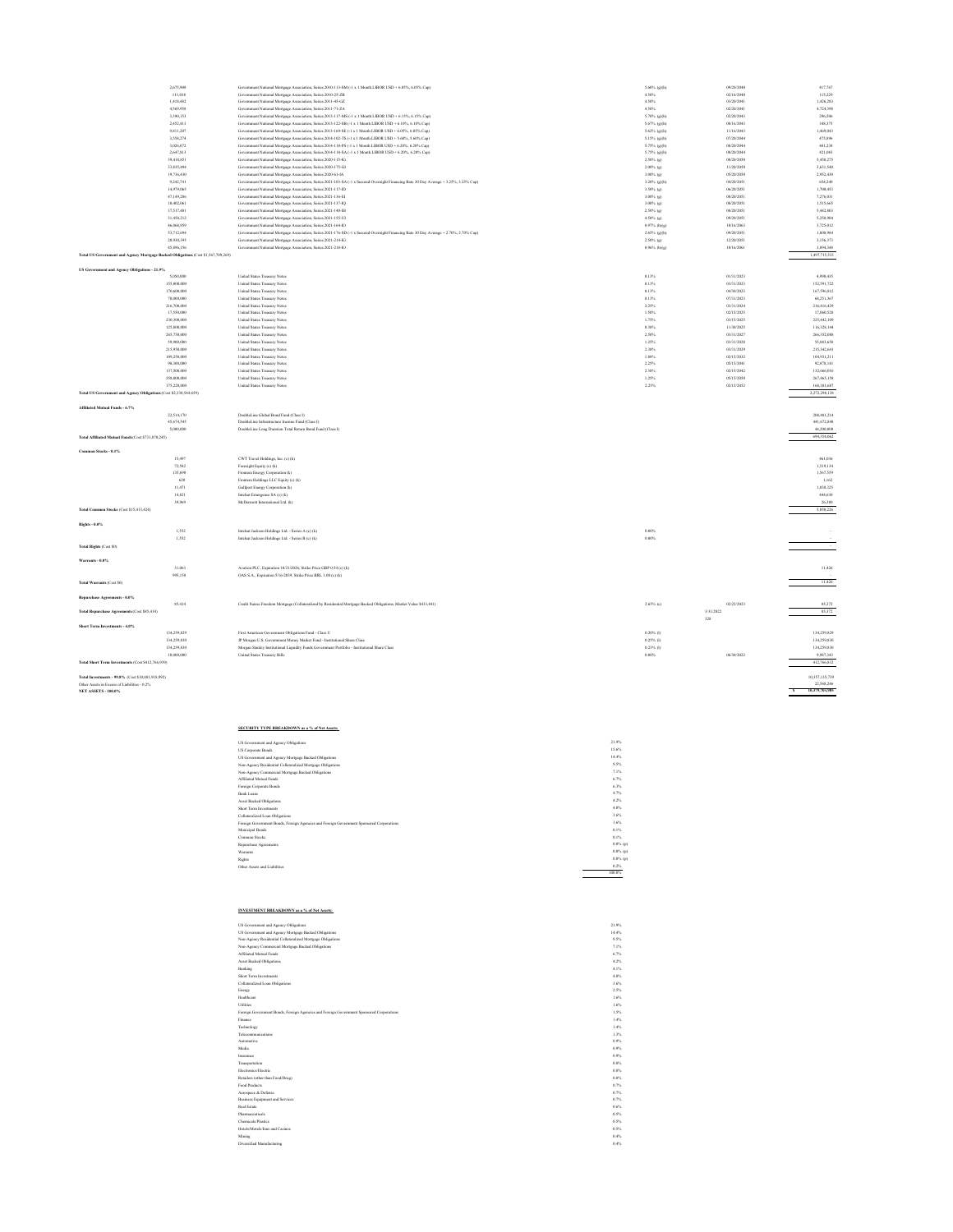|                                                                                   | 2.675.908   | Government National Mortgage Association, Series 2010-113-SM (-1 x 1 Month LIBOR USD + 6.05%, 6.05% Cap)                               | 5.60% (g)(h)    | 09/20/2040 | 417.767                           |
|-----------------------------------------------------------------------------------|-------------|----------------------------------------------------------------------------------------------------------------------------------------|-----------------|------------|-----------------------------------|
|                                                                                   | 111,038     | Government National Mortgage Association, Series 2010-25-ZB                                                                            | 4.50%           | 02/16/2040 | 115,229                           |
|                                                                                   | 1,418,487   | Government National Mortgage Association, Series 2011-45-GZ                                                                            | 4.50%           | 03/20/2041 | 1,426,283                         |
|                                                                                   | 4.569.958   | Government National Mortgage Association, Series 2011-71-ZA                                                                            | 4.50%           | 02/20/2041 | 4,724,398                         |
|                                                                                   | 3.390.153   | Government National Mortgage Association, Series 2013-117-MS (-1 x 1 Month LIBOR USD + 6.15%, 6.15% Cap)                               | 5.70% (g)(h)    | 02/20/2043 | 296.506                           |
|                                                                                   | 2,452,413   | Government National Mortgage Association, Series 2013-122-SB (-1 x 1 Month LIBOR USD + 6.10%, 6.10% Cap)                               | 5.67% (e)(h)    | 08/16/2043 | 348,375                           |
|                                                                                   | 9,811,207   | Government National Mortgage Association, Series 2013-169-SE (-1 x 1 Month LIBOR USD + 6.05%, 6.05% Cap)                               | 5.62% (g)(h)    | 11/16/2043 | 1,469,043                         |
|                                                                                   | 3 558 774   | Government National Mortgage Association, Series 2014-102-TS (-1 x 1 Month LIBOR USD + 5.60%, 5.60% Cap)                               | 5.15% (g)(h)    | 07/20/2044 | 475,896                           |
|                                                                                   | 3,026,072   | ment National Mortgage Association, Series 2014-118-PS (-1 x 1 Month LIBOR USD + 6.20%, 6.20% Cap)<br>Gover                            | 5.75% (g)(h)    | 08/20/2044 | 481,238                           |
|                                                                                   | 2,647,813   | Government National Mortgage Association, Series 2014-118-SA (-1 x 1 Month LIBOR USD + 6.20%, 6.20% Cap)                               | 5.75% (g)(h)    | 08/20/2044 | 421,083                           |
|                                                                                   | 39,418,851  | Government National Mortgage Association, Series 2020-115-1G                                                                           | 2.50% (g)       | 08/20/2050 | 5,450,275                         |
|                                                                                   | 33,835,494  | Government National Mortgage Association, Series 2020-175-GI                                                                           | $2.00\%$ (g)    | 11/20/2050 | 3,631,540                         |
|                                                                                   | 19,736,430  | Government National Mortgage Association, Series 2020-61-IA                                                                            | 3.00% (a)       | 05/20/2050 | 2,952,430                         |
|                                                                                   | 9.242.741   | Government National Mortgage Association, Series 2021-103-SA (-1 x Secured Overnight Financing Rate 30 Day Average + 3.25%, 3.25% Cap) | $3.20\%$ (g)(h) | 04/20/2051 | 654,240                           |
|                                                                                   | 14,979,065  | Government National Mortgage Association, Series 2021-117-ID                                                                           | 3.50% (a)       | 06/20/2051 | 1,700,453                         |
|                                                                                   | 47,149,286  | Government National Mortgage Association, Series 2021-136-EI                                                                           | 3.00% (g)       | 08/20/2051 | 7,276,031                         |
|                                                                                   | 10.402.061  | Government National Mortgage Association, Series 2021-137-IQ                                                                           | 3.00% (g)       | 08/20/2051 | 1,515,665                         |
|                                                                                   | 37,517,481  | Government National Mortgage Association, Series 2021-140-IH                                                                           | 2.50% (g)       | 08/20/2051 | 5,442,803                         |
|                                                                                   | 31,458,212  | Government National Mortgage Association, Series 2021-155-UI                                                                           | 4.50% (g)       | 09/20/2051 | 5299904                           |
|                                                                                   | 46,068,959  | Government National Mortgage Association, Series 2021-164-IO                                                                           | $0.97%$ (b)(g)  | 10/16/2063 | 3,725,012                         |
|                                                                                   | \$3,712,694 | Government National Mortgage Association, Series 2021-176-SD (-1 x Secured Overnight Financing Rate 30 Day Average + 2.70%, 2.70% Cap) | 2.65% (g)(h)    | 09/20/2051 | 1,808,984                         |
|                                                                                   | 20,930,395  | Government National Mortgage Association, Series 2021-214-1G                                                                           | $2.50\%$ (g)    | 12/20/2051 | 3.156.373                         |
|                                                                                   | 45,896,156  | Government National Mortgage Association, Series 2021-218-IO                                                                           | $0.96\%$ (b)(g) | 10/16/2061 | 3,894,348                         |
| Total US Government and Agency Mortgage Backed Obligations (Cost \$1,567,709,269) |             |                                                                                                                                        |                 |            | 1,497,715,533                     |
|                                                                                   |             |                                                                                                                                        |                 |            |                                   |
| US Government and Agency Obligations - 21.9%                                      |             |                                                                                                                                        |                 |            |                                   |
|                                                                                   | \$,050,000  | United States Treasury Notes                                                                                                           | 0.13%           | 01/31/2023 | 4,990,435                         |
|                                                                                   | 155,000,000 | United States Treasury Notes                                                                                                           | 0.13%           | 03/31/2023 | 152,591,722                       |
|                                                                                   | 170,600,000 | United States Treasury Notes                                                                                                           | 0.13%           | 04/30/2023 | 167,596,812                       |
|                                                                                   | 20,000,000  | United States Treasury Notes                                                                                                           | 0.13%           | 07/31/2023 | 68,251,367                        |
|                                                                                   | 216,700,000 | United States Treasury Notes                                                                                                           | 2.25%           | 03/31/2024 | 216,416,429                       |
|                                                                                   | 17,550,000  | United States Treasury Notes                                                                                                           | 1,50%           | 02/15/2025 | 17,060,520                        |
|                                                                                   | 230,300,000 | United States Treasury Notes                                                                                                           | 1.75%           | 03/15/2025 | 225,442,109                       |
|                                                                                   | 125,800,000 | United States Treasury Notes                                                                                                           | 0.38%           | 11/30/2025 | 116,328,144                       |
|                                                                                   | 265,750,000 | United States Treasury Notes                                                                                                           | 2.50%           | 03/31/2027 | 266,352,088                       |
|                                                                                   | 59,500,000  | United States Treasury Notes                                                                                                           | 1.25%           | 03/31/2028 | 55,883,658                        |
|                                                                                   | 215,950,000 | <b>Heited States Tenapary Notes</b>                                                                                                    | 2.38%           | 03/31/2029 | 215.342.641                       |
|                                                                                   | 109,250,000 | United States Treasury Notes                                                                                                           | 1,88%           | 02/15/2032 | 104,931,211                       |
|                                                                                   | 98,300,000  | United States Treasury Notes                                                                                                           | 2.25%           | 05/15/2041 | 92.878.141                        |
|                                                                                   | 137,500,000 | United States Treasury Notes                                                                                                           | 2.38%           | 02/15/2042 | 132,666,016                       |
|                                                                                   | 358,000,000 | United States Treasury Notes                                                                                                           | 1.25%           | 05/15/2050 | 267,465,158                       |
|                                                                                   | 175,220,000 | United States Treasury Notes                                                                                                           | 2.25%           | 02/15/2052 | 168,101,687                       |
|                                                                                   |             |                                                                                                                                        |                 |            |                                   |
|                                                                                   |             |                                                                                                                                        |                 |            |                                   |
| Total US Government and Agency Obligations (Cost \$2,330,544,659)                 |             |                                                                                                                                        |                 |            | 2,272,298,138                     |
|                                                                                   |             |                                                                                                                                        |                 |            |                                   |
| Affiliated Mutual Funds - 6.7%                                                    |             |                                                                                                                                        |                 |            |                                   |
|                                                                                   | 22.514.170  | DoubleLine Global Bond Fund (Class I)                                                                                                  |                 |            | 208,481,214                       |
|                                                                                   | 45,674,545  | DoubleLine Infrastructure Income Fund (Class I)                                                                                        |                 |            | 441,672,848                       |
|                                                                                   | \$ 000,000  | DoubleLine Long Daration Total Return Bond Fund (Class I)                                                                              |                 |            | 44,200,000                        |
| Total Affiliated Mutual Funds (Cost \$731,870,245)                                |             |                                                                                                                                        |                 |            | 694,354,062                       |
|                                                                                   |             |                                                                                                                                        |                 |            |                                   |
| Common Stocks - 0.1%                                                              |             |                                                                                                                                        |                 |            |                                   |
|                                                                                   | 15,497      | CWT Travel Holdings, Inc. (c) (k)                                                                                                      |                 |            | 461,036                           |
|                                                                                   | 72,582      | Foresight Equity (c) (k)                                                                                                               |                 |            | 1,519,134                         |
|                                                                                   | 135,690     | Frontera Energy Corporation (k)                                                                                                        |                 |            | 1,567,559                         |
|                                                                                   | 620         | Frontera Holdinas LLC Equity (c) (k)                                                                                                   |                 |            | 1.162                             |
|                                                                                   | 11,471      | Gulfport Energy Corporation (k)                                                                                                        |                 |            | 1,030,325                         |
|                                                                                   | 14.821      | Intelsat Emergence SA (c) (k)                                                                                                          |                 |            | 444,630                           |
|                                                                                   | 39,969      | McDermott International Ltd. (k)                                                                                                       |                 |            | 26,380                            |
| Total Common Stocks (Cost \$15,413,424)                                           |             |                                                                                                                                        |                 |            | 5.050.226                         |
|                                                                                   |             |                                                                                                                                        |                 |            |                                   |
| <b>Rights - 0.0%</b>                                                              |             |                                                                                                                                        |                 |            |                                   |
|                                                                                   | 1.552       | Intelsat Jackson Holdinas Ltd. - Series A (c) (k)                                                                                      | $0.00\%$        |            |                                   |
|                                                                                   | 1,552       | Intelsat Jackson Holdings Ltd. - Series B (e) (k)                                                                                      | 0.00%           |            |                                   |
| Total Rights (Cost \$0)                                                           |             |                                                                                                                                        |                 |            |                                   |
|                                                                                   |             |                                                                                                                                        |                 |            |                                   |
| Warrants - 0.0%                                                                   |             |                                                                                                                                        |                 |            |                                   |
|                                                                                   | 31,063      | Avation PLC, Expiration 10/21/2026, Strike Price GBP 0.54 (c) (k)                                                                      |                 |            | 11,426                            |
|                                                                                   | 995,158     | OAS S.A., Expiration 5/16/2039, Strike Price BRL 1.00 (c) (k)                                                                          |                 |            |                                   |
| <b>Total Warrants (Cost S0)</b>                                                   |             |                                                                                                                                        |                 |            | 11,426                            |
|                                                                                   |             |                                                                                                                                        |                 |            |                                   |
| Repurchase Agreements - 0.0%                                                      |             |                                                                                                                                        |                 |            |                                   |
|                                                                                   | 85.414      | Credit Suisse Freedom Mortgage (Collateralized by Residential Mortgage Backed Obligations, Market Value \$433,441)                     | $2.65%$ (c)     | 02/22/2023 | 85,372                            |
| Total Reparchase Agreements (Cost \$85,414)                                       |             |                                                                                                                                        |                 | 3/31/2022  | 85,372                            |
|                                                                                   |             |                                                                                                                                        |                 | 328        |                                   |
| Short Term Investments - 4 0%                                                     |             |                                                                                                                                        |                 |            |                                   |
|                                                                                   | 134,259,829 | First American Government Obligations Fund - Class U                                                                                   | $0.20\%$ (I)    |            | 134,259,829                       |
|                                                                                   | 134.259.830 | JP Morean U.S. Government Money Market Fund - Institutional Share Class                                                                | $0.25\%$ (D)    |            | 134,259,830                       |
|                                                                                   | 134,259,830 | Morgan Stanley Institutional Liquidity Funds Government Portfolio - Institutional Share Class                                          | $0.23\%$ (I)    |            | 134,259,830                       |
|                                                                                   | 10.000.000  | United States Treasury Bills                                                                                                           | 0.00%           | 06/30/2022 | 9,987,343                         |
| Total Short Term Investments (Cost \$412,766,939)                                 |             |                                                                                                                                        |                 |            | 412,766,832                       |
|                                                                                   |             |                                                                                                                                        |                 |            |                                   |
| Total Investments - 99.8% (Cost \$10.881.918.992)                                 |             |                                                                                                                                        |                 |            | 10,357,135,739                    |
| Other Assets in Excess of Liabilities - 0.2%<br><b>NET ASSETS - 100.0%</b>        |             |                                                                                                                                        |                 |            | 22,568,246<br>10,379,703,985<br>3 |

| SECURITY TYPE BREAKDOWN as a % of Net Assets:                                            |             |
|------------------------------------------------------------------------------------------|-------------|
| US Government and Agency Obligations                                                     | 21.9%       |
| US Corporate Bonds                                                                       | 15,6%       |
| US Government and Agency Mortgage Backed Obligations                                     | 14.4%       |
| Non-Agency Residential Collateralized Mortgage Obligations                               | 9.5%        |
| Non-Agency Commercial Mortgage Backed Obligations                                        | 7.1%        |
| Affiliated Mutual Funds                                                                  | 6.7%        |
| Foreign Corporate Bonds                                                                  | 6.3%        |
| Rook Loans                                                                               | 4.7%        |
| Asset Backed Obligations                                                                 | 4.2%        |
| Short Term Investments                                                                   | $4.0\%$     |
| Collateralized Loan Obligations                                                          | 3.6%        |
| Foreign Government Bonds, Foreign Agencies and Foreign Government Sponsored Corporations | 1.6%        |
| Municipal Bonds                                                                          | 0.1%        |
| Common Stocks                                                                            | 0.1%        |
| Repurchase Agreements                                                                    | $0.0\%$ (p) |
| Warrants                                                                                 | $0.0\%$ (p) |
| Rights                                                                                   | $0.0\%$ (p) |
| Other Assets and Liabilities                                                             | 0.2%        |

 $\begin{array}{l} 21.9\% \\ 15.6\% \\ 14.4\% \\ 9.5\% \\ 7.1\% \\ 6.7\% \\ 4.2\% \\ 4.2\% \\ 4.2\% \\ 4.2\% \\ 16.0\% \\ 6.0\% \\ 6.0\% \\ 6.0\% \\ 6.0\% \\ 6.0\% \\ 6.0\% \\ 6.0\% \\ \end{array}$ 

## **INVESTMENT BREAKDOWN as a % of Net Asset**

| US Government and Agency Obligations                                                     | 21.9%   |
|------------------------------------------------------------------------------------------|---------|
| US Government and Agency Mortgage Backed Obligations                                     | 14.4%   |
| Non-Agency Residential Collateralized Mortgage Obligations                               | 9.5%    |
| Non-Agency Commercial Mortgage Backed Obligations                                        | 7.1%    |
| Affiliated Mutual Funds                                                                  | 6.7%    |
| Asset Backed Obligations                                                                 | 4.2%    |
| Banking                                                                                  | 4.1%    |
| Short Term Investments                                                                   | $4.0\%$ |
| Collateralized Loan Obligations                                                          | 3.6%    |
| Energy                                                                                   | 2.5%    |
| Healthcare                                                                               | 1.6%    |
| Utilities                                                                                | 1.6%    |
| Foreign Government Bonds, Foreign Agencies and Foreign Government Sponsored Corporations | 1.5%    |
| Finance                                                                                  | 1.4%    |
| Technology                                                                               | 1.4%    |
| Telecommunications                                                                       | 1.3%    |
| Automotive                                                                               | 0.9%    |
| Media                                                                                    | 0.9%    |
| Insurance                                                                                | 0.9%    |
| Transportation                                                                           | 0.8%    |
| Electronics/Electric                                                                     | 0.8%    |
| Retailers (other than Food Drug)                                                         | 0.8%    |
| Food Products                                                                            | 0.7%    |
| Aerospace & Defense                                                                      | 0.7%    |
| Business Equipment and Services                                                          | 0.7%    |
| Real Estate                                                                              | 0.6%    |
| Pharmaceuticals                                                                          | 0.5%    |
| Chemicals/Plastics                                                                       | 0.5%    |
| Hotels/Motels/Inns and Casinos                                                           | 0.5%    |
| Mining                                                                                   | 0.4%    |
| Diversified Manufacturing                                                                | 0.4%    |
|                                                                                          |         |